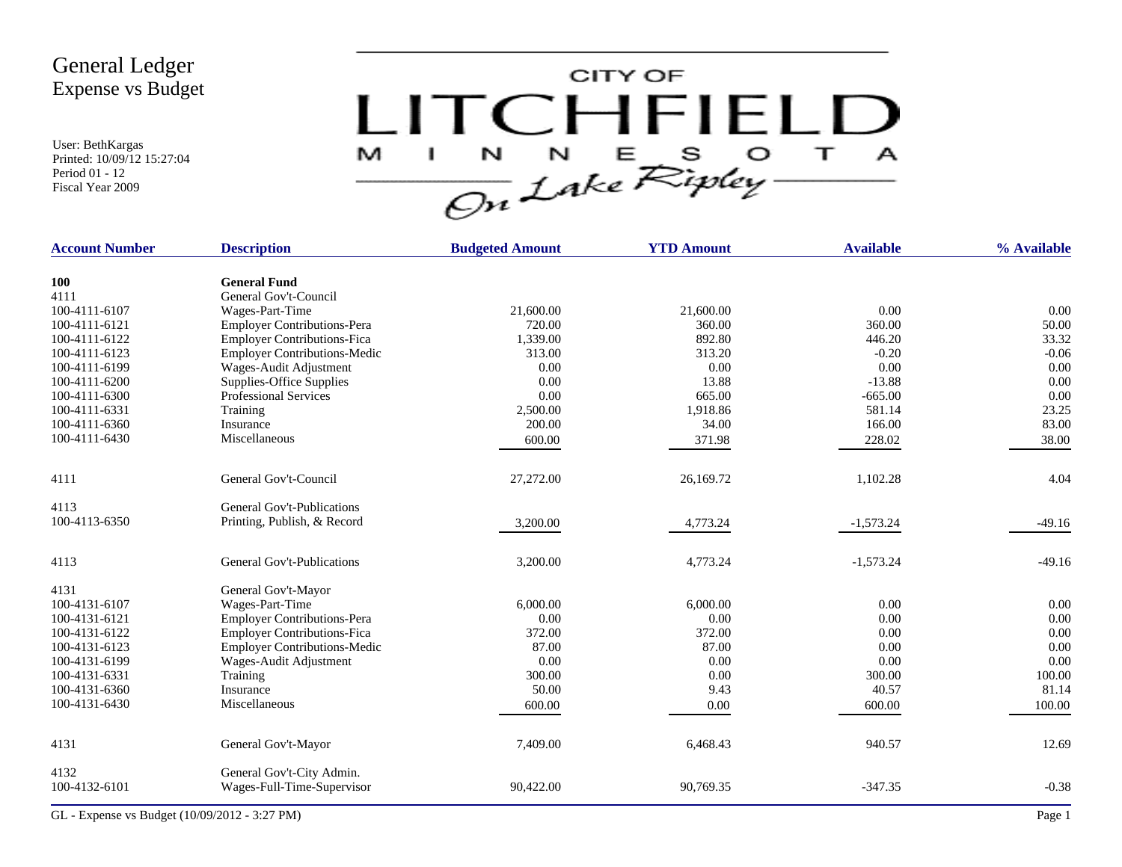User: BethKargas Printed: 10/09/12 15:27:04 Period 01 - 12 Fiscal Year 2009



| <b>Account Number</b> | <b>Description</b>                  | <b>Budgeted Amount</b> | <b>YTD Amount</b> | <b>Available</b> | % Available |
|-----------------------|-------------------------------------|------------------------|-------------------|------------------|-------------|
| 100                   | <b>General Fund</b>                 |                        |                   |                  |             |
| 4111                  | General Gov't-Council               |                        |                   |                  |             |
| 100-4111-6107         | Wages-Part-Time                     | 21,600.00              | 21,600.00         | 0.00             | 0.00        |
| 100-4111-6121         | <b>Employer Contributions-Pera</b>  | 720.00                 | 360.00            | 360.00           | 50.00       |
| 100-4111-6122         | <b>Employer Contributions-Fica</b>  | 1,339.00               | 892.80            | 446.20           | 33.32       |
| 100-4111-6123         | <b>Employer Contributions-Medic</b> | 313.00                 | 313.20            | $-0.20$          | $-0.06$     |
| 100-4111-6199         | Wages-Audit Adjustment              | 0.00                   | 0.00              | 0.00             | 0.00        |
| 100-4111-6200         |                                     | 0.00                   | 13.88             | $-13.88$         | 0.00        |
|                       | Supplies-Office Supplies            | 0.00                   | 665.00            |                  |             |
| 100-4111-6300         | Professional Services               |                        |                   | $-665.00$        | 0.00        |
| 100-4111-6331         | Training                            | 2,500.00               | 1,918.86          | 581.14           | 23.25       |
| 100-4111-6360         | Insurance                           | 200.00                 | 34.00             | 166.00           | 83.00       |
| 100-4111-6430         | Miscellaneous                       | 600.00                 | 371.98            | 228.02           | 38.00       |
| 4111                  | General Gov't-Council               | 27,272.00              | 26,169.72         | 1,102.28         | 4.04        |
| 4113                  | General Gov't-Publications          |                        |                   |                  |             |
| 100-4113-6350         | Printing, Publish, & Record         | 3,200.00               | 4,773.24          | $-1,573.24$      | $-49.16$    |
| 4113                  | General Gov't-Publications          | 3,200.00               | 4,773.24          | $-1,573.24$      | $-49.16$    |
| 4131                  | General Gov't-Mayor                 |                        |                   |                  |             |
| 100-4131-6107         | Wages-Part-Time                     | 6,000.00               | 6,000.00          | 0.00             | 0.00        |
| 100-4131-6121         | <b>Employer Contributions-Pera</b>  | 0.00                   | 0.00              | 0.00             | 0.00        |
| 100-4131-6122         | <b>Employer Contributions-Fica</b>  | 372.00                 | 372.00            | 0.00             | 0.00        |
| 100-4131-6123         | <b>Employer Contributions-Medic</b> | 87.00                  | 87.00             | 0.00             | 0.00        |
| 100-4131-6199         | Wages-Audit Adjustment              | 0.00                   | 0.00              | 0.00             | 0.00        |
| 100-4131-6331         | Training                            | 300.00                 | 0.00              | 300.00           | 100.00      |
| 100-4131-6360         | Insurance                           | 50.00                  | 9.43              | 40.57            | 81.14       |
| 100-4131-6430         | Miscellaneous                       | 600.00                 | 0.00              | 600.00           | 100.00      |
| 4131                  | General Gov't-Mayor                 | 7,409.00               | 6,468.43          | 940.57           | 12.69       |
|                       |                                     |                        |                   |                  |             |
| 4132                  | General Gov't-City Admin.           |                        |                   |                  |             |
| 100-4132-6101         | Wages-Full-Time-Supervisor          | 90,422.00              | 90,769.35         | $-347.35$        | $-0.38$     |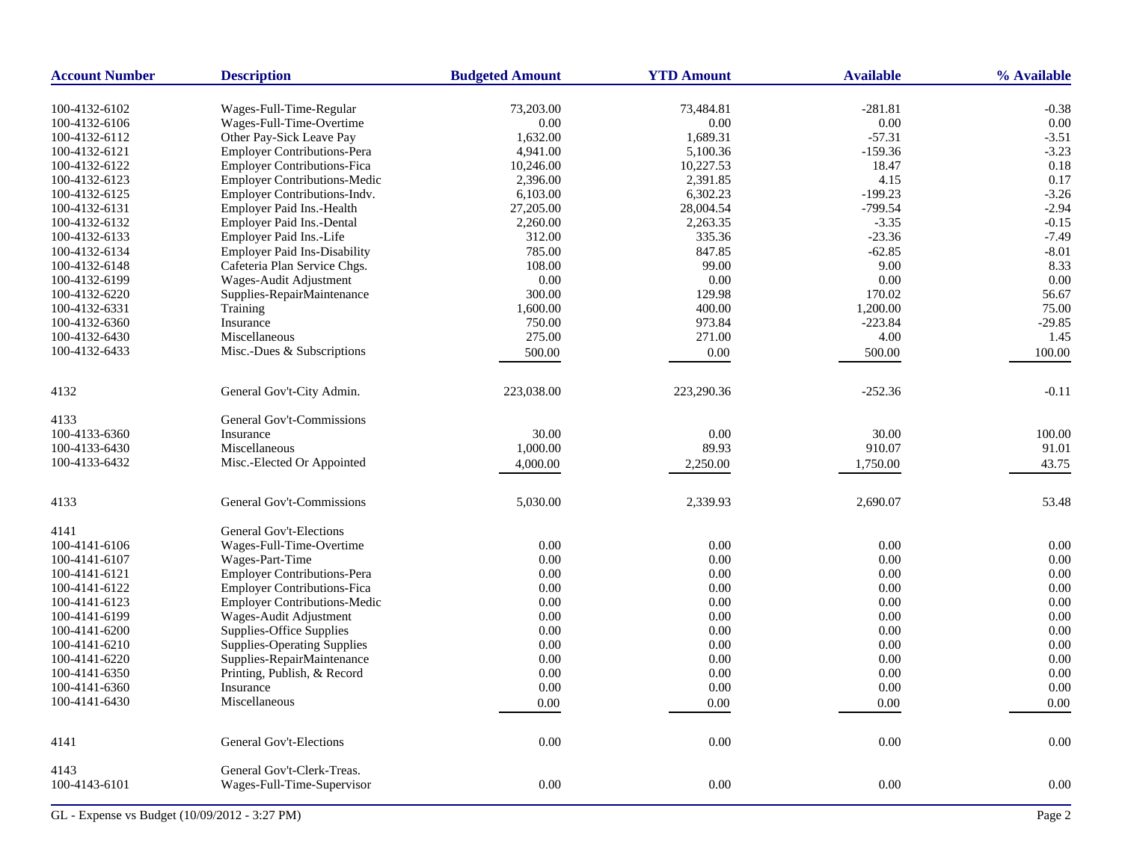| <b>Account Number</b> | <b>Description</b>                  | <b>Budgeted Amount</b> | <b>YTD Amount</b> | <b>Available</b> | % Available |
|-----------------------|-------------------------------------|------------------------|-------------------|------------------|-------------|
| 100-4132-6102         | Wages-Full-Time-Regular             | 73,203.00              | 73,484.81         | $-281.81$        | $-0.38$     |
| 100-4132-6106         | Wages-Full-Time-Overtime            | 0.00                   | 0.00              | 0.00             | 0.00        |
| 100-4132-6112         | Other Pay-Sick Leave Pay            | 1,632.00               | 1,689.31          | $-57.31$         | $-3.51$     |
| 100-4132-6121         | <b>Employer Contributions-Pera</b>  | 4,941.00               | 5,100.36          | $-159.36$        | $-3.23$     |
| 100-4132-6122         | <b>Employer Contributions-Fica</b>  | 10,246.00              | 10,227.53         | 18.47            | 0.18        |
| 100-4132-6123         | <b>Employer Contributions-Medic</b> | 2,396.00               | 2,391.85          | 4.15             | 0.17        |
| 100-4132-6125         | Employer Contributions-Indv.        | 6,103.00               | 6,302.23          | $-199.23$        | $-3.26$     |
| 100-4132-6131         | Employer Paid Ins.-Health           | 27,205.00              | 28,004.54         | $-799.54$        | $-2.94$     |
| 100-4132-6132         | Employer Paid Ins.-Dental           | 2,260.00               | 2,263.35          | $-3.35$          | $-0.15$     |
| 100-4132-6133         | Employer Paid Ins.-Life             | 312.00                 | 335.36            | $-23.36$         | $-7.49$     |
| 100-4132-6134         | <b>Employer Paid Ins-Disability</b> | 785.00                 | 847.85            | $-62.85$         | $-8.01$     |
| 100-4132-6148         | Cafeteria Plan Service Chgs.        | 108.00                 | 99.00             | 9.00             | 8.33        |
| 100-4132-6199         | Wages-Audit Adjustment              | 0.00                   | 0.00              | 0.00             | 0.00        |
| 100-4132-6220         | Supplies-RepairMaintenance          | 300.00                 | 129.98            | 170.02           | 56.67       |
| 100-4132-6331         | Training                            | 1,600.00               | 400.00            | 1,200.00         | 75.00       |
| 100-4132-6360         | Insurance                           | 750.00                 | 973.84            | $-223.84$        | $-29.85$    |
| 100-4132-6430         | Miscellaneous                       | 275.00                 | 271.00            | 4.00             | 1.45        |
| 100-4132-6433         | Misc.-Dues & Subscriptions          |                        |                   |                  |             |
|                       |                                     | 500.00                 | 0.00              | 500.00           | 100.00      |
| 4132                  | General Gov't-City Admin.           | 223,038.00             | 223,290.36        | $-252.36$        | $-0.11$     |
| 4133                  | General Gov't-Commissions           |                        |                   |                  |             |
| 100-4133-6360         | Insurance                           | 30.00                  | 0.00              | 30.00            | 100.00      |
| 100-4133-6430         | Miscellaneous                       | 1,000.00               | 89.93             | 910.07           | 91.01       |
| 100-4133-6432         | Misc.-Elected Or Appointed          | 4,000.00               | 2,250.00          | 1,750.00         | 43.75       |
| 4133                  | General Gov't-Commissions           | 5,030.00               | 2,339.93          | 2,690.07         | 53.48       |
| 4141                  | General Gov't-Elections             |                        |                   |                  |             |
| 100-4141-6106         | Wages-Full-Time-Overtime            | 0.00                   | 0.00              | 0.00             | 0.00        |
| 100-4141-6107         | Wages-Part-Time                     | 0.00                   | 0.00              | 0.00             | 0.00        |
| 100-4141-6121         | <b>Employer Contributions-Pera</b>  | 0.00                   | 0.00              | 0.00             | 0.00        |
| 100-4141-6122         | Employer Contributions-Fica         | 0.00                   | 0.00              | 0.00             | 0.00        |
| 100-4141-6123         | <b>Employer Contributions-Medic</b> | 0.00                   | 0.00              | 0.00             | 0.00        |
| 100-4141-6199         | Wages-Audit Adjustment              | 0.00                   | 0.00              | 0.00             | 0.00        |
| 100-4141-6200         | Supplies-Office Supplies            | 0.00                   | 0.00              | 0.00             | 0.00        |
| 100-4141-6210         | <b>Supplies-Operating Supplies</b>  | 0.00                   | 0.00              | 0.00             | 0.00        |
| 100-4141-6220         | Supplies-RepairMaintenance          | 0.00                   | 0.00              | 0.00             | 0.00        |
| 100-4141-6350         | Printing, Publish, & Record         | 0.00                   | 0.00              | 0.00             | 0.00        |
| 100-4141-6360         | Insurance                           | 0.00                   | 0.00              | $0.00\,$         | 0.00        |
| 100-4141-6430         | Miscellaneous                       | 0.00                   | 0.00              | 0.00             | 0.00        |
|                       |                                     |                        |                   |                  |             |
| 4141                  | General Gov't-Elections             | 0.00                   | 0.00              | 0.00             | 0.00        |
| 4143                  | General Gov't-Clerk-Treas.          |                        |                   |                  |             |
| 100-4143-6101         | Wages-Full-Time-Supervisor          | 0.00                   | 0.00              | 0.00             | 0.00        |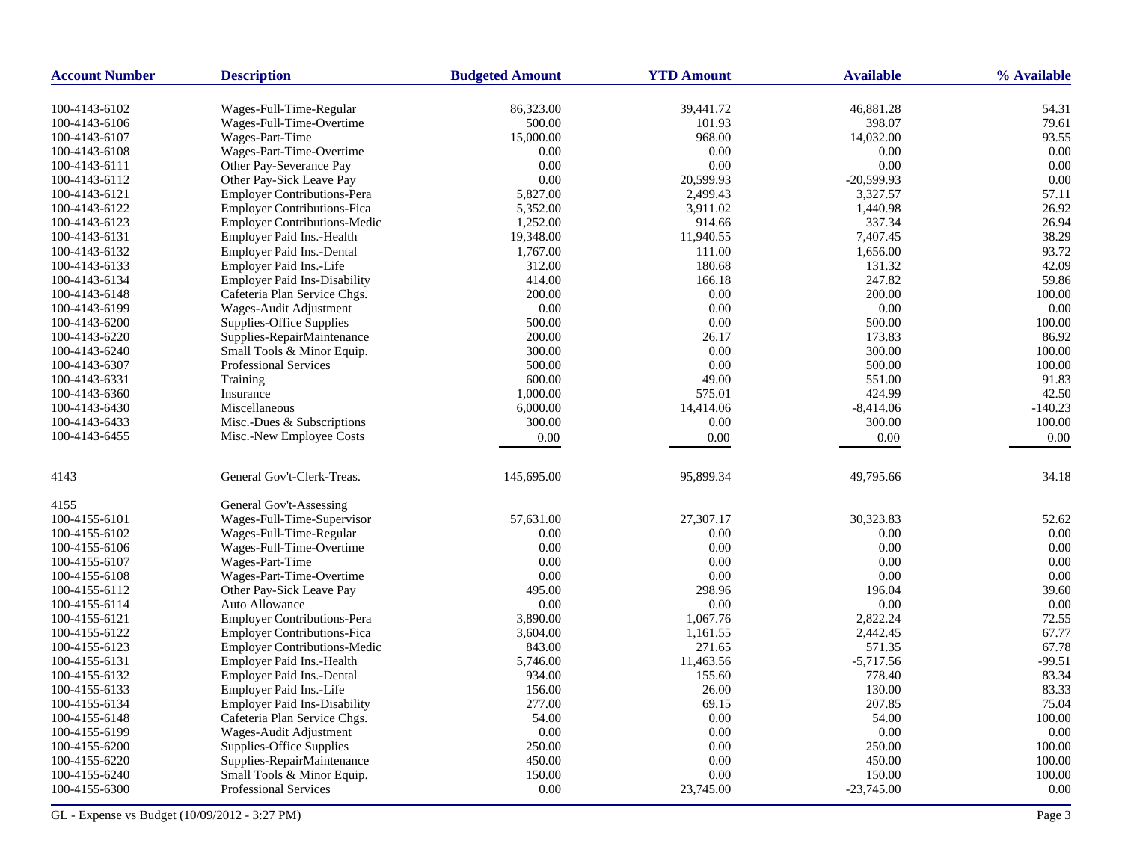| <b>Account Number</b> | <b>Description</b>                  | <b>Budgeted Amount</b> | <b>YTD Amount</b> | <b>Available</b> | % Available |
|-----------------------|-------------------------------------|------------------------|-------------------|------------------|-------------|
| 100-4143-6102         | Wages-Full-Time-Regular             | 86,323.00              | 39,441.72         | 46,881.28        | 54.31       |
| 100-4143-6106         | Wages-Full-Time-Overtime            | 500.00                 | 101.93            | 398.07           | 79.61       |
| 100-4143-6107         | Wages-Part-Time                     | 15,000.00              | 968.00            | 14,032.00        | 93.55       |
| 100-4143-6108         | Wages-Part-Time-Overtime            | 0.00                   | 0.00              | 0.00             | 0.00        |
| 100-4143-6111         | Other Pay-Severance Pay             | 0.00                   | 0.00              | 0.00             | 0.00        |
| 100-4143-6112         | Other Pay-Sick Leave Pay            | 0.00                   | 20,599.93         | $-20,599.93$     | 0.00        |
| 100-4143-6121         | Employer Contributions-Pera         | 5,827.00               | 2,499.43          | 3,327.57         | 57.11       |
| 100-4143-6122         | <b>Employer Contributions-Fica</b>  | 5,352.00               | 3,911.02          | 1,440.98         | 26.92       |
| 100-4143-6123         | <b>Employer Contributions-Medic</b> | 1,252.00               | 914.66            | 337.34           | 26.94       |
| 100-4143-6131         | Employer Paid Ins.-Health           | 19,348.00              | 11,940.55         | 7,407.45         | 38.29       |
| 100-4143-6132         | Employer Paid Ins.-Dental           | 1,767.00               | 111.00            | 1,656.00         | 93.72       |
| 100-4143-6133         | Employer Paid Ins.-Life             | 312.00                 | 180.68            | 131.32           | 42.09       |
| 100-4143-6134         | <b>Employer Paid Ins-Disability</b> | 414.00                 | 166.18            | 247.82           | 59.86       |
| 100-4143-6148         | Cafeteria Plan Service Chgs.        | 200.00                 | 0.00              | 200.00           | 100.00      |
| 100-4143-6199         | Wages-Audit Adjustment              | 0.00                   | 0.00              | 0.00             | 0.00        |
| 100-4143-6200         | Supplies-Office Supplies            | 500.00                 | 0.00              | 500.00           | 100.00      |
| 100-4143-6220         | Supplies-RepairMaintenance          | 200.00                 | 26.17             | 173.83           | 86.92       |
| 100-4143-6240         | Small Tools & Minor Equip.          | 300.00                 | 0.00              | 300.00           | 100.00      |
| 100-4143-6307         | Professional Services               | 500.00                 | 0.00              | 500.00           | 100.00      |
| 100-4143-6331         | Training                            | 600.00                 | 49.00             | 551.00           | 91.83       |
| 100-4143-6360         | Insurance                           | 1,000.00               | 575.01            | 424.99           | 42.50       |
| 100-4143-6430         | Miscellaneous                       | 6,000.00               | 14,414.06         | $-8,414.06$      | $-140.23$   |
| 100-4143-6433         | Misc.-Dues & Subscriptions          | 300.00                 | 0.00              | 300.00           | 100.00      |
| 100-4143-6455         | Misc.-New Employee Costs            | 0.00                   | 0.00              | 0.00             | 0.00        |
|                       |                                     |                        |                   |                  |             |
| 4143                  | General Gov't-Clerk-Treas.          | 145,695.00             | 95,899.34         | 49,795.66        | 34.18       |
| 4155                  | General Gov't-Assessing             |                        |                   |                  |             |
| 100-4155-6101         | Wages-Full-Time-Supervisor          | 57,631.00              | 27,307.17         | 30,323.83        | 52.62       |
| 100-4155-6102         | Wages-Full-Time-Regular             | 0.00                   | 0.00              | 0.00             | 0.00        |
| 100-4155-6106         | Wages-Full-Time-Overtime            | 0.00                   | 0.00              | 0.00             | 0.00        |
| 100-4155-6107         | Wages-Part-Time                     | 0.00                   | 0.00              | 0.00             | 0.00        |
| 100-4155-6108         | Wages-Part-Time-Overtime            | 0.00                   | 0.00              | 0.00             | 0.00        |
| 100-4155-6112         | Other Pay-Sick Leave Pay            | 495.00                 | 298.96            | 196.04           | 39.60       |
| 100-4155-6114         | Auto Allowance                      | 0.00                   | 0.00              | 0.00             | 0.00        |
| 100-4155-6121         | <b>Employer Contributions-Pera</b>  | 3,890.00               | 1,067.76          | 2,822.24         | 72.55       |
| 100-4155-6122         | <b>Employer Contributions-Fica</b>  | 3,604.00               | 1,161.55          | 2,442.45         | 67.77       |
| 100-4155-6123         | <b>Employer Contributions-Medic</b> | 843.00                 | 271.65            | 571.35           | 67.78       |
| 100-4155-6131         | Employer Paid Ins.-Health           | 5,746.00               | 11,463.56         | $-5,717.56$      | $-99.51$    |
| 100-4155-6132         | <b>Employer Paid Ins.-Dental</b>    | 934.00                 | 155.60            | 778.40           | 83.34       |
| 100-4155-6133         | Employer Paid Ins.-Life             | 156.00                 | 26.00             | 130.00           | 83.33       |
| 100-4155-6134         | <b>Employer Paid Ins-Disability</b> | 277.00                 | 69.15             | 207.85           | 75.04       |
| 100-4155-6148         | Cafeteria Plan Service Chgs.        | 54.00                  | 0.00              | 54.00            | 100.00      |
| 100-4155-6199         | Wages-Audit Adjustment              | 0.00                   | 0.00              | 0.00             | 0.00        |
| 100-4155-6200         | Supplies-Office Supplies            | 250.00                 | 0.00              | 250.00           | 100.00      |
| 100-4155-6220         | Supplies-RepairMaintenance          | 450.00                 | 0.00              | 450.00           | 100.00      |
| 100-4155-6240         | Small Tools & Minor Equip.          | 150.00                 | 0.00              | 150.00           | 100.00      |
| 100-4155-6300         | <b>Professional Services</b>        | 0.00                   | 23,745.00         | $-23,745.00$     | 0.00        |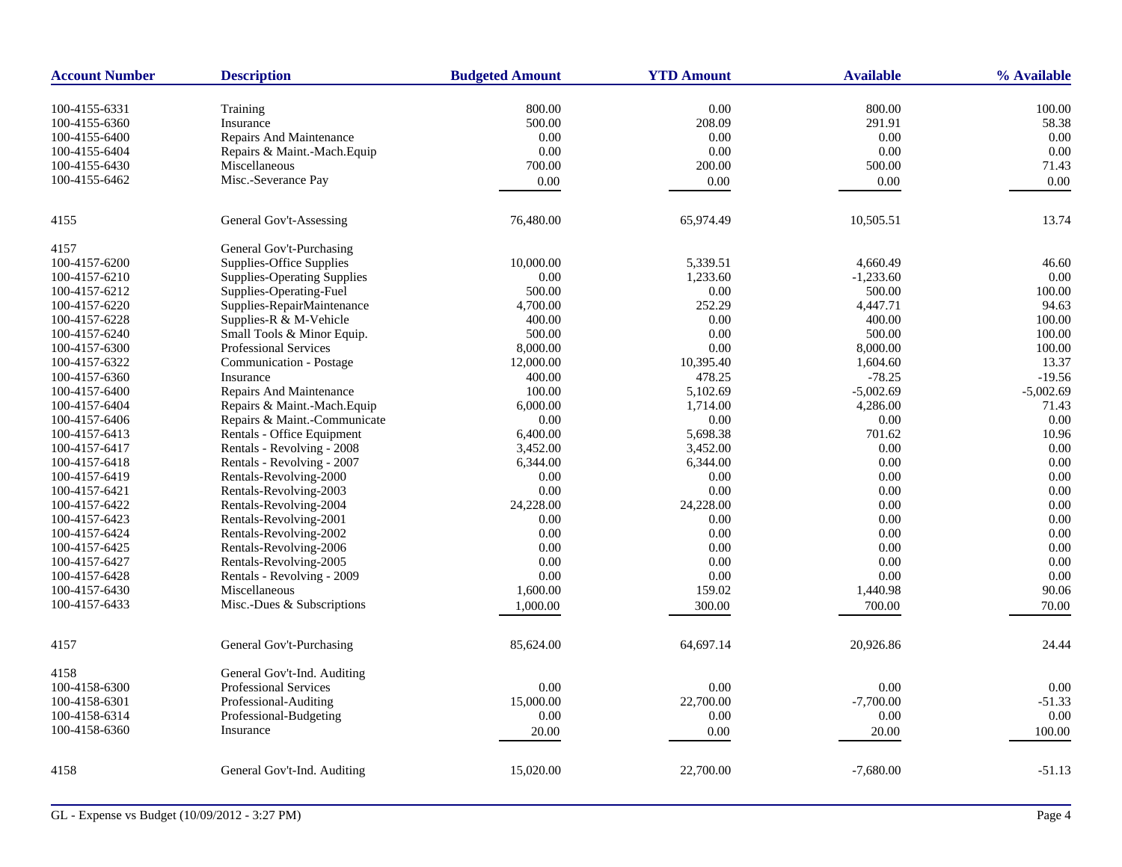| <b>Account Number</b> | <b>Description</b>                 | <b>Budgeted Amount</b> | <b>YTD Amount</b> | <b>Available</b> | % Available |
|-----------------------|------------------------------------|------------------------|-------------------|------------------|-------------|
| 100-4155-6331         | Training                           | 800.00                 | 0.00              | 800.00           | 100.00      |
| 100-4155-6360         | Insurance                          | 500.00                 | 208.09            | 291.91           | 58.38       |
| 100-4155-6400         | Repairs And Maintenance            | 0.00                   | 0.00              | 0.00             | 0.00        |
|                       | Repairs & Maint.-Mach.Equip        | 0.00                   | 0.00              | 0.00             | 0.00        |
| 100-4155-6404         |                                    |                        |                   |                  |             |
| 100-4155-6430         | Miscellaneous                      | 700.00                 | 200.00            | 500.00           | 71.43       |
| 100-4155-6462         | Misc.-Severance Pay                | 0.00                   | 0.00              | $0.00\,$         | 0.00        |
| 4155                  | General Gov't-Assessing            | 76,480.00              | 65,974.49         | 10,505.51        | 13.74       |
| 4157                  | General Gov't-Purchasing           |                        |                   |                  |             |
| 100-4157-6200         | Supplies-Office Supplies           | 10,000.00              | 5,339.51          | 4,660.49         | 46.60       |
| 100-4157-6210         | <b>Supplies-Operating Supplies</b> | 0.00                   | 1,233.60          | $-1,233.60$      | 0.00        |
| 100-4157-6212         | Supplies-Operating-Fuel            | 500.00                 | 0.00              | 500.00           | 100.00      |
| 100-4157-6220         | Supplies-RepairMaintenance         | 4,700.00               | 252.29            | 4,447.71         | 94.63       |
| 100-4157-6228         | Supplies-R & M-Vehicle             | 400.00                 | 0.00              | 400.00           | 100.00      |
| 100-4157-6240         | Small Tools & Minor Equip.         | 500.00                 | 0.00              | 500.00           | 100.00      |
| 100-4157-6300         | <b>Professional Services</b>       | 8,000.00               | 0.00              | 8,000.00         | 100.00      |
| 100-4157-6322         | Communication - Postage            | 12,000.00              | 10,395.40         | 1,604.60         | 13.37       |
| 100-4157-6360         | Insurance                          | 400.00                 | 478.25            | $-78.25$         | $-19.56$    |
| 100-4157-6400         | <b>Repairs And Maintenance</b>     | 100.00                 | 5,102.69          | $-5,002.69$      | $-5,002.69$ |
| 100-4157-6404         | Repairs & Maint.-Mach.Equip        | 6,000.00               | 1,714.00          | 4,286.00         | 71.43       |
| 100-4157-6406         | Repairs & Maint.-Communicate       | 0.00                   | $0.00\,$          | $0.00\,$         | 0.00        |
| 100-4157-6413         | Rentals - Office Equipment         | 6,400.00               | 5,698.38          | 701.62           | 10.96       |
| 100-4157-6417         | Rentals - Revolving - 2008         | 3,452.00               | 3,452.00          | 0.00             | 0.00        |
| 100-4157-6418         | Rentals - Revolving - 2007         | 6,344.00               | 6,344.00          | 0.00             | 0.00        |
| 100-4157-6419         | Rentals-Revolving-2000             | 0.00                   | 0.00              | 0.00             | 0.00        |
| 100-4157-6421         | Rentals-Revolving-2003             | 0.00                   | 0.00              | 0.00             | 0.00        |
| 100-4157-6422         | Rentals-Revolving-2004             | 24,228.00              | 24,228.00         | 0.00             | 0.00        |
| 100-4157-6423         | Rentals-Revolving-2001             | 0.00                   | 0.00              | 0.00             | 0.00        |
| 100-4157-6424         | Rentals-Revolving-2002             | 0.00                   | 0.00              | 0.00             | 0.00        |
| 100-4157-6425         | Rentals-Revolving-2006             | 0.00                   | 0.00              | 0.00             | 0.00        |
| 100-4157-6427         | Rentals-Revolving-2005             | 0.00                   | 0.00              | 0.00             | 0.00        |
| 100-4157-6428         | Rentals - Revolving - 2009         | 0.00                   | 0.00              | 0.00             | 0.00        |
| 100-4157-6430         | Miscellaneous                      | 1,600.00               | 159.02            | 1,440.98         | 90.06       |
| 100-4157-6433         | Misc.-Dues & Subscriptions         | 1,000.00               | 300.00            | 700.00           | 70.00       |
|                       |                                    |                        |                   |                  |             |
| 4157                  | General Gov't-Purchasing           | 85,624.00              | 64,697.14         | 20,926.86        | 24.44       |
| 4158                  | General Gov't-Ind. Auditing        |                        |                   |                  |             |
| 100-4158-6300         | <b>Professional Services</b>       | 0.00                   | 0.00              | 0.00             | 0.00        |
| 100-4158-6301         | Professional-Auditing              | 15,000.00              | 22,700.00         | $-7,700.00$      | $-51.33$    |
| 100-4158-6314         | Professional-Budgeting             | 0.00                   | 0.00              | 0.00             | 0.00        |
| 100-4158-6360         | Insurance                          | 20.00                  | 0.00              | 20.00            | $100.00\,$  |
|                       |                                    |                        |                   |                  |             |
| 4158                  | General Gov't-Ind. Auditing        | 15,020.00              | 22,700.00         | $-7,680.00$      | $-51.13$    |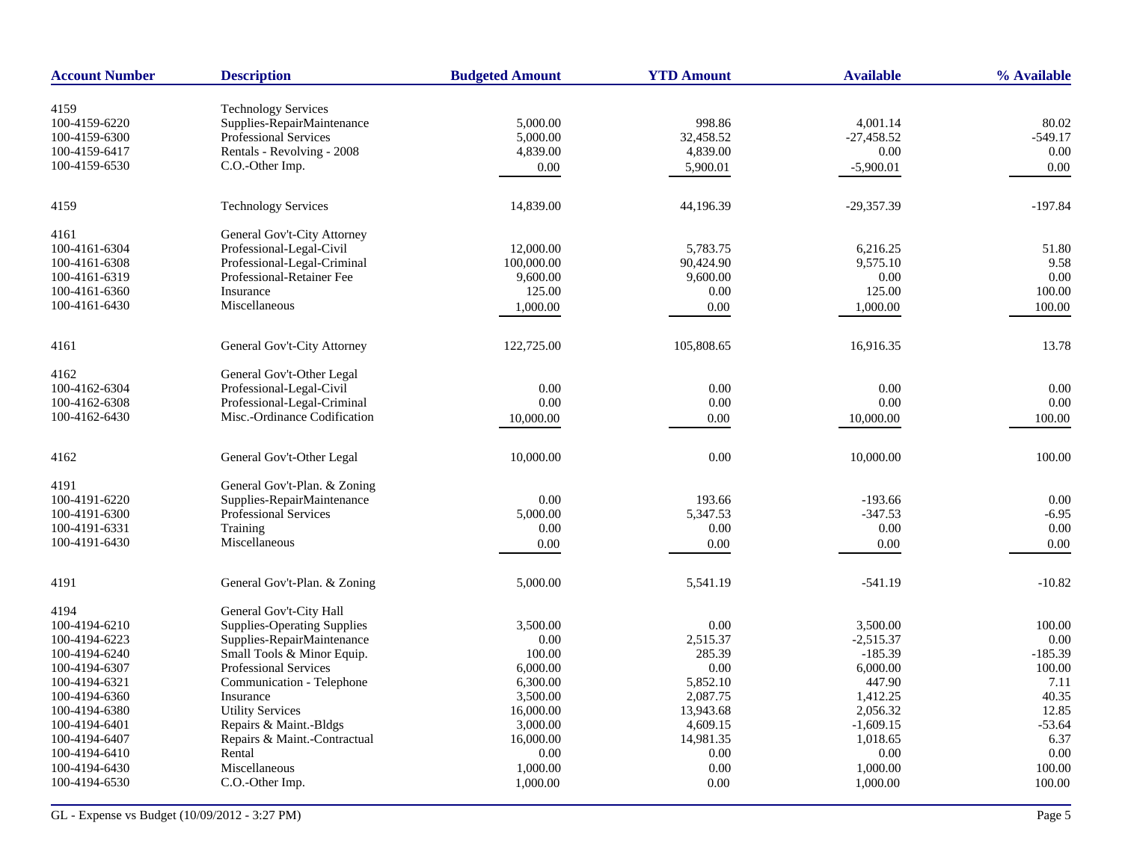| <b>Account Number</b>          | <b>Description</b>                                         | <b>Budgeted Amount</b> | <b>YTD Amount</b>   | <b>Available</b>         | % Available |
|--------------------------------|------------------------------------------------------------|------------------------|---------------------|--------------------------|-------------|
|                                |                                                            |                        |                     |                          |             |
| 4159                           | <b>Technology Services</b>                                 |                        |                     |                          |             |
| 100-4159-6220<br>100-4159-6300 | Supplies-RepairMaintenance<br><b>Professional Services</b> | 5,000.00               | 998.86<br>32,458.52 | 4,001.14<br>$-27.458.52$ | 80.02       |
|                                | Rentals - Revolving - 2008                                 | 5,000.00               | 4,839.00            |                          | $-549.17$   |
| 100-4159-6417                  |                                                            | 4,839.00               |                     | 0.00                     | 0.00        |
| 100-4159-6530                  | C.O.-Other Imp.                                            | $0.00\,$               | 5,900.01            | $-5,900.01$              | 0.00        |
| 4159                           | <b>Technology Services</b>                                 | 14,839.00              | 44.196.39           | $-29,357.39$             | $-197.84$   |
| 4161                           | General Gov't-City Attorney                                |                        |                     |                          |             |
| 100-4161-6304                  | Professional-Legal-Civil                                   | 12,000.00              | 5,783.75            | 6,216.25                 | 51.80       |
| 100-4161-6308                  | Professional-Legal-Criminal                                | 100,000.00             | 90,424.90           | 9,575.10                 | 9.58        |
| 100-4161-6319                  | Professional-Retainer Fee                                  | 9,600.00               | 9,600.00            | 0.00                     | 0.00        |
| 100-4161-6360                  | Insurance                                                  | 125.00                 | 0.00                | 125.00                   | 100.00      |
| 100-4161-6430                  | Miscellaneous                                              | 1,000.00               | 0.00                | 1,000.00                 | 100.00      |
| 4161                           | General Gov't-City Attorney                                | 122,725.00             | 105,808.65          | 16,916.35                | 13.78       |
| 4162                           | General Gov't-Other Legal                                  |                        |                     |                          |             |
| 100-4162-6304                  | Professional-Legal-Civil                                   | 0.00                   | $0.00\,$            | 0.00                     | 0.00        |
| 100-4162-6308                  | Professional-Legal-Criminal                                | 0.00                   | 0.00                | 0.00                     | 0.00        |
| 100-4162-6430                  | Misc.-Ordinance Codification                               | 10,000.00              | 0.00                | 10,000.00                | 100.00      |
|                                |                                                            |                        |                     |                          |             |
| 4162                           | General Gov't-Other Legal                                  | 10,000.00              | 0.00                | 10,000.00                | 100.00      |
| 4191                           | General Gov't-Plan. & Zoning                               |                        |                     |                          |             |
| 100-4191-6220                  | Supplies-RepairMaintenance                                 | 0.00                   | 193.66              | $-193.66$                | 0.00        |
| 100-4191-6300                  | <b>Professional Services</b>                               | 5,000.00               | 5,347.53            | $-347.53$                | $-6.95$     |
| 100-4191-6331                  | Training                                                   | 0.00                   | 0.00                | 0.00                     | 0.00        |
| 100-4191-6430                  | Miscellaneous                                              | 0.00                   | 0.00                | 0.00                     | 0.00        |
| 4191                           | General Gov't-Plan. & Zoning                               | 5,000.00               | 5,541.19            | $-541.19$                | $-10.82$    |
|                                |                                                            |                        |                     |                          |             |
| 4194                           | General Gov't-City Hall                                    |                        |                     |                          |             |
| 100-4194-6210                  | <b>Supplies-Operating Supplies</b>                         | 3,500.00               | 0.00                | 3,500.00                 | 100.00      |
| 100-4194-6223                  | Supplies-RepairMaintenance                                 | 0.00                   | 2,515.37            | $-2,515.37$              | $0.00\,$    |
| 100-4194-6240                  | Small Tools & Minor Equip.                                 | 100.00                 | 285.39              | $-185.39$                | $-185.39$   |
| 100-4194-6307                  | <b>Professional Services</b>                               | 6,000.00               | 0.00                | 6,000.00                 | 100.00      |
| 100-4194-6321                  | Communication - Telephone                                  | 6,300.00               | 5,852.10            | 447.90                   | 7.11        |
| 100-4194-6360                  | Insurance                                                  | 3,500.00               | 2,087.75            | 1,412.25                 | 40.35       |
| 100-4194-6380                  | <b>Utility Services</b>                                    | 16,000.00              | 13,943.68           | 2,056.32                 | 12.85       |
| 100-4194-6401                  | Repairs & Maint.-Bldgs                                     | 3,000.00               | 4,609.15            | $-1,609.15$              | $-53.64$    |
| 100-4194-6407                  | Repairs & Maint.-Contractual                               | 16,000.00              | 14,981.35           | 1,018.65                 | 6.37        |
| 100-4194-6410                  | Rental                                                     | 0.00                   | 0.00                | 0.00                     | 0.00        |
| 100-4194-6430                  | Miscellaneous                                              | 1,000.00               | 0.00                | 1,000.00                 | 100.00      |
| 100-4194-6530                  | C.O.-Other Imp.                                            | 1,000.00               | 0.00                | 1,000.00                 | 100.00      |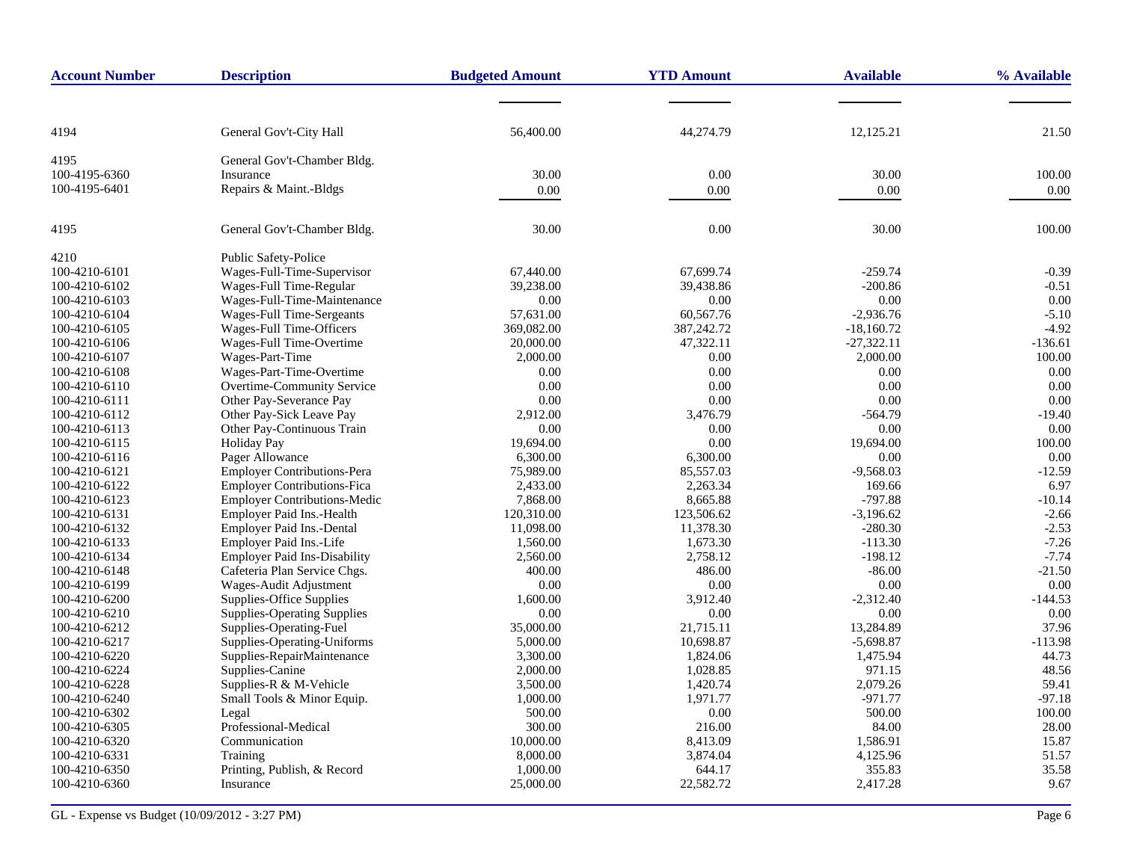| <b>Account Number</b> | <b>Description</b>                  | <b>Budgeted Amount</b> | <b>YTD Amount</b> | <b>Available</b> | % Available |
|-----------------------|-------------------------------------|------------------------|-------------------|------------------|-------------|
|                       |                                     |                        |                   |                  |             |
| 4194                  | General Gov't-City Hall             | 56,400.00              | 44,274.79         | 12,125.21        | 21.50       |
|                       |                                     |                        |                   |                  |             |
| 4195                  | General Gov't-Chamber Bldg.         |                        |                   |                  |             |
| 100-4195-6360         | Insurance                           | 30.00                  | 0.00              | 30.00            | 100.00      |
| 100-4195-6401         | Repairs & Maint.-Bldgs              | $0.00\,$               | 0.00              | 0.00             | 0.00        |
| 4195                  | General Gov't-Chamber Bldg.         | 30.00                  | 0.00              | 30.00            | 100.00      |
| 4210                  | Public Safety-Police                |                        |                   |                  |             |
| 100-4210-6101         | Wages-Full-Time-Supervisor          | 67,440.00              | 67,699.74         | $-259.74$        | $-0.39$     |
| 100-4210-6102         | Wages-Full Time-Regular             | 39,238.00              | 39,438.86         | $-200.86$        | $-0.51$     |
| 100-4210-6103         | Wages-Full-Time-Maintenance         | 0.00                   | 0.00              | 0.00             | 0.00        |
| 100-4210-6104         | Wages-Full Time-Sergeants           | 57,631.00              | 60,567.76         | $-2,936.76$      | $-5.10$     |
| 100-4210-6105         | Wages-Full Time-Officers            | 369,082.00             | 387,242.72        | $-18,160.72$     | $-4.92$     |
| 100-4210-6106         | Wages-Full Time-Overtime            | 20,000.00              | 47,322.11         | $-27,322.11$     | $-136.61$   |
| 100-4210-6107         | Wages-Part-Time                     | 2,000.00               | 0.00              | 2,000.00         | 100.00      |
| 100-4210-6108         | Wages-Part-Time-Overtime            | 0.00                   | 0.00              | 0.00             | 0.00        |
| 100-4210-6110         | Overtime-Community Service          | 0.00                   | 0.00              | 0.00             | 0.00        |
| 100-4210-6111         | Other Pay-Severance Pay             | 0.00                   | 0.00              | 0.00             | 0.00        |
| 100-4210-6112         | Other Pay-Sick Leave Pay            | 2,912.00               | 3,476.79          | $-564.79$        | $-19.40$    |
| 100-4210-6113         | Other Pay-Continuous Train          | 0.00                   | 0.00              | 0.00             | 0.00        |
| 100-4210-6115         | <b>Holiday Pay</b>                  | 19,694.00              | 0.00              | 19,694.00        | 100.00      |
| 100-4210-6116         | Pager Allowance                     | 6,300.00               | 6,300.00          | 0.00             | 0.00        |
| 100-4210-6121         | <b>Employer Contributions-Pera</b>  | 75,989.00              | 85,557.03         | $-9,568.03$      | $-12.59$    |
| 100-4210-6122         | <b>Employer Contributions-Fica</b>  | 2,433.00               | 2,263.34          | 169.66           | 6.97        |
| 100-4210-6123         | <b>Employer Contributions-Medic</b> | 7,868.00               | 8,665.88          | $-797.88$        | $-10.14$    |
| 100-4210-6131         | Employer Paid Ins.-Health           | 120,310.00             | 123,506.62        | $-3,196.62$      | $-2.66$     |
| 100-4210-6132         | Employer Paid Ins.-Dental           | 11,098.00              | 11,378.30         | $-280.30$        | $-2.53$     |
| 100-4210-6133         | Employer Paid Ins.-Life             | 1,560.00               | 1,673.30          | $-113.30$        | $-7.26$     |
| 100-4210-6134         | <b>Employer Paid Ins-Disability</b> | 2,560.00               | 2,758.12          | $-198.12$        | $-7.74$     |
| 100-4210-6148         | Cafeteria Plan Service Chgs.        | 400.00                 | 486.00            | $-86.00$         | $-21.50$    |
| 100-4210-6199         | Wages-Audit Adjustment              | 0.00                   | 0.00              | 0.00             | 0.00        |
| 100-4210-6200         | Supplies-Office Supplies            | 1,600.00               | 3,912.40          | $-2,312.40$      | $-144.53$   |
| 100-4210-6210         | <b>Supplies-Operating Supplies</b>  | 0.00                   | 0.00              | 0.00             | 0.00        |
| 100-4210-6212         | Supplies-Operating-Fuel             | 35,000.00              | 21,715.11         | 13,284.89        | 37.96       |
| 100-4210-6217         | Supplies-Operating-Uniforms         | 5,000.00               | 10,698.87         | $-5,698.87$      | $-113.98$   |
| 100-4210-6220         | Supplies-RepairMaintenance          | 3,300.00               | 1,824.06          | 1,475.94         | 44.73       |
| 100-4210-6224         | Supplies-Canine                     | 2,000.00               | 1,028.85          | 971.15           | 48.56       |
| 100-4210-6228         | Supplies-R & M-Vehicle              | 3,500.00               | 1,420.74          | 2,079.26         | 59.41       |
| 100-4210-6240         | Small Tools & Minor Equip.          | 1,000.00               | 1,971.77          | $-971.77$        | $-97.18$    |
| 100-4210-6302         | Legal                               | 500.00                 | 0.00              | 500.00           | 100.00      |
| 100-4210-6305         | Professional-Medical                | 300.00                 | 216.00            | 84.00            | 28.00       |
| 100-4210-6320         | Communication                       | 10,000.00              | 8,413.09          | 1,586.91         | 15.87       |
| 100-4210-6331         | Training                            | 8,000.00               | 3,874.04          | 4,125.96         | 51.57       |
| 100-4210-6350         | Printing, Publish, & Record         | 1,000.00               | 644.17            | 355.83           | 35.58       |
| 100-4210-6360         | Insurance                           | 25,000.00              | 22,582.72         | 2,417.28         | 9.67        |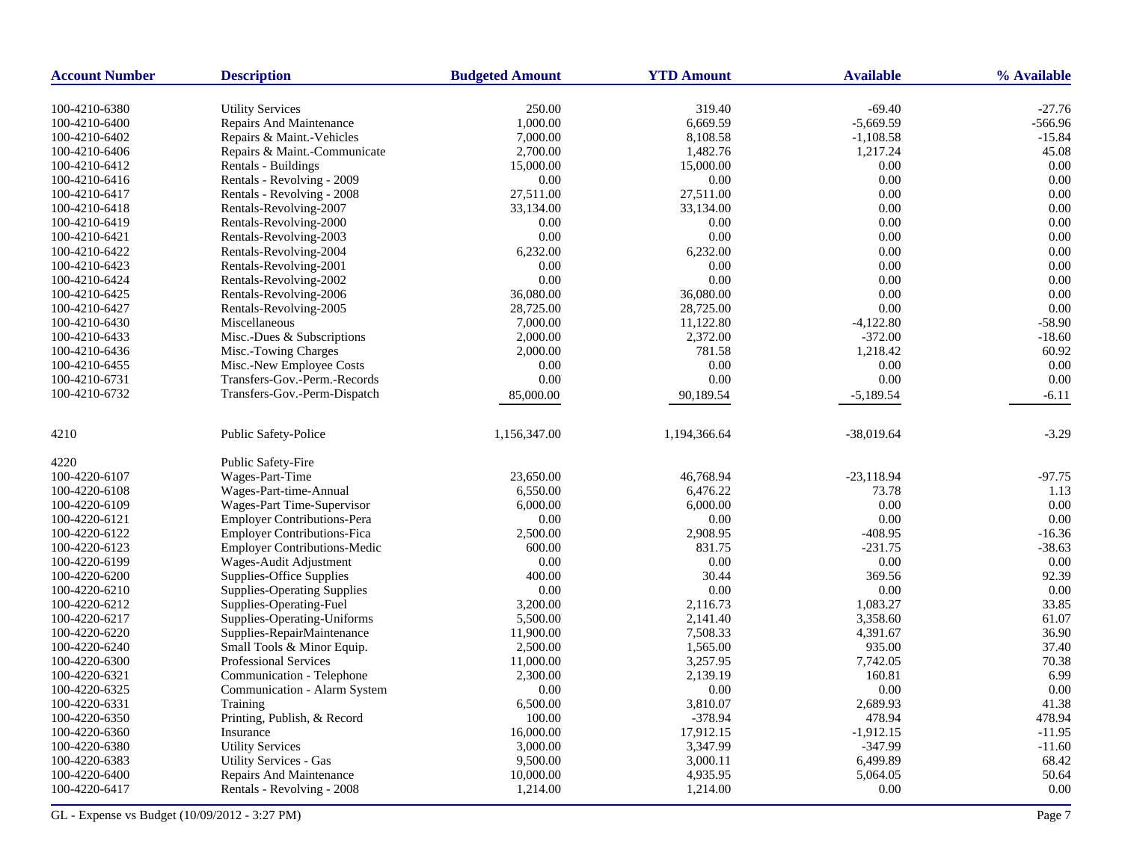| <b>Account Number</b> | <b>Description</b>                  | <b>Budgeted Amount</b> | <b>YTD Amount</b> | <b>Available</b> | % Available |
|-----------------------|-------------------------------------|------------------------|-------------------|------------------|-------------|
| 100-4210-6380         | <b>Utility Services</b>             | 250.00                 | 319.40            | $-69.40$         | $-27.76$    |
| 100-4210-6400         | Repairs And Maintenance             | 1,000.00               | 6,669.59          | $-5,669.59$      | $-566.96$   |
| 100-4210-6402         | Repairs & Maint.-Vehicles           | 7,000.00               | 8,108.58          | $-1,108.58$      | $-15.84$    |
| 100-4210-6406         | Repairs & Maint.-Communicate        | 2,700.00               | 1,482.76          | 1,217.24         | 45.08       |
| 100-4210-6412         | Rentals - Buildings                 | 15,000.00              | 15,000.00         | 0.00             | 0.00        |
| 100-4210-6416         | Rentals - Revolving - 2009          | 0.00                   | 0.00              | 0.00             | 0.00        |
| 100-4210-6417         | Rentals - Revolving - 2008          | 27,511.00              | 27,511.00         | 0.00             | 0.00        |
| 100-4210-6418         | Rentals-Revolving-2007              | 33,134.00              | 33,134.00         | 0.00             | 0.00        |
| 100-4210-6419         | Rentals-Revolving-2000              | 0.00                   | 0.00              | 0.00             | 0.00        |
| 100-4210-6421         | Rentals-Revolving-2003              | 0.00                   | 0.00              | 0.00             | 0.00        |
| 100-4210-6422         | Rentals-Revolving-2004              | 6,232.00               | 6,232.00          | 0.00             | 0.00        |
| 100-4210-6423         | Rentals-Revolving-2001              | 0.00                   | 0.00              | 0.00             | 0.00        |
| 100-4210-6424         | Rentals-Revolving-2002              | 0.00                   | 0.00              | 0.00             | 0.00        |
| 100-4210-6425         | Rentals-Revolving-2006              | 36,080.00              | 36,080.00         | 0.00             | 0.00        |
| 100-4210-6427         | Rentals-Revolving-2005              | 28,725.00              | 28,725.00         | 0.00             | 0.00        |
| 100-4210-6430         | Miscellaneous                       | 7,000.00               | 11,122.80         | $-4,122.80$      | $-58.90$    |
| 100-4210-6433         | Misc.-Dues & Subscriptions          | 2,000.00               | 2,372.00          | $-372.00$        | $-18.60$    |
| 100-4210-6436         | Misc.-Towing Charges                | 2,000.00               | 781.58            | 1,218.42         | 60.92       |
| 100-4210-6455         | Misc.-New Employee Costs            | 0.00                   | 0.00              | 0.00             | 0.00        |
| 100-4210-6731         | Transfers-Gov.-Perm.-Records        | 0.00                   | 0.00              | 0.00             | 0.00        |
| 100-4210-6732         | Transfers-Gov.-Perm-Dispatch        |                        |                   |                  |             |
|                       |                                     | 85,000.00              | 90,189.54         | $-5,189.54$      | $-6.11$     |
| 4210                  | <b>Public Safety-Police</b>         | 1,156,347.00           | 1,194,366.64      | $-38,019.64$     | $-3.29$     |
| 4220                  | <b>Public Safety-Fire</b>           |                        |                   |                  |             |
| 100-4220-6107         | Wages-Part-Time                     | 23,650.00              | 46,768.94         | $-23,118.94$     | $-97.75$    |
| 100-4220-6108         | Wages-Part-time-Annual              | 6,550.00               | 6,476.22          | 73.78            | 1.13        |
| 100-4220-6109         | Wages-Part Time-Supervisor          | 6,000.00               | 6,000.00          | 0.00             | 0.00        |
| 100-4220-6121         | <b>Employer Contributions-Pera</b>  | 0.00                   | 0.00              | 0.00             | 0.00        |
| 100-4220-6122         | <b>Employer Contributions-Fica</b>  | 2,500.00               | 2,908.95          | $-408.95$        | $-16.36$    |
| 100-4220-6123         | <b>Employer Contributions-Medic</b> | 600.00                 | 831.75            | $-231.75$        | $-38.63$    |
| 100-4220-6199         | Wages-Audit Adjustment              | 0.00                   | 0.00              | 0.00             | 0.00        |
| 100-4220-6200         | Supplies-Office Supplies            | 400.00                 | 30.44             | 369.56           | 92.39       |
| 100-4220-6210         | <b>Supplies-Operating Supplies</b>  | 0.00                   | 0.00              | 0.00             | 0.00        |
| 100-4220-6212         | Supplies-Operating-Fuel             | 3,200.00               | 2,116.73          | 1,083.27         | 33.85       |
| 100-4220-6217         | Supplies-Operating-Uniforms         | 5,500.00               | 2,141.40          | 3,358.60         | 61.07       |
| 100-4220-6220         | Supplies-RepairMaintenance          | 11,900.00              | 7,508.33          | 4,391.67         | 36.90       |
| 100-4220-6240         | Small Tools & Minor Equip.          | 2,500.00               | 1,565.00          | 935.00           | 37.40       |
| 100-4220-6300         | <b>Professional Services</b>        | 11,000.00              | 3,257.95          | 7,742.05         | 70.38       |
| 100-4220-6321         | Communication - Telephone           | 2,300.00               | 2,139.19          | 160.81           | 6.99        |
| 100-4220-6325         | Communication - Alarm System        | 0.00                   | 0.00              | 0.00             | 0.00        |
| 100-4220-6331         | Training                            | 6,500.00               | 3,810.07          | 2,689.93         | 41.38       |
| 100-4220-6350         | Printing, Publish, & Record         | 100.00                 | $-378.94$         | 478.94           | 478.94      |
| 100-4220-6360         | Insurance                           | 16,000.00              | 17,912.15         | $-1,912.15$      | $-11.95$    |
| 100-4220-6380         | <b>Utility Services</b>             | 3,000.00               | 3,347.99          | $-347.99$        | $-11.60$    |
| 100-4220-6383         | <b>Utility Services - Gas</b>       | 9,500.00               | 3,000.11          | 6,499.89         | 68.42       |
| 100-4220-6400         | <b>Repairs And Maintenance</b>      | 10,000.00              | 4,935.95          | 5,064.05         | 50.64       |
| 100-4220-6417         | Rentals - Revolving - 2008          | 1,214.00               | 1,214.00          | 0.00             | 0.00        |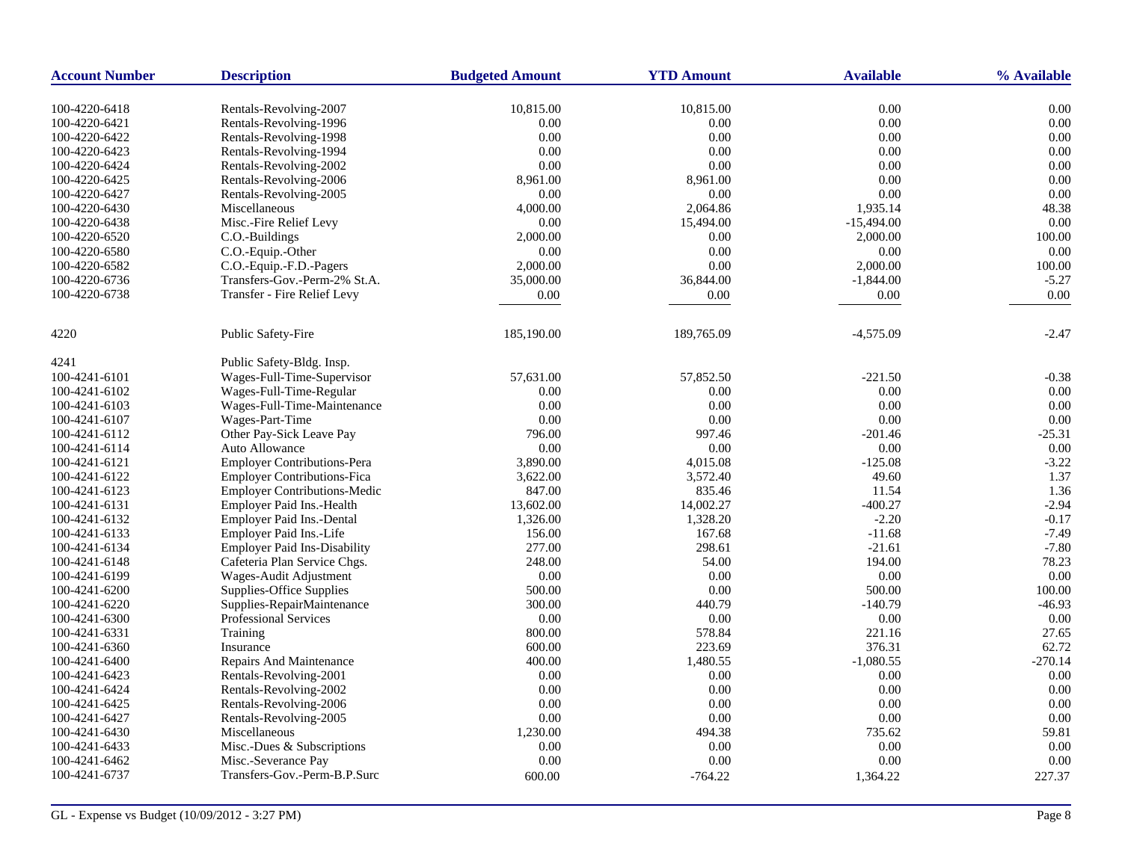| <b>Account Number</b> | <b>Description</b>                  | <b>Budgeted Amount</b> | <b>YTD Amount</b> | <b>Available</b> | % Available |
|-----------------------|-------------------------------------|------------------------|-------------------|------------------|-------------|
|                       |                                     |                        |                   |                  |             |
| 100-4220-6418         | Rentals-Revolving-2007              | 10,815.00              | 10,815.00         | 0.00             | 0.00        |
| 100-4220-6421         | Rentals-Revolving-1996              | 0.00                   | 0.00              | 0.00             | 0.00        |
| 100-4220-6422         | Rentals-Revolving-1998              | 0.00                   | 0.00              | 0.00             | 0.00        |
| 100-4220-6423         | Rentals-Revolving-1994              | 0.00                   | 0.00              | 0.00             | 0.00        |
| 100-4220-6424         | Rentals-Revolving-2002              | 0.00                   | 0.00              | 0.00             | 0.00        |
| 100-4220-6425         | Rentals-Revolving-2006              | 8,961.00               | 8,961.00          | 0.00             | 0.00        |
| 100-4220-6427         | Rentals-Revolving-2005              | 0.00                   | 0.00              | 0.00             | 0.00        |
| 100-4220-6430         | Miscellaneous                       | 4,000.00               | 2,064.86          | 1,935.14         | 48.38       |
| 100-4220-6438         | Misc.-Fire Relief Levy              | 0.00                   | 15,494.00         | $-15,494.00$     | 0.00        |
| 100-4220-6520         | C.O.-Buildings                      | 2,000.00               | $0.00\,$          | 2,000.00         | 100.00      |
| 100-4220-6580         | C.O.-Equip.-Other                   | 0.00                   | 0.00              | 0.00             | 0.00        |
| 100-4220-6582         | C.O.-Equip.-F.D.-Pagers             | 2,000.00               | 0.00              | 2,000.00         | 100.00      |
| 100-4220-6736         | Transfers-Gov.-Perm-2% St.A.        | 35,000.00              | 36,844.00         | $-1,844.00$      | $-5.27$     |
| 100-4220-6738         | Transfer - Fire Relief Levy         | $0.00\,$               | 0.00              | $0.00\,$         | 0.00        |
| 4220                  | Public Safety-Fire                  | 185,190.00             | 189,765.09        | $-4,575.09$      | $-2.47$     |
| 4241                  | Public Safety-Bldg. Insp.           |                        |                   |                  |             |
| 100-4241-6101         | Wages-Full-Time-Supervisor          | 57,631.00              | 57,852.50         | $-221.50$        | $-0.38$     |
| 100-4241-6102         | Wages-Full-Time-Regular             | 0.00                   | 0.00              | $0.00\,$         | 0.00        |
| 100-4241-6103         | Wages-Full-Time-Maintenance         | 0.00                   | 0.00              | 0.00             | 0.00        |
| 100-4241-6107         | Wages-Part-Time                     | 0.00                   | 0.00              | 0.00             | 0.00        |
| 100-4241-6112         | Other Pay-Sick Leave Pay            | 796.00                 | 997.46            | $-201.46$        | $-25.31$    |
| 100-4241-6114         | Auto Allowance                      | 0.00                   | 0.00              | 0.00             | 0.00        |
|                       |                                     |                        |                   |                  | $-3.22$     |
| 100-4241-6121         | <b>Employer Contributions-Pera</b>  | 3,890.00               | 4,015.08          | $-125.08$        |             |
| 100-4241-6122         | <b>Employer Contributions-Fica</b>  | 3,622.00               | 3,572.40          | 49.60            | 1.37        |
| 100-4241-6123         | <b>Employer Contributions-Medic</b> | 847.00                 | 835.46            | 11.54            | 1.36        |
| 100-4241-6131         | <b>Employer Paid Ins.-Health</b>    | 13,602.00              | 14,002.27         | $-400.27$        | $-2.94$     |
| 100-4241-6132         | Employer Paid Ins.-Dental           | 1,326.00               | 1,328.20          | $-2.20$          | $-0.17$     |
| 100-4241-6133         | Employer Paid Ins.-Life             | 156.00                 | 167.68            | $-11.68$         | $-7.49$     |
| 100-4241-6134         | <b>Employer Paid Ins-Disability</b> | 277.00                 | 298.61            | $-21.61$         | $-7.80$     |
| 100-4241-6148         | Cafeteria Plan Service Chgs.        | 248.00                 | 54.00             | 194.00           | 78.23       |
| 100-4241-6199         | Wages-Audit Adjustment              | 0.00                   | 0.00              | 0.00             | 0.00        |
| 100-4241-6200         | Supplies-Office Supplies            | 500.00                 | 0.00              | 500.00           | 100.00      |
| 100-4241-6220         | Supplies-RepairMaintenance          | 300.00                 | 440.79            | $-140.79$        | $-46.93$    |
| 100-4241-6300         | Professional Services               | 0.00                   | 0.00              | 0.00             | 0.00        |
| 100-4241-6331         | Training                            | 800.00                 | 578.84            | 221.16           | 27.65       |
| 100-4241-6360         | Insurance                           | 600.00                 | 223.69            | 376.31           | 62.72       |
| 100-4241-6400         | Repairs And Maintenance             | 400.00                 | 1,480.55          | $-1,080.55$      | $-270.14$   |
| 100-4241-6423         | Rentals-Revolving-2001              | 0.00                   | 0.00              | 0.00             | 0.00        |
| 100-4241-6424         | Rentals-Revolving-2002              | 0.00                   | 0.00              | $0.00\,$         | 0.00        |
| 100-4241-6425         | Rentals-Revolving-2006              | 0.00                   | 0.00              | 0.00             | 0.00        |
| 100-4241-6427         | Rentals-Revolving-2005              | 0.00                   | $0.00\,$          | $0.00\,$         | 0.00        |
| 100-4241-6430         | Miscellaneous                       | 1,230.00               | 494.38            | 735.62           | 59.81       |
| 100-4241-6433         | Misc.-Dues & Subscriptions          | 0.00                   | 0.00              | 0.00             | 0.00        |
| 100-4241-6462         | Misc.-Severance Pay                 | 0.00                   | 0.00              | 0.00             | 0.00        |
| 100-4241-6737         | Transfers-Gov.-Perm-B.P.Surc        | 600.00                 | $-764.22$         | 1,364.22         | 227.37      |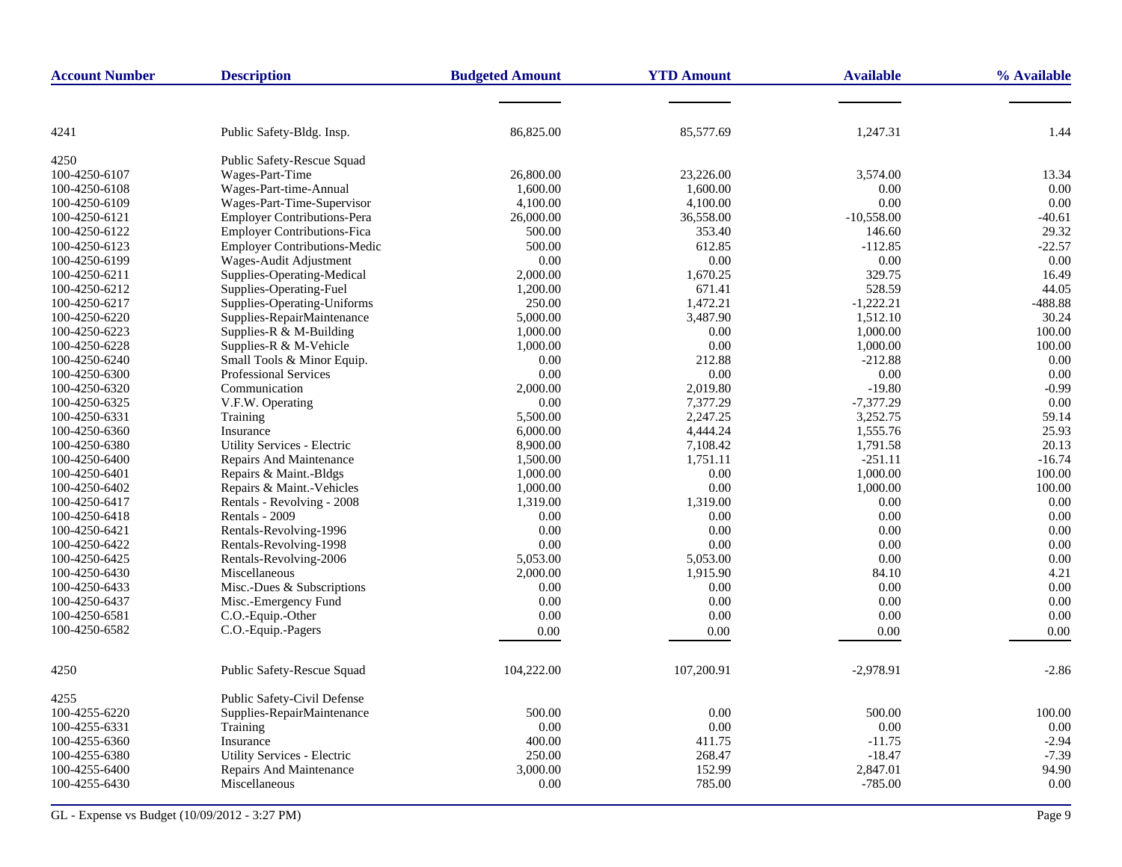| 4241<br>Public Safety-Bldg. Insp.<br>86,825.00<br>85,577.69<br>1,247.31<br>1.44<br>4250<br>Public Safety-Rescue Squad<br>Wages-Part-Time<br>3,574.00<br>100-4250-6107<br>26,800.00<br>23,226.00<br>13.34<br>Wages-Part-time-Annual<br>1,600.00<br>1,600.00<br>0.00<br>100-4250-6108<br>0.00<br>0.00<br>Wages-Part-Time-Supervisor<br>4,100.00<br>0.00<br>100-4250-6109<br>4,100.00<br><b>Employer Contributions-Pera</b><br>36,558.00<br>$-10,558.00$<br>$-40.61$<br>100-4250-6121<br>26,000.00<br><b>Employer Contributions-Fica</b><br>353.40<br>29.32<br>100-4250-6122<br>500.00<br>146.60<br><b>Employer Contributions-Medic</b><br>$-22.57$<br>100-4250-6123<br>500.00<br>612.85<br>$-112.85$<br>0.00<br>Wages-Audit Adjustment<br>0.00<br>0.00<br>0.00<br>100-4250-6199<br>Supplies-Operating-Medical<br>1,670.25<br>329.75<br>16.49<br>100-4250-6211<br>2,000.00<br>Supplies-Operating-Fuel<br>1,200.00<br>671.41<br>528.59<br>44.05<br>100-4250-6212 |
|--------------------------------------------------------------------------------------------------------------------------------------------------------------------------------------------------------------------------------------------------------------------------------------------------------------------------------------------------------------------------------------------------------------------------------------------------------------------------------------------------------------------------------------------------------------------------------------------------------------------------------------------------------------------------------------------------------------------------------------------------------------------------------------------------------------------------------------------------------------------------------------------------------------------------------------------------------------|
|                                                                                                                                                                                                                                                                                                                                                                                                                                                                                                                                                                                                                                                                                                                                                                                                                                                                                                                                                              |
|                                                                                                                                                                                                                                                                                                                                                                                                                                                                                                                                                                                                                                                                                                                                                                                                                                                                                                                                                              |
|                                                                                                                                                                                                                                                                                                                                                                                                                                                                                                                                                                                                                                                                                                                                                                                                                                                                                                                                                              |
|                                                                                                                                                                                                                                                                                                                                                                                                                                                                                                                                                                                                                                                                                                                                                                                                                                                                                                                                                              |
|                                                                                                                                                                                                                                                                                                                                                                                                                                                                                                                                                                                                                                                                                                                                                                                                                                                                                                                                                              |
|                                                                                                                                                                                                                                                                                                                                                                                                                                                                                                                                                                                                                                                                                                                                                                                                                                                                                                                                                              |
|                                                                                                                                                                                                                                                                                                                                                                                                                                                                                                                                                                                                                                                                                                                                                                                                                                                                                                                                                              |
|                                                                                                                                                                                                                                                                                                                                                                                                                                                                                                                                                                                                                                                                                                                                                                                                                                                                                                                                                              |
|                                                                                                                                                                                                                                                                                                                                                                                                                                                                                                                                                                                                                                                                                                                                                                                                                                                                                                                                                              |
|                                                                                                                                                                                                                                                                                                                                                                                                                                                                                                                                                                                                                                                                                                                                                                                                                                                                                                                                                              |
|                                                                                                                                                                                                                                                                                                                                                                                                                                                                                                                                                                                                                                                                                                                                                                                                                                                                                                                                                              |
|                                                                                                                                                                                                                                                                                                                                                                                                                                                                                                                                                                                                                                                                                                                                                                                                                                                                                                                                                              |
| Supplies-Operating-Uniforms<br>1,472.21<br>$-1,222.21$<br>$-488.88$<br>100-4250-6217<br>250.00                                                                                                                                                                                                                                                                                                                                                                                                                                                                                                                                                                                                                                                                                                                                                                                                                                                               |
| Supplies-RepairMaintenance<br>5,000.00<br>3,487.90<br>1.512.10<br>30.24<br>100-4250-6220                                                                                                                                                                                                                                                                                                                                                                                                                                                                                                                                                                                                                                                                                                                                                                                                                                                                     |
| 100.00<br>Supplies-R $&$ M-Building<br>1,000.00<br>0.00<br>1,000.00<br>100-4250-6223                                                                                                                                                                                                                                                                                                                                                                                                                                                                                                                                                                                                                                                                                                                                                                                                                                                                         |
| Supplies-R & M-Vehicle<br>1,000.00<br>0.00<br>1,000.00<br>100.00<br>100-4250-6228                                                                                                                                                                                                                                                                                                                                                                                                                                                                                                                                                                                                                                                                                                                                                                                                                                                                            |
| Small Tools & Minor Equip.<br>0.00<br>212.88<br>$-212.88$<br>0.00<br>100-4250-6240                                                                                                                                                                                                                                                                                                                                                                                                                                                                                                                                                                                                                                                                                                                                                                                                                                                                           |
| 0.00<br>100-4250-6300<br><b>Professional Services</b><br>0.00<br>0.00<br>0.00                                                                                                                                                                                                                                                                                                                                                                                                                                                                                                                                                                                                                                                                                                                                                                                                                                                                                |
| $-0.99$<br>100-4250-6320<br>Communication<br>2,000.00<br>2,019.80<br>$-19.80$                                                                                                                                                                                                                                                                                                                                                                                                                                                                                                                                                                                                                                                                                                                                                                                                                                                                                |
| V.F.W. Operating<br>0.00<br>7,377.29<br>$-7,377.29$<br>0.00<br>100-4250-6325                                                                                                                                                                                                                                                                                                                                                                                                                                                                                                                                                                                                                                                                                                                                                                                                                                                                                 |
| 5,500.00<br>2,247.25<br>3,252.75<br>59.14<br>100-4250-6331<br>Training                                                                                                                                                                                                                                                                                                                                                                                                                                                                                                                                                                                                                                                                                                                                                                                                                                                                                       |
| 4,444.24<br>1,555.76<br>25.93<br>100-4250-6360<br>Insurance<br>6,000.00                                                                                                                                                                                                                                                                                                                                                                                                                                                                                                                                                                                                                                                                                                                                                                                                                                                                                      |
| <b>Utility Services - Electric</b><br>100-4250-6380<br>8,900.00<br>7,108.42<br>1,791.58<br>20.13                                                                                                                                                                                                                                                                                                                                                                                                                                                                                                                                                                                                                                                                                                                                                                                                                                                             |
| $-251.11$<br>$-16.74$<br>Repairs And Maintenance<br>1,500.00<br>1,751.11<br>100-4250-6400                                                                                                                                                                                                                                                                                                                                                                                                                                                                                                                                                                                                                                                                                                                                                                                                                                                                    |
| 0.00<br>1,000.00<br>100.00<br>100-4250-6401<br>Repairs & Maint.-Bldgs<br>1,000.00                                                                                                                                                                                                                                                                                                                                                                                                                                                                                                                                                                                                                                                                                                                                                                                                                                                                            |
| Repairs & Maint.-Vehicles<br>0.00<br>1,000.00<br>100.00<br>100-4250-6402<br>1,000.00                                                                                                                                                                                                                                                                                                                                                                                                                                                                                                                                                                                                                                                                                                                                                                                                                                                                         |
| 100-4250-6417<br>Rentals - Revolving - 2008<br>1,319.00<br>1,319.00<br>0.00<br>0.00                                                                                                                                                                                                                                                                                                                                                                                                                                                                                                                                                                                                                                                                                                                                                                                                                                                                          |
| Rentals - 2009<br>0.00<br>0.00<br>0.00<br>0.00<br>100-4250-6418                                                                                                                                                                                                                                                                                                                                                                                                                                                                                                                                                                                                                                                                                                                                                                                                                                                                                              |
| Rentals-Revolving-1996<br>0.00<br>0.00<br>0.00<br>0.00<br>100-4250-6421                                                                                                                                                                                                                                                                                                                                                                                                                                                                                                                                                                                                                                                                                                                                                                                                                                                                                      |
| 0.00<br>100-4250-6422<br>Rentals-Revolving-1998<br>0.00<br>0.00<br>0.00                                                                                                                                                                                                                                                                                                                                                                                                                                                                                                                                                                                                                                                                                                                                                                                                                                                                                      |
| Rentals-Revolving-2006<br>5.053.00<br>5,053.00<br>0.00<br>0.00<br>100-4250-6425                                                                                                                                                                                                                                                                                                                                                                                                                                                                                                                                                                                                                                                                                                                                                                                                                                                                              |
| 100-4250-6430<br>Miscellaneous<br>2,000.00<br>1,915.90<br>84.10<br>4.21                                                                                                                                                                                                                                                                                                                                                                                                                                                                                                                                                                                                                                                                                                                                                                                                                                                                                      |
| 0.00<br>0.00<br>Misc.-Dues & Subscriptions<br>0.00<br>100-4250-6433<br>0.00                                                                                                                                                                                                                                                                                                                                                                                                                                                                                                                                                                                                                                                                                                                                                                                                                                                                                  |
| Misc.-Emergency Fund<br>0.00<br>0.00<br>0.00<br>0.00<br>100-4250-6437                                                                                                                                                                                                                                                                                                                                                                                                                                                                                                                                                                                                                                                                                                                                                                                                                                                                                        |
| C.O.-Equip.-Other<br>0.00<br>0.00<br>0.00<br>100-4250-6581<br>0.00                                                                                                                                                                                                                                                                                                                                                                                                                                                                                                                                                                                                                                                                                                                                                                                                                                                                                           |
| 100-4250-6582<br>C.O.-Equip.-Pagers<br>$0.00\,$<br>0.00<br>0.00<br>0.00                                                                                                                                                                                                                                                                                                                                                                                                                                                                                                                                                                                                                                                                                                                                                                                                                                                                                      |
| 4250<br>Public Safety-Rescue Squad<br>104,222.00<br>107,200.91<br>$-2,978.91$<br>$-2.86$                                                                                                                                                                                                                                                                                                                                                                                                                                                                                                                                                                                                                                                                                                                                                                                                                                                                     |
| 4255<br>Public Safety-Civil Defense                                                                                                                                                                                                                                                                                                                                                                                                                                                                                                                                                                                                                                                                                                                                                                                                                                                                                                                          |
| 0.00<br>100-4255-6220<br>Supplies-RepairMaintenance<br>500.00<br>500.00<br>100.00                                                                                                                                                                                                                                                                                                                                                                                                                                                                                                                                                                                                                                                                                                                                                                                                                                                                            |
| 100-4255-6331<br>Training<br>0.00<br>0.00<br>0.00<br>0.00                                                                                                                                                                                                                                                                                                                                                                                                                                                                                                                                                                                                                                                                                                                                                                                                                                                                                                    |
| 400.00<br>$-2.94$<br>100-4255-6360<br>Insurance<br>411.75<br>$-11.75$                                                                                                                                                                                                                                                                                                                                                                                                                                                                                                                                                                                                                                                                                                                                                                                                                                                                                        |
| $-18.47$<br>Utility Services - Electric<br>268.47<br>$-7.39$<br>100-4255-6380<br>250.00                                                                                                                                                                                                                                                                                                                                                                                                                                                                                                                                                                                                                                                                                                                                                                                                                                                                      |
| Repairs And Maintenance<br>2,847.01<br>94.90<br>100-4255-6400<br>3,000.00<br>152.99                                                                                                                                                                                                                                                                                                                                                                                                                                                                                                                                                                                                                                                                                                                                                                                                                                                                          |
| 0.00<br>$-785.00$<br>0.00<br>100-4255-6430<br>Miscellaneous<br>785.00                                                                                                                                                                                                                                                                                                                                                                                                                                                                                                                                                                                                                                                                                                                                                                                                                                                                                        |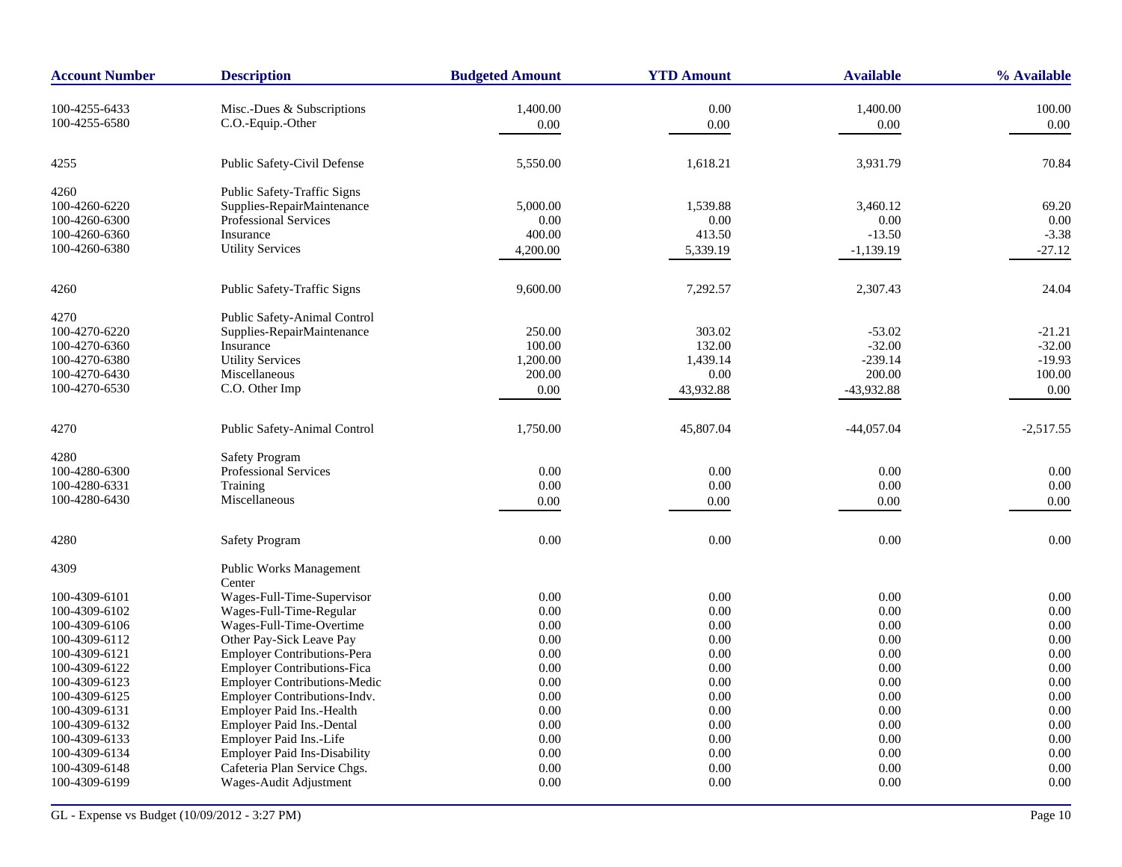| <b>Account Number</b> | <b>Description</b>                  | <b>Budgeted Amount</b> | <b>YTD Amount</b> | <b>Available</b> | % Available |
|-----------------------|-------------------------------------|------------------------|-------------------|------------------|-------------|
| 100-4255-6433         | Misc.-Dues & Subscriptions          | 1,400.00               | 0.00              | 1,400.00         | 100.00      |
| 100-4255-6580         | C.O.-Equip.-Other                   | $0.00\,$               |                   |                  | 0.00        |
|                       |                                     |                        | 0.00              | 0.00             |             |
| 4255                  | Public Safety-Civil Defense         | 5,550.00               | 1,618.21          | 3,931.79         | 70.84       |
| 4260                  | Public Safety-Traffic Signs         |                        |                   |                  |             |
| 100-4260-6220         | Supplies-RepairMaintenance          | 5,000.00               | 1,539.88          | 3,460.12         | 69.20       |
| 100-4260-6300         | <b>Professional Services</b>        | 0.00                   | 0.00              | 0.00             | 0.00        |
| 100-4260-6360         | Insurance                           | 400.00                 | 413.50            | $-13.50$         | $-3.38$     |
| 100-4260-6380         | <b>Utility Services</b>             | 4,200.00               | 5,339.19          | $-1,139.19$      | $-27.12$    |
| 4260                  | Public Safety-Traffic Signs         | 9,600.00               | 7,292.57          | 2,307.43         | 24.04       |
| 4270                  | Public Safety-Animal Control        |                        |                   |                  |             |
| 100-4270-6220         | Supplies-RepairMaintenance          | 250.00                 | 303.02            | $-53.02$         | $-21.21$    |
| 100-4270-6360         | Insurance                           | 100.00                 | 132.00            | $-32.00$         | $-32.00$    |
| 100-4270-6380         | <b>Utility Services</b>             | 1,200.00               | 1,439.14          | $-239.14$        | $-19.93$    |
| 100-4270-6430         | Miscellaneous                       | 200.00                 | 0.00              | 200.00           | 100.00      |
| 100-4270-6530         | C.O. Other Imp                      | 0.00                   | 43,932.88         | -43,932.88       | 0.00        |
|                       |                                     |                        |                   |                  |             |
| 4270                  | Public Safety-Animal Control        | 1,750.00               | 45,807.04         | $-44,057.04$     | $-2,517.55$ |
| 4280                  | <b>Safety Program</b>               |                        |                   |                  |             |
| 100-4280-6300         | Professional Services               | 0.00                   | 0.00              | 0.00             | 0.00        |
| 100-4280-6331         | Training                            | 0.00                   | 0.00              | 0.00             | 0.00        |
| 100-4280-6430         | Miscellaneous                       | 0.00                   | 0.00              | 0.00             | 0.00        |
| 4280                  | <b>Safety Program</b>               | 0.00                   | 0.00              | 0.00             | 0.00        |
| 4309                  | <b>Public Works Management</b>      |                        |                   |                  |             |
|                       | Center                              |                        |                   |                  |             |
| 100-4309-6101         | Wages-Full-Time-Supervisor          | 0.00                   | 0.00              | 0.00             | 0.00        |
| 100-4309-6102         | Wages-Full-Time-Regular             | 0.00                   | 0.00              | 0.00             | 0.00        |
| 100-4309-6106         | Wages-Full-Time-Overtime            | 0.00                   | 0.00              | 0.00             | 0.00        |
| 100-4309-6112         | Other Pay-Sick Leave Pay            | 0.00                   | 0.00              | 0.00             | 0.00        |
| 100-4309-6121         | <b>Employer Contributions-Pera</b>  | 0.00                   | 0.00              | 0.00             | 0.00        |
| 100-4309-6122         | <b>Employer Contributions-Fica</b>  | 0.00                   | 0.00              | 0.00             | 0.00        |
| 100-4309-6123         | <b>Employer Contributions-Medic</b> | 0.00                   | $0.00\,$          | 0.00             | 0.00        |
| 100-4309-6125         | Employer Contributions-Indv.        | 0.00                   | 0.00              | 0.00             | 0.00        |
| 100-4309-6131         | Employer Paid Ins.-Health           | 0.00                   | 0.00              | 0.00             | 0.00        |
| 100-4309-6132         | Employer Paid Ins.-Dental           | 0.00                   | 0.00              | 0.00             | 0.00        |
| 100-4309-6133         | Employer Paid Ins.-Life             | 0.00                   | 0.00              | 0.00             | 0.00        |
| 100-4309-6134         | <b>Employer Paid Ins-Disability</b> | 0.00                   | 0.00              | 0.00             | 0.00        |
| 100-4309-6148         | Cafeteria Plan Service Chgs.        | 0.00                   | 0.00              | 0.00             | 0.00        |
| 100-4309-6199         | Wages-Audit Adjustment              | 0.00                   | 0.00              | 0.00             | 0.00        |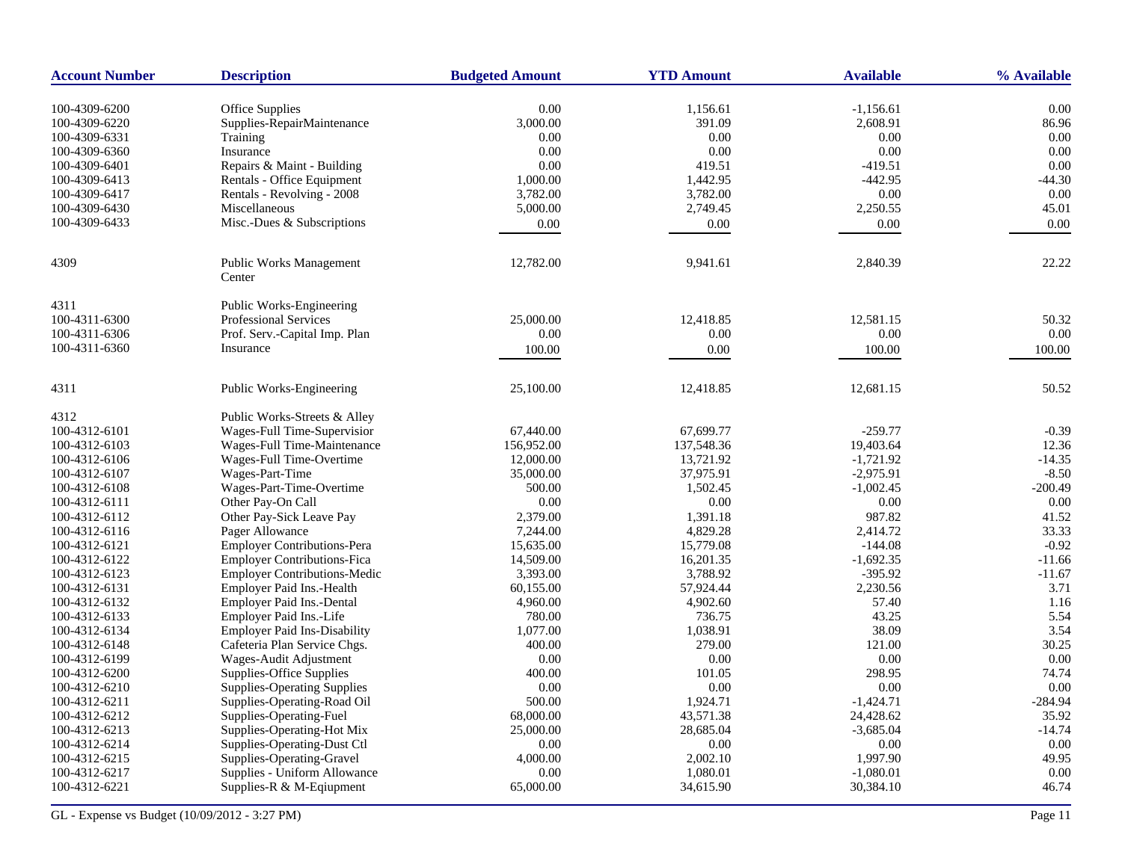| <b>Account Number</b> | <b>Description</b>                       | <b>Budgeted Amount</b> | <b>YTD Amount</b> | <b>Available</b> | % Available |
|-----------------------|------------------------------------------|------------------------|-------------------|------------------|-------------|
| 100-4309-6200         | <b>Office Supplies</b>                   | 0.00                   | 1,156.61          | $-1,156.61$      | 0.00        |
| 100-4309-6220         | Supplies-RepairMaintenance               | 3,000.00               | 391.09            | 2,608.91         | 86.96       |
| 100-4309-6331         | Training                                 | 0.00                   | 0.00              | 0.00             | 0.00        |
| 100-4309-6360         | Insurance                                | 0.00                   | 0.00              | 0.00             | 0.00        |
| 100-4309-6401         | Repairs & Maint - Building               | 0.00                   | 419.51            | $-419.51$        | 0.00        |
| 100-4309-6413         | Rentals - Office Equipment               | 1,000.00               | 1,442.95          | $-442.95$        | $-44.30$    |
| 100-4309-6417         | Rentals - Revolving - 2008               | 3,782.00               | 3,782.00          | 0.00             | 0.00        |
| 100-4309-6430         | Miscellaneous                            |                        |                   | 2,250.55         | 45.01       |
|                       | Misc.-Dues & Subscriptions               | 5,000.00               | 2,749.45          |                  |             |
| 100-4309-6433         |                                          | 0.00                   | 0.00              | 0.00             | 0.00        |
| 4309                  | <b>Public Works Management</b><br>Center | 12,782.00              | 9,941.61          | 2,840.39         | 22.22       |
| 4311                  | Public Works-Engineering                 |                        |                   |                  |             |
| 100-4311-6300         | <b>Professional Services</b>             | 25,000.00              | 12,418.85         | 12,581.15        | 50.32       |
| 100-4311-6306         | Prof. Serv.-Capital Imp. Plan            | 0.00                   | 0.00              | 0.00             | 0.00        |
| 100-4311-6360         | Insurance                                | 100.00                 | 0.00              | 100.00           | $100.00\,$  |
| 4311                  | Public Works-Engineering                 | 25,100.00              | 12,418.85         | 12,681.15        | 50.52       |
| 4312                  | Public Works-Streets & Alley             |                        |                   |                  |             |
| 100-4312-6101         | Wages-Full Time-Supervisior              | 67,440.00              | 67,699.77         | $-259.77$        | $-0.39$     |
| 100-4312-6103         | Wages-Full Time-Maintenance              | 156,952.00             | 137,548.36        | 19,403.64        | 12.36       |
| 100-4312-6106         | Wages-Full Time-Overtime                 | 12,000.00              | 13,721.92         | $-1,721.92$      | $-14.35$    |
| 100-4312-6107         | Wages-Part-Time                          | 35,000.00              | 37,975.91         | $-2,975.91$      | $-8.50$     |
| 100-4312-6108         | Wages-Part-Time-Overtime                 | 500.00                 | 1,502.45          | $-1,002.45$      | $-200.49$   |
| 100-4312-6111         | Other Pay-On Call                        | 0.00                   | 0.00              | 0.00             | 0.00        |
| 100-4312-6112         | Other Pay-Sick Leave Pay                 | 2,379.00               | 1,391.18          | 987.82           | 41.52       |
| 100-4312-6116         | Pager Allowance                          | 7,244.00               | 4,829.28          | 2,414.72         | 33.33       |
| 100-4312-6121         | <b>Employer Contributions-Pera</b>       | 15,635.00              | 15,779.08         | $-144.08$        | $-0.92$     |
| 100-4312-6122         | <b>Employer Contributions-Fica</b>       | 14,509.00              | 16,201.35         | $-1,692.35$      | $-11.66$    |
| 100-4312-6123         | <b>Employer Contributions-Medic</b>      | 3,393.00               | 3,788.92          | $-395.92$        | $-11.67$    |
| 100-4312-6131         | Employer Paid Ins.-Health                | 60,155.00              | 57,924.44         | 2,230.56         | 3.71        |
| 100-4312-6132         | Employer Paid Ins.-Dental                | 4,960.00               | 4,902.60          | 57.40            | 1.16        |
| 100-4312-6133         | Employer Paid Ins.-Life                  | 780.00                 | 736.75            | 43.25            | 5.54        |
| 100-4312-6134         | <b>Employer Paid Ins-Disability</b>      | 1,077.00               | 1,038.91          | 38.09            | 3.54        |
| 100-4312-6148         | Cafeteria Plan Service Chgs.             | 400.00                 | 279.00            | 121.00           | 30.25       |
| 100-4312-6199         | Wages-Audit Adjustment                   | 0.00                   | 0.00              | 0.00             | 0.00        |
| 100-4312-6200         | Supplies-Office Supplies                 | 400.00                 | 101.05            | 298.95           | 74.74       |
| 100-4312-6210         | <b>Supplies-Operating Supplies</b>       | 0.00                   | 0.00              | 0.00             | 0.00        |
| 100-4312-6211         | Supplies-Operating-Road Oil              | 500.00                 | 1,924.71          | $-1,424.71$      | $-284.94$   |
| 100-4312-6212         | Supplies-Operating-Fuel                  | 68,000.00              | 43,571.38         | 24,428.62        | 35.92       |
| 100-4312-6213         | Supplies-Operating-Hot Mix               | 25,000.00              | 28,685.04         | $-3,685.04$      | $-14.74$    |
| 100-4312-6214         | Supplies-Operating-Dust Ctl              | 0.00                   | 0.00              | 0.00             | 0.00        |
| 100-4312-6215         | Supplies-Operating-Gravel                | 4,000.00               | 2,002.10          | 1,997.90         | 49.95       |
| 100-4312-6217         | Supplies - Uniform Allowance             | 0.00                   | 1,080.01          | $-1,080.01$      | 0.00        |
| 100-4312-6221         | Supplies-R $&$ M-Eqiupment               | 65,000.00              | 34,615.90         | 30,384.10        | 46.74       |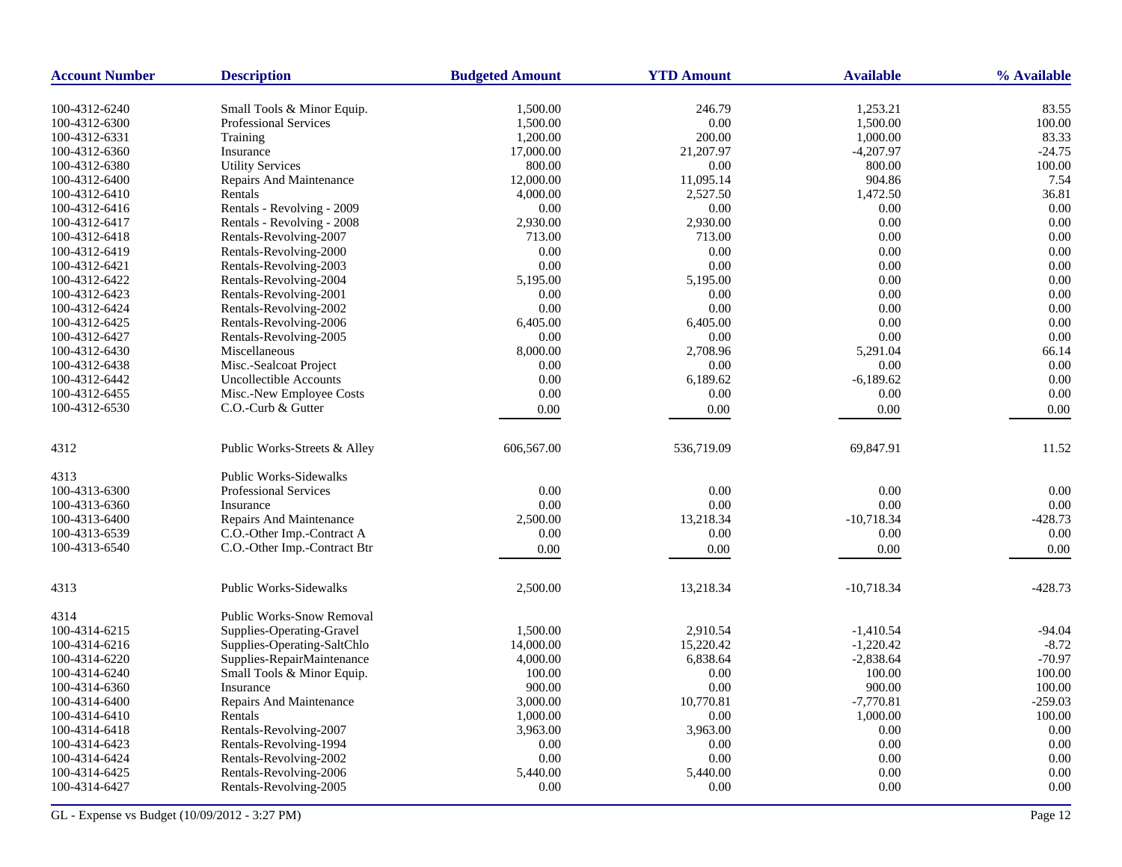| <b>Account Number</b> | <b>Description</b>               | <b>Budgeted Amount</b> | <b>YTD Amount</b> | <b>Available</b> | % Available |
|-----------------------|----------------------------------|------------------------|-------------------|------------------|-------------|
| 100-4312-6240         | Small Tools & Minor Equip.       | 1,500.00               | 246.79            | 1,253.21         | 83.55       |
| 100-4312-6300         | <b>Professional Services</b>     | 1,500.00               | $0.00\,$          | 1,500.00         | 100.00      |
| 100-4312-6331         | Training                         | 1,200.00               | 200.00            | 1,000.00         | 83.33       |
| 100-4312-6360         | Insurance                        | 17,000.00              | 21,207.97         | $-4,207.97$      | $-24.75$    |
| 100-4312-6380         | <b>Utility Services</b>          | 800.00                 | 0.00              | 800.00           | 100.00      |
| 100-4312-6400         | Repairs And Maintenance          | 12,000.00              | 11,095.14         | 904.86           | 7.54        |
| 100-4312-6410         | Rentals                          | 4,000.00               | 2,527.50          | 1,472.50         | 36.81       |
| 100-4312-6416         | Rentals - Revolving - 2009       | 0.00                   | $0.00\,$          | 0.00             | 0.00        |
| 100-4312-6417         | Rentals - Revolving - 2008       | 2,930.00               | 2,930.00          | 0.00             | 0.00        |
| 100-4312-6418         | Rentals-Revolving-2007           | 713.00                 | 713.00            | 0.00             | 0.00        |
| 100-4312-6419         | Rentals-Revolving-2000           | 0.00                   | 0.00              | 0.00             | 0.00        |
| 100-4312-6421         | Rentals-Revolving-2003           | 0.00                   | 0.00              | 0.00             | 0.00        |
| 100-4312-6422         | Rentals-Revolving-2004           | 5,195.00               | 5,195.00          | 0.00             | 0.00        |
| 100-4312-6423         | Rentals-Revolving-2001           | 0.00                   | 0.00              | 0.00             | 0.00        |
| 100-4312-6424         | Rentals-Revolving-2002           | 0.00                   | 0.00              | 0.00             | 0.00        |
| 100-4312-6425         | Rentals-Revolving-2006           | 6,405.00               | 6,405.00          | 0.00             | 0.00        |
| 100-4312-6427         | Rentals-Revolving-2005           | 0.00                   | 0.00              | 0.00             | 0.00        |
| 100-4312-6430         | Miscellaneous                    | 8,000.00               | 2,708.96          | 5,291.04         | 66.14       |
| 100-4312-6438         | Misc.-Sealcoat Project           | 0.00                   | 0.00              | 0.00             | 0.00        |
| 100-4312-6442         | <b>Uncollectible Accounts</b>    | 0.00                   | 6.189.62          | $-6,189.62$      | 0.00        |
| 100-4312-6455         | Misc.-New Employee Costs         | 0.00                   | 0.00              | 0.00             | 0.00        |
| 100-4312-6530         | C.O.-Curb & Gutter               | 0.00                   | 0.00              | 0.00             | 0.00        |
|                       |                                  |                        |                   |                  |             |
| 4312                  | Public Works-Streets & Alley     | 606,567.00             | 536,719.09        | 69,847.91        | 11.52       |
| 4313                  | <b>Public Works-Sidewalks</b>    |                        |                   |                  |             |
| 100-4313-6300         | <b>Professional Services</b>     | 0.00                   | 0.00              | 0.00             | 0.00        |
| 100-4313-6360         | Insurance                        | 0.00                   | 0.00              | 0.00             | 0.00        |
| 100-4313-6400         | Repairs And Maintenance          | 2,500.00               | 13,218.34         | $-10,718.34$     | $-428.73$   |
| 100-4313-6539         | C.O.-Other Imp.-Contract A       | 0.00                   | 0.00              | 0.00             | 0.00        |
| 100-4313-6540         | C.O.-Other Imp.-Contract Btr     | 0.00                   | 0.00              | 0.00             | 0.00        |
|                       |                                  |                        |                   |                  |             |
| 4313                  | Public Works-Sidewalks           | 2,500.00               | 13,218.34         | $-10,718.34$     | $-428.73$   |
| 4314                  | <b>Public Works-Snow Removal</b> |                        |                   |                  |             |
| 100-4314-6215         | Supplies-Operating-Gravel        | 1,500.00               | 2.910.54          | $-1.410.54$      | $-94.04$    |
| 100-4314-6216         | Supplies-Operating-SaltChlo      | 14,000.00              | 15,220.42         | $-1,220.42$      | $-8.72$     |
| 100-4314-6220         | Supplies-RepairMaintenance       | 4,000.00               | 6,838.64          | $-2,838.64$      | $-70.97$    |
| 100-4314-6240         | Small Tools & Minor Equip.       | 100.00                 | 0.00              | 100.00           | 100.00      |
| 100-4314-6360         | Insurance                        | 900.00                 | 0.00              | 900.00           | 100.00      |
| 100-4314-6400         | Repairs And Maintenance          | 3,000.00               | 10,770.81         | $-7,770.81$      | $-259.03$   |
| 100-4314-6410         | Rentals                          | 1,000.00               | 0.00              | 1,000.00         | 100.00      |
| 100-4314-6418         | Rentals-Revolving-2007           | 3,963.00               | 3,963.00          | 0.00             | 0.00        |
| 100-4314-6423         | Rentals-Revolving-1994           | 0.00                   | 0.00              | 0.00             | 0.00        |
| 100-4314-6424         | Rentals-Revolving-2002           | 0.00                   | 0.00              | 0.00             | 0.00        |
| 100-4314-6425         | Rentals-Revolving-2006           | 5,440.00               | 5,440.00          | 0.00             | 0.00        |
| 100-4314-6427         | Rentals-Revolving-2005           | 0.00                   | 0.00              | 0.00             | 0.00        |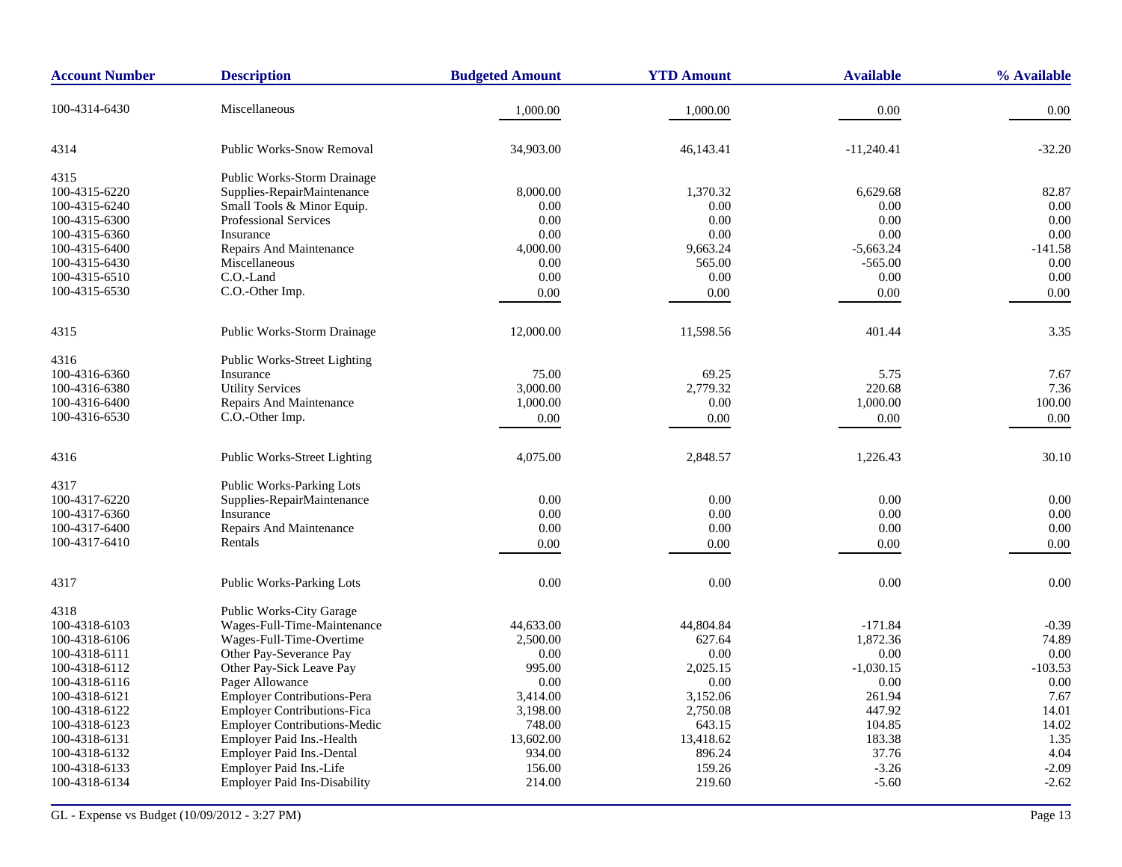| <b>Account Number</b> | <b>Description</b>                  | <b>Budgeted Amount</b> | <b>YTD Amount</b> | <b>Available</b> | % Available |
|-----------------------|-------------------------------------|------------------------|-------------------|------------------|-------------|
| 100-4314-6430         | Miscellaneous                       | 1,000.00               | 1,000.00          | 0.00             | 0.00        |
| 4314                  | <b>Public Works-Snow Removal</b>    | 34,903.00              | 46,143.41         | $-11,240.41$     | $-32.20$    |
| 4315                  | Public Works-Storm Drainage         |                        |                   |                  |             |
| 100-4315-6220         | Supplies-RepairMaintenance          | 8,000.00               | 1,370.32          | 6,629.68         | 82.87       |
| 100-4315-6240         | Small Tools & Minor Equip.          | 0.00                   | 0.00              | 0.00             | 0.00        |
| 100-4315-6300         | <b>Professional Services</b>        | 0.00                   | 0.00              | 0.00             | 0.00        |
| 100-4315-6360         | Insurance                           | 0.00                   | 0.00              | 0.00             | 0.00        |
| 100-4315-6400         | <b>Repairs And Maintenance</b>      | 4,000.00               | 9,663.24          | $-5,663.24$      | $-141.58$   |
| 100-4315-6430         | Miscellaneous                       | 0.00                   | 565.00            | $-565.00$        | 0.00        |
| 100-4315-6510         | C.O.-Land                           | 0.00                   | 0.00              | 0.00             | 0.00        |
| 100-4315-6530         | C.O.-Other Imp.                     | 0.00                   | 0.00              | $0.00\,$         | 0.00        |
| 4315                  | Public Works-Storm Drainage         | 12,000.00              | 11,598.56         | 401.44           | 3.35        |
| 4316                  | Public Works-Street Lighting        |                        |                   |                  |             |
| 100-4316-6360         | Insurance                           | 75.00                  | 69.25             | 5.75             | 7.67        |
| 100-4316-6380         | <b>Utility Services</b>             | 3,000.00               | 2,779.32          | 220.68           | 7.36        |
| 100-4316-6400         | Repairs And Maintenance             | 1,000.00               | $0.00\,$          | 1,000.00         | 100.00      |
| 100-4316-6530         | C.O.-Other Imp.                     | 0.00                   | 0.00              | 0.00             | 0.00        |
| 4316                  | <b>Public Works-Street Lighting</b> | 4,075.00               | 2,848.57          | 1,226.43         | 30.10       |
| 4317                  | <b>Public Works-Parking Lots</b>    |                        |                   |                  |             |
| 100-4317-6220         | Supplies-RepairMaintenance          | 0.00                   | $0.00\,$          | 0.00             | 0.00        |
| 100-4317-6360         | Insurance                           | 0.00                   | 0.00              | 0.00             | 0.00        |
| 100-4317-6400         | Repairs And Maintenance             | 0.00                   | 0.00              | 0.00             | 0.00        |
| 100-4317-6410         | Rentals                             | 0.00                   | 0.00              | 0.00             | 0.00        |
| 4317                  | Public Works-Parking Lots           | 0.00                   | 0.00              | 0.00             | 0.00        |
|                       |                                     |                        |                   |                  |             |
| 4318                  | Public Works-City Garage            |                        |                   |                  |             |
| 100-4318-6103         | Wages-Full-Time-Maintenance         | 44,633.00              | 44,804.84         | $-171.84$        | $-0.39$     |
| 100-4318-6106         | Wages-Full-Time-Overtime            | 2,500.00               | 627.64            | 1,872.36         | 74.89       |
| 100-4318-6111         | Other Pay-Severance Pay             | 0.00                   | 0.00              | 0.00             | 0.00        |
| 100-4318-6112         | Other Pay-Sick Leave Pay            | 995.00                 | 2,025.15          | $-1,030.15$      | $-103.53$   |
| 100-4318-6116         | Pager Allowance                     | 0.00                   | 0.00              | 0.00             | 0.00        |
| 100-4318-6121         | <b>Employer Contributions-Pera</b>  | 3,414.00               | 3,152.06          | 261.94           | 7.67        |
| 100-4318-6122         | <b>Employer Contributions-Fica</b>  | 3,198.00               | 2,750.08          | 447.92           | 14.01       |
| 100-4318-6123         | <b>Employer Contributions-Medic</b> | 748.00                 | 643.15            | 104.85           | 14.02       |
| 100-4318-6131         | Employer Paid Ins.-Health           | 13,602.00              | 13,418.62         | 183.38           | 1.35        |
| 100-4318-6132         | Employer Paid Ins.-Dental           | 934.00                 | 896.24            | 37.76            | 4.04        |
| 100-4318-6133         | Employer Paid Ins.-Life             | 156.00                 | 159.26            | $-3.26$          | $-2.09$     |
| 100-4318-6134         | <b>Employer Paid Ins-Disability</b> | 214.00                 | 219.60            | $-5.60$          | $-2.62$     |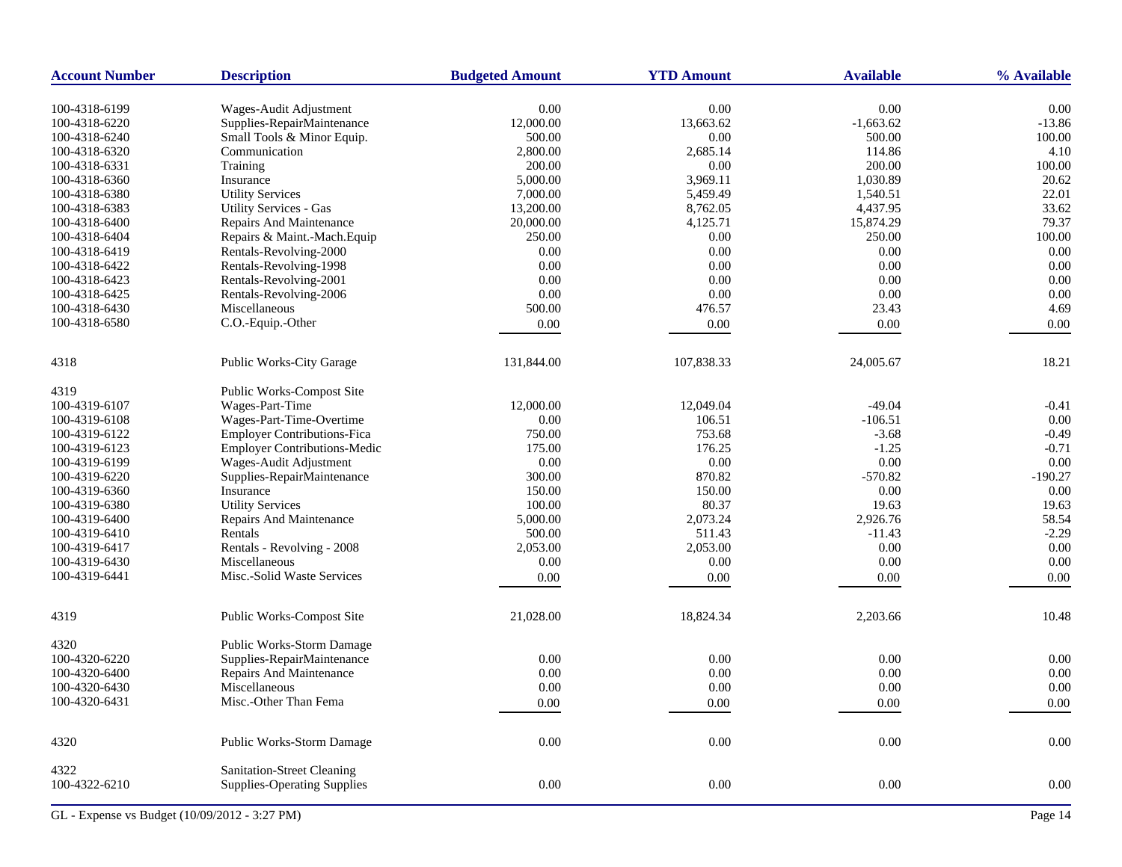| <b>Account Number</b> | <b>Description</b>                                               | <b>Budgeted Amount</b> | <b>YTD Amount</b> | <b>Available</b> | % Available |
|-----------------------|------------------------------------------------------------------|------------------------|-------------------|------------------|-------------|
| 100-4318-6199         | Wages-Audit Adjustment                                           | 0.00                   | 0.00              | 0.00             | 0.00        |
| 100-4318-6220         | Supplies-RepairMaintenance                                       | 12,000.00              | 13,663.62         | $-1,663.62$      | $-13.86$    |
| 100-4318-6240         | Small Tools & Minor Equip.                                       | 500.00                 | 0.00              | 500.00           | 100.00      |
| 100-4318-6320         | Communication                                                    | 2,800.00               | 2,685.14          | 114.86           | 4.10        |
| 100-4318-6331         | Training                                                         | 200.00                 | 0.00              | 200.00           | 100.00      |
| 100-4318-6360         | Insurance                                                        | 5,000.00               | 3,969.11          | 1,030.89         | 20.62       |
| 100-4318-6380         | <b>Utility Services</b>                                          | 7,000.00               | 5,459.49          | 1,540.51         | 22.01       |
| 100-4318-6383         | <b>Utility Services - Gas</b>                                    | 13,200.00              | 8,762.05          | 4,437.95         | 33.62       |
| 100-4318-6400         | Repairs And Maintenance                                          | 20,000.00              | 4,125.71          | 15,874.29        | 79.37       |
| 100-4318-6404         | Repairs & Maint.-Mach.Equip                                      | 250.00                 | 0.00              | 250.00           | 100.00      |
| 100-4318-6419         | Rentals-Revolving-2000                                           | 0.00                   | 0.00              | 0.00             | 0.00        |
| 100-4318-6422         | Rentals-Revolving-1998                                           | 0.00                   | 0.00              | 0.00             | 0.00        |
| 100-4318-6423         | Rentals-Revolving-2001                                           | 0.00                   | 0.00              | 0.00             | 0.00        |
|                       |                                                                  |                        | 0.00              | $0.00\,$         | 0.00        |
| 100-4318-6425         | Rentals-Revolving-2006                                           | 0.00                   |                   |                  |             |
| 100-4318-6430         | Miscellaneous                                                    | 500.00                 | 476.57            | 23.43            | 4.69        |
| 100-4318-6580         | C.O.-Equip.-Other                                                | 0.00                   | 0.00              | 0.00             | 0.00        |
| 4318                  | Public Works-City Garage                                         | 131,844.00             | 107,838.33        | 24,005.67        | 18.21       |
| 4319                  | Public Works-Compost Site                                        |                        |                   |                  |             |
| 100-4319-6107         | Wages-Part-Time                                                  | 12,000.00              | 12,049.04         | $-49.04$         | $-0.41$     |
| 100-4319-6108         | Wages-Part-Time-Overtime                                         | 0.00                   | 106.51            | $-106.51$        | 0.00        |
| 100-4319-6122         | <b>Employer Contributions-Fica</b>                               | 750.00                 | 753.68            | $-3.68$          | $-0.49$     |
| 100-4319-6123         | <b>Employer Contributions-Medic</b>                              | 175.00                 | 176.25            | $-1.25$          | $-0.71$     |
| 100-4319-6199         | Wages-Audit Adjustment                                           | $0.00\,$               | 0.00              | $0.00\,$         | 0.00        |
| 100-4319-6220         | Supplies-RepairMaintenance                                       | 300.00                 | 870.82            | $-570.82$        | $-190.27$   |
| 100-4319-6360         | Insurance                                                        | 150.00                 | 150.00            | 0.00             | 0.00        |
| 100-4319-6380         | <b>Utility Services</b>                                          | 100.00                 | 80.37             | 19.63            | 19.63       |
| 100-4319-6400         | Repairs And Maintenance                                          | 5,000.00               | 2,073.24          | 2,926.76         | 58.54       |
| 100-4319-6410         | Rentals                                                          | 500.00                 | 511.43            | $-11.43$         | $-2.29$     |
| 100-4319-6417         | Rentals - Revolving - 2008                                       | 2,053.00               | 2,053.00          | $0.00\,$         | 0.00        |
| 100-4319-6430         | Miscellaneous                                                    | 0.00                   | 0.00              | 0.00             | 0.00        |
| 100-4319-6441         | Misc.-Solid Waste Services                                       | 0.00                   | 0.00              | 0.00             | 0.00        |
| 4319                  | Public Works-Compost Site                                        | 21,028.00              | 18,824.34         | 2,203.66         | 10.48       |
| 4320                  | Public Works-Storm Damage                                        |                        |                   |                  |             |
| 100-4320-6220         | Supplies-RepairMaintenance                                       | 0.00                   | 0.00              | 0.00             | 0.00        |
| 100-4320-6400         |                                                                  | 0.00                   |                   | 0.00             | 0.00        |
|                       | Repairs And Maintenance                                          |                        | 0.00              |                  |             |
| 100-4320-6430         | Miscellaneous                                                    | 0.00                   | 0.00              | 0.00             | 0.00        |
| 100-4320-6431         | Misc.-Other Than Fema                                            | 0.00                   | 0.00              | 0.00             | 0.00        |
| 4320                  | Public Works-Storm Damage                                        | $0.00\,$               | $0.00\,$          | $0.00\,$         | $0.00\,$    |
| 4322<br>100-4322-6210 | Sanitation-Street Cleaning<br><b>Supplies-Operating Supplies</b> | $0.00\,$               | $0.00\,$          | $0.00\,$         | $0.00\,$    |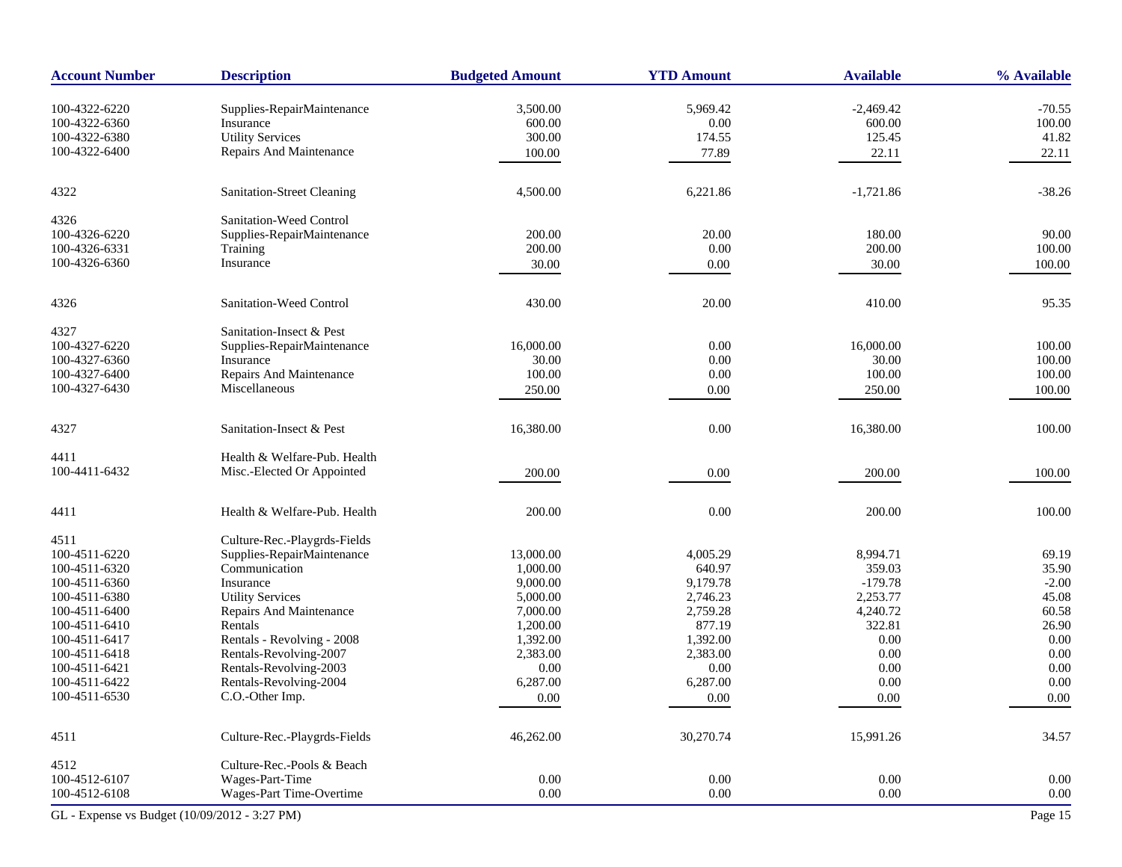| <b>Account Number</b>                         | <b>Description</b>                      | <b>Budgeted Amount</b> | <b>YTD Amount</b>    | <b>Available</b>      | % Available |
|-----------------------------------------------|-----------------------------------------|------------------------|----------------------|-----------------------|-------------|
| 100-4322-6220                                 |                                         |                        |                      |                       | $-70.55$    |
| 100-4322-6360                                 | Supplies-RepairMaintenance<br>Insurance | 3,500.00<br>600.00     | 5,969.42<br>$0.00\,$ | $-2,469.42$<br>600.00 | 100.00      |
| 100-4322-6380                                 | <b>Utility Services</b>                 | 300.00                 | 174.55               | 125.45                | 41.82       |
| 100-4322-6400                                 | Repairs And Maintenance                 |                        |                      |                       |             |
|                                               |                                         | 100.00                 | 77.89                | 22.11                 | 22.11       |
| 4322                                          | Sanitation-Street Cleaning              | 4,500.00               | 6,221.86             | $-1,721.86$           | $-38.26$    |
| 4326                                          | Sanitation-Weed Control                 |                        |                      |                       |             |
| 100-4326-6220                                 | Supplies-RepairMaintenance              | 200.00                 | 20.00                | 180.00                | 90.00       |
| 100-4326-6331                                 | Training                                | 200.00                 | 0.00                 | 200.00                | 100.00      |
| 100-4326-6360                                 | Insurance                               | 30.00                  | 0.00                 | 30.00                 | 100.00      |
| 4326                                          | Sanitation-Weed Control                 | 430.00                 | 20.00                | 410.00                | 95.35       |
|                                               |                                         |                        |                      |                       |             |
| 4327                                          | Sanitation-Insect & Pest                |                        |                      |                       |             |
| 100-4327-6220                                 | Supplies-RepairMaintenance              | 16,000.00              | 0.00                 | 16,000.00             | 100.00      |
| 100-4327-6360                                 | Insurance                               | 30.00                  | 0.00                 | 30.00                 | 100.00      |
| 100-4327-6400                                 | Repairs And Maintenance                 | 100.00                 | 0.00                 | 100.00                | 100.00      |
| 100-4327-6430                                 | Miscellaneous                           | 250.00                 | 0.00                 | 250.00                | 100.00      |
| 4327                                          | Sanitation-Insect & Pest                | 16,380.00              | 0.00                 | 16,380.00             | 100.00      |
| 4411                                          | Health & Welfare-Pub. Health            |                        |                      |                       |             |
| 100-4411-6432                                 | Misc.-Elected Or Appointed              | 200.00                 | 0.00                 | 200.00                | 100.00      |
| 4411                                          | Health & Welfare-Pub. Health            | 200.00                 | 0.00                 | 200.00                | 100.00      |
| 4511                                          | Culture-Rec.-Playgrds-Fields            |                        |                      |                       |             |
| 100-4511-6220                                 | Supplies-RepairMaintenance              | 13,000.00              | 4,005.29             | 8,994.71              | 69.19       |
| 100-4511-6320                                 | Communication                           | 1,000.00               | 640.97               | 359.03                | 35.90       |
| 100-4511-6360                                 | Insurance                               | 9,000.00               | 9,179.78             | $-179.78$             | $-2.00$     |
| 100-4511-6380                                 | <b>Utility Services</b>                 | 5,000.00               | 2,746.23             | 2,253.77              | 45.08       |
| 100-4511-6400                                 | Repairs And Maintenance                 | 7,000.00               | 2,759.28             | 4,240.72              | 60.58       |
| 100-4511-6410                                 | Rentals                                 | 1,200.00               | 877.19               | 322.81                | 26.90       |
| 100-4511-6417                                 | Rentals - Revolving - 2008              | 1,392.00               | 1,392.00             | 0.00                  | 0.00        |
| 100-4511-6418                                 | Rentals-Revolving-2007                  | 2,383.00               | 2,383.00             | 0.00                  | $0.00\,$    |
| 100-4511-6421                                 | Rentals-Revolving-2003                  | 0.00                   | 0.00                 | 0.00                  | 0.00        |
| 100-4511-6422                                 | Rentals-Revolving-2004                  | 6,287.00               | 6,287.00             | 0.00                  | 0.00        |
| 100-4511-6530                                 | C.O.-Other Imp.                         | $0.00\,$               | $0.00\,$             | 0.00                  | $0.00\,$    |
| 4511                                          | Culture-Rec.-Playgrds-Fields            | 46,262.00              | 30,270.74            | 15,991.26             | 34.57       |
| 4512                                          | Culture-Rec.-Pools & Beach              |                        |                      |                       |             |
| 100-4512-6107                                 | Wages-Part-Time                         | 0.00                   | 0.00                 | 0.00                  | 0.00        |
| 100-4512-6108                                 | Wages-Part Time-Overtime                | 0.00                   | 0.00                 | 0.00                  | 0.00        |
| GL - Expense vs Budget (10/09/2012 - 3:27 PM) |                                         |                        |                      |                       | Page 15     |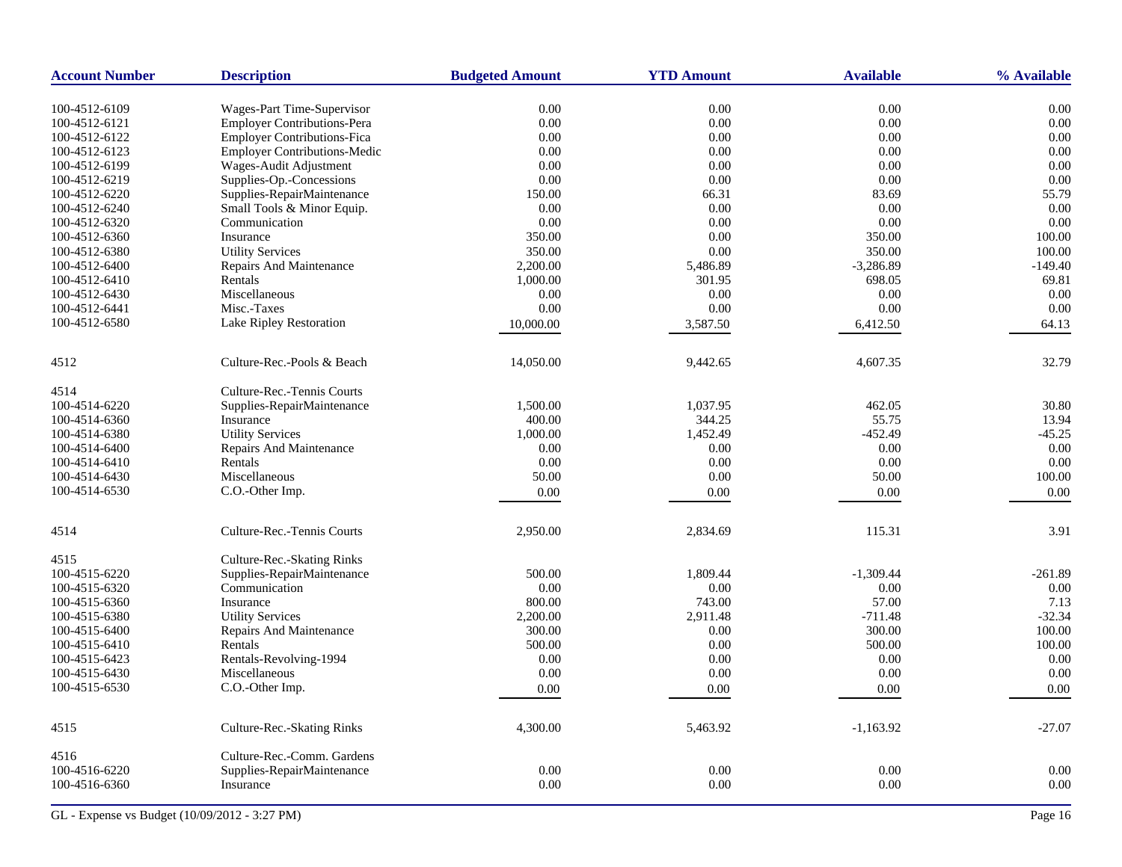| <b>Account Number</b> | <b>Description</b>                  | <b>Budgeted Amount</b> | <b>YTD Amount</b> | <b>Available</b> | % Available  |
|-----------------------|-------------------------------------|------------------------|-------------------|------------------|--------------|
| 100-4512-6109         | Wages-Part Time-Supervisor          | $0.00\,$               | 0.00              | $0.00\,$         | 0.00         |
| 100-4512-6121         | <b>Employer Contributions-Pera</b>  | 0.00                   | 0.00              | 0.00             | 0.00         |
| 100-4512-6122         | <b>Employer Contributions-Fica</b>  | 0.00                   | 0.00              | 0.00             | 0.00         |
| 100-4512-6123         | <b>Employer Contributions-Medic</b> | 0.00                   | 0.00              | 0.00             | 0.00         |
| 100-4512-6199         | Wages-Audit Adjustment              | 0.00                   | 0.00              | 0.00             | 0.00         |
| 100-4512-6219         | Supplies-Op.-Concessions            | 0.00                   | 0.00              | 0.00             | 0.00         |
| 100-4512-6220         | Supplies-RepairMaintenance          | 150.00                 | 66.31             | 83.69            | 55.79        |
| 100-4512-6240         | Small Tools & Minor Equip.          | 0.00                   | 0.00              | 0.00             | 0.00         |
| 100-4512-6320         | Communication                       | $0.00\,$               | 0.00              | 0.00             | 0.00         |
| 100-4512-6360         | Insurance                           | 350.00                 | 0.00              | 350.00           | 100.00       |
| 100-4512-6380         | <b>Utility Services</b>             | 350.00                 | 0.00              | 350.00           | 100.00       |
| 100-4512-6400         | Repairs And Maintenance             | 2,200.00               | 5,486.89          | $-3,286.89$      | $-149.40$    |
| 100-4512-6410         | Rentals                             | 1,000.00               | 301.95            | 698.05           | 69.81        |
| 100-4512-6430         | Miscellaneous                       | 0.00                   | 0.00              | 0.00             | 0.00         |
| 100-4512-6441         | Misc.-Taxes                         | 0.00                   | 0.00              | 0.00             | 0.00         |
| 100-4512-6580         | Lake Ripley Restoration             | 10,000.00              | 3,587.50          |                  | 64.13        |
|                       |                                     |                        |                   | 6,412.50         |              |
| 4512                  | Culture-Rec.-Pools & Beach          | 14,050.00              | 9,442.65          | 4,607.35         | 32.79        |
| 4514                  | Culture-Rec.-Tennis Courts          |                        |                   |                  |              |
| 100-4514-6220         | Supplies-RepairMaintenance          | 1,500.00               | 1,037.95          | 462.05           | 30.80        |
| 100-4514-6360         | Insurance                           | 400.00                 | 344.25            | 55.75            | 13.94        |
| 100-4514-6380         | <b>Utility Services</b>             | 1,000.00               | 1,452.49          | $-452.49$        | $-45.25$     |
| 100-4514-6400         | Repairs And Maintenance             | 0.00                   | 0.00              | 0.00             | 0.00         |
| 100-4514-6410         | Rentals                             | 0.00                   | 0.00              | 0.00             | 0.00         |
| 100-4514-6430         | Miscellaneous                       | 50.00                  | 0.00              | 50.00            | 100.00       |
| 100-4514-6530         | C.O.-Other Imp.                     | 0.00                   | 0.00              | 0.00             | 0.00         |
| 4514                  | Culture-Rec.-Tennis Courts          | 2,950.00               | 2,834.69          | 115.31           | 3.91         |
| 4515                  | Culture-Rec.-Skating Rinks          |                        |                   |                  |              |
| 100-4515-6220         | Supplies-RepairMaintenance          | 500.00                 | 1,809.44          | $-1,309.44$      | $-261.89$    |
| 100-4515-6320         | Communication                       | 0.00                   | 0.00              | 0.00             | 0.00         |
| 100-4515-6360         | Insurance                           | 800.00                 | 743.00            | 57.00            | 7.13         |
| 100-4515-6380         | <b>Utility Services</b>             | 2,200.00               | 2,911.48          | $-711.48$        | $-32.34$     |
| 100-4515-6400         | Repairs And Maintenance             | 300.00                 | 0.00              | 300.00           | 100.00       |
| 100-4515-6410         | Rentals                             | 500.00                 | 0.00              | 500.00           | 100.00       |
| 100-4515-6423         | Rentals-Revolving-1994              | 0.00                   | 0.00              | 0.00             | 0.00         |
| 100-4515-6430         | Miscellaneous                       | 0.00                   | 0.00              | 0.00             | 0.00         |
| 100-4515-6530         | C.O.-Other Imp.                     | 0.00                   | 0.00              | 0.00             | 0.00         |
| 4515                  | Culture-Rec.-Skating Rinks          | 4,300.00               | 5,463.92          | $-1,163.92$      | $-27.07$     |
|                       |                                     |                        |                   |                  |              |
| 4516                  | Culture-Rec.-Comm. Gardens          |                        |                   |                  |              |
| 100-4516-6220         | Supplies-RepairMaintenance          | 0.00<br>0.00           | 0.00<br>0.00      | 0.00<br>0.00     | 0.00<br>0.00 |
| 100-4516-6360         | Insurance                           |                        |                   |                  |              |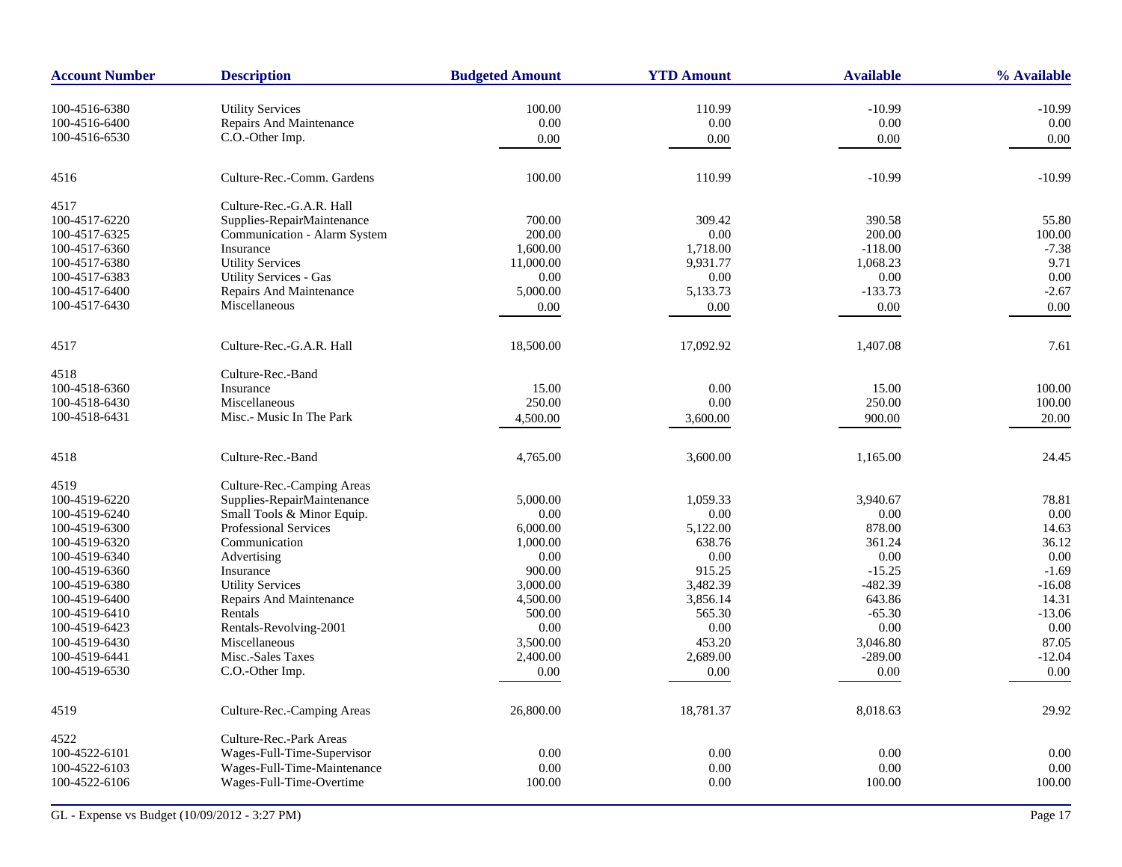| 110.99<br>$-10.99$<br>100-4516-6380<br><b>Utility Services</b><br>100.00<br>$-10.99$<br>Repairs And Maintenance<br>0.00<br>0.00<br>0.00<br>0.00<br>100-4516-6400<br>100-4516-6530<br>C.O.-Other Imp.<br>0.00<br>0.00<br>0.00<br>0.00<br>100.00<br>110.99<br>$-10.99$<br>$-10.99$<br>4516<br>Culture-Rec.-Comm. Gardens<br>Culture-Rec.-G.A.R. Hall<br>4517<br>Supplies-RepairMaintenance<br>700.00<br>309.42<br>390.58<br>55.80<br>100-4517-6220<br>100-4517-6325<br>200.00<br>0.00<br>200.00<br>100.00<br>Communication - Alarm System<br>1,600.00<br>1,718.00<br>$-118.00$<br>$-7.38$<br>100-4517-6360<br>Insurance<br>9.71<br>100-4517-6380<br><b>Utility Services</b><br>11,000.00<br>9,931.77<br>1,068.23<br><b>Utility Services - Gas</b><br>0.00<br>0.00<br>0.00<br>0.00<br>100-4517-6383<br>Repairs And Maintenance<br>$-2.67$<br>100-4517-6400<br>5,000.00<br>5,133.73<br>$-133.73$<br>Miscellaneous<br>100-4517-6430<br>0.00<br>0.00<br>0.00<br>0.00<br>Culture-Rec.-G.A.R. Hall<br>18,500.00<br>17,092.92<br>1,407.08<br>7.61<br>4517<br>Culture-Rec.-Band<br>4518<br>100-4518-6360<br>15.00<br>0.00<br>15.00<br>100.00<br>Insurance<br>100-4518-6430<br>Miscellaneous<br>250.00<br>0.00<br>250.00<br>100.00<br>Misc.- Music In The Park<br>100-4518-6431<br>4,500.00<br>3,600.00<br>900.00<br>20.00<br>4518<br>Culture-Rec.-Band<br>4,765.00<br>3,600.00<br>1,165.00<br>24.45<br>4519<br>Culture-Rec.-Camping Areas<br>Supplies-RepairMaintenance<br>1,059.33<br>3,940.67<br>78.81<br>100-4519-6220<br>5,000.00<br>0.00<br>0.00<br>0.00<br>0.00<br>100-4519-6240<br>Small Tools & Minor Equip.<br>5,122.00<br>878.00<br>14.63<br>100-4519-6300<br><b>Professional Services</b><br>6,000.00<br>1,000.00<br>638.76<br>361.24<br>36.12<br>100-4519-6320<br>Communication<br>0.00<br>100-4519-6340<br>Advertising<br>0.00<br>0.00<br>0.00<br>915.25<br>$-15.25$<br>$-1.69$<br>100-4519-6360<br>Insurance<br>900.00<br>3,482.39<br><b>Utility Services</b><br>3,000.00<br>-482.39<br>$-16.08$<br>100-4519-6380<br>Repairs And Maintenance<br>4,500.00<br>3,856.14<br>643.86<br>14.31<br>100-4519-6400<br>565.30<br>$-13.06$<br>100-4519-6410<br>Rentals<br>500.00<br>$-65.30$<br>100-4519-6423<br>Rentals-Revolving-2001<br>0.00<br>0.00<br>0.00<br>0.00<br>Miscellaneous<br>3,500.00<br>453.20<br>87.05<br>100-4519-6430<br>3,046.80<br>$-12.04$<br>100-4519-6441<br>Misc.-Sales Taxes<br>2,400.00<br>2,689.00<br>$-289.00$<br>100-4519-6530<br>C.O.-Other Imp.<br>0.00<br>0.00<br>0.00<br>0.00<br>26,800.00<br>18,781.37<br>8,018.63<br>29.92<br>4519<br>Culture-Rec.-Camping Areas<br>4522<br>Culture-Rec.-Park Areas<br>100-4522-6101<br>Wages-Full-Time-Supervisor<br>0.00<br>0.00<br>0.00<br>0.00<br>0.00<br>100-4522-6103<br>Wages-Full-Time-Maintenance<br>0.00<br>0.00<br>0.00<br>Wages-Full-Time-Overtime<br>0.00<br>100.00<br>100.00<br>100-4522-6106<br>100.00 | <b>Account Number</b> | <b>Description</b> | <b>Budgeted Amount</b> | <b>YTD Amount</b> | <b>Available</b> | % Available |
|-----------------------------------------------------------------------------------------------------------------------------------------------------------------------------------------------------------------------------------------------------------------------------------------------------------------------------------------------------------------------------------------------------------------------------------------------------------------------------------------------------------------------------------------------------------------------------------------------------------------------------------------------------------------------------------------------------------------------------------------------------------------------------------------------------------------------------------------------------------------------------------------------------------------------------------------------------------------------------------------------------------------------------------------------------------------------------------------------------------------------------------------------------------------------------------------------------------------------------------------------------------------------------------------------------------------------------------------------------------------------------------------------------------------------------------------------------------------------------------------------------------------------------------------------------------------------------------------------------------------------------------------------------------------------------------------------------------------------------------------------------------------------------------------------------------------------------------------------------------------------------------------------------------------------------------------------------------------------------------------------------------------------------------------------------------------------------------------------------------------------------------------------------------------------------------------------------------------------------------------------------------------------------------------------------------------------------------------------------------------------------------------------------------------------------------------------------------------------------------------------------------------------------------------------------------------------------------------------------------------------------------------------------------------------------------------------------------------------------------------------------------------------------------------------------------------------------------------------------------------------------------|-----------------------|--------------------|------------------------|-------------------|------------------|-------------|
|                                                                                                                                                                                                                                                                                                                                                                                                                                                                                                                                                                                                                                                                                                                                                                                                                                                                                                                                                                                                                                                                                                                                                                                                                                                                                                                                                                                                                                                                                                                                                                                                                                                                                                                                                                                                                                                                                                                                                                                                                                                                                                                                                                                                                                                                                                                                                                                                                                                                                                                                                                                                                                                                                                                                                                                                                                                                                   |                       |                    |                        |                   |                  |             |
|                                                                                                                                                                                                                                                                                                                                                                                                                                                                                                                                                                                                                                                                                                                                                                                                                                                                                                                                                                                                                                                                                                                                                                                                                                                                                                                                                                                                                                                                                                                                                                                                                                                                                                                                                                                                                                                                                                                                                                                                                                                                                                                                                                                                                                                                                                                                                                                                                                                                                                                                                                                                                                                                                                                                                                                                                                                                                   |                       |                    |                        |                   |                  |             |
|                                                                                                                                                                                                                                                                                                                                                                                                                                                                                                                                                                                                                                                                                                                                                                                                                                                                                                                                                                                                                                                                                                                                                                                                                                                                                                                                                                                                                                                                                                                                                                                                                                                                                                                                                                                                                                                                                                                                                                                                                                                                                                                                                                                                                                                                                                                                                                                                                                                                                                                                                                                                                                                                                                                                                                                                                                                                                   |                       |                    |                        |                   |                  |             |
|                                                                                                                                                                                                                                                                                                                                                                                                                                                                                                                                                                                                                                                                                                                                                                                                                                                                                                                                                                                                                                                                                                                                                                                                                                                                                                                                                                                                                                                                                                                                                                                                                                                                                                                                                                                                                                                                                                                                                                                                                                                                                                                                                                                                                                                                                                                                                                                                                                                                                                                                                                                                                                                                                                                                                                                                                                                                                   |                       |                    |                        |                   |                  |             |
|                                                                                                                                                                                                                                                                                                                                                                                                                                                                                                                                                                                                                                                                                                                                                                                                                                                                                                                                                                                                                                                                                                                                                                                                                                                                                                                                                                                                                                                                                                                                                                                                                                                                                                                                                                                                                                                                                                                                                                                                                                                                                                                                                                                                                                                                                                                                                                                                                                                                                                                                                                                                                                                                                                                                                                                                                                                                                   |                       |                    |                        |                   |                  |             |
|                                                                                                                                                                                                                                                                                                                                                                                                                                                                                                                                                                                                                                                                                                                                                                                                                                                                                                                                                                                                                                                                                                                                                                                                                                                                                                                                                                                                                                                                                                                                                                                                                                                                                                                                                                                                                                                                                                                                                                                                                                                                                                                                                                                                                                                                                                                                                                                                                                                                                                                                                                                                                                                                                                                                                                                                                                                                                   |                       |                    |                        |                   |                  |             |
|                                                                                                                                                                                                                                                                                                                                                                                                                                                                                                                                                                                                                                                                                                                                                                                                                                                                                                                                                                                                                                                                                                                                                                                                                                                                                                                                                                                                                                                                                                                                                                                                                                                                                                                                                                                                                                                                                                                                                                                                                                                                                                                                                                                                                                                                                                                                                                                                                                                                                                                                                                                                                                                                                                                                                                                                                                                                                   |                       |                    |                        |                   |                  |             |
|                                                                                                                                                                                                                                                                                                                                                                                                                                                                                                                                                                                                                                                                                                                                                                                                                                                                                                                                                                                                                                                                                                                                                                                                                                                                                                                                                                                                                                                                                                                                                                                                                                                                                                                                                                                                                                                                                                                                                                                                                                                                                                                                                                                                                                                                                                                                                                                                                                                                                                                                                                                                                                                                                                                                                                                                                                                                                   |                       |                    |                        |                   |                  |             |
|                                                                                                                                                                                                                                                                                                                                                                                                                                                                                                                                                                                                                                                                                                                                                                                                                                                                                                                                                                                                                                                                                                                                                                                                                                                                                                                                                                                                                                                                                                                                                                                                                                                                                                                                                                                                                                                                                                                                                                                                                                                                                                                                                                                                                                                                                                                                                                                                                                                                                                                                                                                                                                                                                                                                                                                                                                                                                   |                       |                    |                        |                   |                  |             |
|                                                                                                                                                                                                                                                                                                                                                                                                                                                                                                                                                                                                                                                                                                                                                                                                                                                                                                                                                                                                                                                                                                                                                                                                                                                                                                                                                                                                                                                                                                                                                                                                                                                                                                                                                                                                                                                                                                                                                                                                                                                                                                                                                                                                                                                                                                                                                                                                                                                                                                                                                                                                                                                                                                                                                                                                                                                                                   |                       |                    |                        |                   |                  |             |
|                                                                                                                                                                                                                                                                                                                                                                                                                                                                                                                                                                                                                                                                                                                                                                                                                                                                                                                                                                                                                                                                                                                                                                                                                                                                                                                                                                                                                                                                                                                                                                                                                                                                                                                                                                                                                                                                                                                                                                                                                                                                                                                                                                                                                                                                                                                                                                                                                                                                                                                                                                                                                                                                                                                                                                                                                                                                                   |                       |                    |                        |                   |                  |             |
|                                                                                                                                                                                                                                                                                                                                                                                                                                                                                                                                                                                                                                                                                                                                                                                                                                                                                                                                                                                                                                                                                                                                                                                                                                                                                                                                                                                                                                                                                                                                                                                                                                                                                                                                                                                                                                                                                                                                                                                                                                                                                                                                                                                                                                                                                                                                                                                                                                                                                                                                                                                                                                                                                                                                                                                                                                                                                   |                       |                    |                        |                   |                  |             |
|                                                                                                                                                                                                                                                                                                                                                                                                                                                                                                                                                                                                                                                                                                                                                                                                                                                                                                                                                                                                                                                                                                                                                                                                                                                                                                                                                                                                                                                                                                                                                                                                                                                                                                                                                                                                                                                                                                                                                                                                                                                                                                                                                                                                                                                                                                                                                                                                                                                                                                                                                                                                                                                                                                                                                                                                                                                                                   |                       |                    |                        |                   |                  |             |
|                                                                                                                                                                                                                                                                                                                                                                                                                                                                                                                                                                                                                                                                                                                                                                                                                                                                                                                                                                                                                                                                                                                                                                                                                                                                                                                                                                                                                                                                                                                                                                                                                                                                                                                                                                                                                                                                                                                                                                                                                                                                                                                                                                                                                                                                                                                                                                                                                                                                                                                                                                                                                                                                                                                                                                                                                                                                                   |                       |                    |                        |                   |                  |             |
|                                                                                                                                                                                                                                                                                                                                                                                                                                                                                                                                                                                                                                                                                                                                                                                                                                                                                                                                                                                                                                                                                                                                                                                                                                                                                                                                                                                                                                                                                                                                                                                                                                                                                                                                                                                                                                                                                                                                                                                                                                                                                                                                                                                                                                                                                                                                                                                                                                                                                                                                                                                                                                                                                                                                                                                                                                                                                   |                       |                    |                        |                   |                  |             |
|                                                                                                                                                                                                                                                                                                                                                                                                                                                                                                                                                                                                                                                                                                                                                                                                                                                                                                                                                                                                                                                                                                                                                                                                                                                                                                                                                                                                                                                                                                                                                                                                                                                                                                                                                                                                                                                                                                                                                                                                                                                                                                                                                                                                                                                                                                                                                                                                                                                                                                                                                                                                                                                                                                                                                                                                                                                                                   |                       |                    |                        |                   |                  |             |
|                                                                                                                                                                                                                                                                                                                                                                                                                                                                                                                                                                                                                                                                                                                                                                                                                                                                                                                                                                                                                                                                                                                                                                                                                                                                                                                                                                                                                                                                                                                                                                                                                                                                                                                                                                                                                                                                                                                                                                                                                                                                                                                                                                                                                                                                                                                                                                                                                                                                                                                                                                                                                                                                                                                                                                                                                                                                                   |                       |                    |                        |                   |                  |             |
|                                                                                                                                                                                                                                                                                                                                                                                                                                                                                                                                                                                                                                                                                                                                                                                                                                                                                                                                                                                                                                                                                                                                                                                                                                                                                                                                                                                                                                                                                                                                                                                                                                                                                                                                                                                                                                                                                                                                                                                                                                                                                                                                                                                                                                                                                                                                                                                                                                                                                                                                                                                                                                                                                                                                                                                                                                                                                   |                       |                    |                        |                   |                  |             |
|                                                                                                                                                                                                                                                                                                                                                                                                                                                                                                                                                                                                                                                                                                                                                                                                                                                                                                                                                                                                                                                                                                                                                                                                                                                                                                                                                                                                                                                                                                                                                                                                                                                                                                                                                                                                                                                                                                                                                                                                                                                                                                                                                                                                                                                                                                                                                                                                                                                                                                                                                                                                                                                                                                                                                                                                                                                                                   |                       |                    |                        |                   |                  |             |
|                                                                                                                                                                                                                                                                                                                                                                                                                                                                                                                                                                                                                                                                                                                                                                                                                                                                                                                                                                                                                                                                                                                                                                                                                                                                                                                                                                                                                                                                                                                                                                                                                                                                                                                                                                                                                                                                                                                                                                                                                                                                                                                                                                                                                                                                                                                                                                                                                                                                                                                                                                                                                                                                                                                                                                                                                                                                                   |                       |                    |                        |                   |                  |             |
|                                                                                                                                                                                                                                                                                                                                                                                                                                                                                                                                                                                                                                                                                                                                                                                                                                                                                                                                                                                                                                                                                                                                                                                                                                                                                                                                                                                                                                                                                                                                                                                                                                                                                                                                                                                                                                                                                                                                                                                                                                                                                                                                                                                                                                                                                                                                                                                                                                                                                                                                                                                                                                                                                                                                                                                                                                                                                   |                       |                    |                        |                   |                  |             |
|                                                                                                                                                                                                                                                                                                                                                                                                                                                                                                                                                                                                                                                                                                                                                                                                                                                                                                                                                                                                                                                                                                                                                                                                                                                                                                                                                                                                                                                                                                                                                                                                                                                                                                                                                                                                                                                                                                                                                                                                                                                                                                                                                                                                                                                                                                                                                                                                                                                                                                                                                                                                                                                                                                                                                                                                                                                                                   |                       |                    |                        |                   |                  |             |
|                                                                                                                                                                                                                                                                                                                                                                                                                                                                                                                                                                                                                                                                                                                                                                                                                                                                                                                                                                                                                                                                                                                                                                                                                                                                                                                                                                                                                                                                                                                                                                                                                                                                                                                                                                                                                                                                                                                                                                                                                                                                                                                                                                                                                                                                                                                                                                                                                                                                                                                                                                                                                                                                                                                                                                                                                                                                                   |                       |                    |                        |                   |                  |             |
|                                                                                                                                                                                                                                                                                                                                                                                                                                                                                                                                                                                                                                                                                                                                                                                                                                                                                                                                                                                                                                                                                                                                                                                                                                                                                                                                                                                                                                                                                                                                                                                                                                                                                                                                                                                                                                                                                                                                                                                                                                                                                                                                                                                                                                                                                                                                                                                                                                                                                                                                                                                                                                                                                                                                                                                                                                                                                   |                       |                    |                        |                   |                  |             |
|                                                                                                                                                                                                                                                                                                                                                                                                                                                                                                                                                                                                                                                                                                                                                                                                                                                                                                                                                                                                                                                                                                                                                                                                                                                                                                                                                                                                                                                                                                                                                                                                                                                                                                                                                                                                                                                                                                                                                                                                                                                                                                                                                                                                                                                                                                                                                                                                                                                                                                                                                                                                                                                                                                                                                                                                                                                                                   |                       |                    |                        |                   |                  |             |
|                                                                                                                                                                                                                                                                                                                                                                                                                                                                                                                                                                                                                                                                                                                                                                                                                                                                                                                                                                                                                                                                                                                                                                                                                                                                                                                                                                                                                                                                                                                                                                                                                                                                                                                                                                                                                                                                                                                                                                                                                                                                                                                                                                                                                                                                                                                                                                                                                                                                                                                                                                                                                                                                                                                                                                                                                                                                                   |                       |                    |                        |                   |                  |             |
|                                                                                                                                                                                                                                                                                                                                                                                                                                                                                                                                                                                                                                                                                                                                                                                                                                                                                                                                                                                                                                                                                                                                                                                                                                                                                                                                                                                                                                                                                                                                                                                                                                                                                                                                                                                                                                                                                                                                                                                                                                                                                                                                                                                                                                                                                                                                                                                                                                                                                                                                                                                                                                                                                                                                                                                                                                                                                   |                       |                    |                        |                   |                  |             |
|                                                                                                                                                                                                                                                                                                                                                                                                                                                                                                                                                                                                                                                                                                                                                                                                                                                                                                                                                                                                                                                                                                                                                                                                                                                                                                                                                                                                                                                                                                                                                                                                                                                                                                                                                                                                                                                                                                                                                                                                                                                                                                                                                                                                                                                                                                                                                                                                                                                                                                                                                                                                                                                                                                                                                                                                                                                                                   |                       |                    |                        |                   |                  |             |
|                                                                                                                                                                                                                                                                                                                                                                                                                                                                                                                                                                                                                                                                                                                                                                                                                                                                                                                                                                                                                                                                                                                                                                                                                                                                                                                                                                                                                                                                                                                                                                                                                                                                                                                                                                                                                                                                                                                                                                                                                                                                                                                                                                                                                                                                                                                                                                                                                                                                                                                                                                                                                                                                                                                                                                                                                                                                                   |                       |                    |                        |                   |                  |             |
|                                                                                                                                                                                                                                                                                                                                                                                                                                                                                                                                                                                                                                                                                                                                                                                                                                                                                                                                                                                                                                                                                                                                                                                                                                                                                                                                                                                                                                                                                                                                                                                                                                                                                                                                                                                                                                                                                                                                                                                                                                                                                                                                                                                                                                                                                                                                                                                                                                                                                                                                                                                                                                                                                                                                                                                                                                                                                   |                       |                    |                        |                   |                  |             |
|                                                                                                                                                                                                                                                                                                                                                                                                                                                                                                                                                                                                                                                                                                                                                                                                                                                                                                                                                                                                                                                                                                                                                                                                                                                                                                                                                                                                                                                                                                                                                                                                                                                                                                                                                                                                                                                                                                                                                                                                                                                                                                                                                                                                                                                                                                                                                                                                                                                                                                                                                                                                                                                                                                                                                                                                                                                                                   |                       |                    |                        |                   |                  |             |
|                                                                                                                                                                                                                                                                                                                                                                                                                                                                                                                                                                                                                                                                                                                                                                                                                                                                                                                                                                                                                                                                                                                                                                                                                                                                                                                                                                                                                                                                                                                                                                                                                                                                                                                                                                                                                                                                                                                                                                                                                                                                                                                                                                                                                                                                                                                                                                                                                                                                                                                                                                                                                                                                                                                                                                                                                                                                                   |                       |                    |                        |                   |                  |             |
|                                                                                                                                                                                                                                                                                                                                                                                                                                                                                                                                                                                                                                                                                                                                                                                                                                                                                                                                                                                                                                                                                                                                                                                                                                                                                                                                                                                                                                                                                                                                                                                                                                                                                                                                                                                                                                                                                                                                                                                                                                                                                                                                                                                                                                                                                                                                                                                                                                                                                                                                                                                                                                                                                                                                                                                                                                                                                   |                       |                    |                        |                   |                  |             |
|                                                                                                                                                                                                                                                                                                                                                                                                                                                                                                                                                                                                                                                                                                                                                                                                                                                                                                                                                                                                                                                                                                                                                                                                                                                                                                                                                                                                                                                                                                                                                                                                                                                                                                                                                                                                                                                                                                                                                                                                                                                                                                                                                                                                                                                                                                                                                                                                                                                                                                                                                                                                                                                                                                                                                                                                                                                                                   |                       |                    |                        |                   |                  |             |
|                                                                                                                                                                                                                                                                                                                                                                                                                                                                                                                                                                                                                                                                                                                                                                                                                                                                                                                                                                                                                                                                                                                                                                                                                                                                                                                                                                                                                                                                                                                                                                                                                                                                                                                                                                                                                                                                                                                                                                                                                                                                                                                                                                                                                                                                                                                                                                                                                                                                                                                                                                                                                                                                                                                                                                                                                                                                                   |                       |                    |                        |                   |                  |             |
|                                                                                                                                                                                                                                                                                                                                                                                                                                                                                                                                                                                                                                                                                                                                                                                                                                                                                                                                                                                                                                                                                                                                                                                                                                                                                                                                                                                                                                                                                                                                                                                                                                                                                                                                                                                                                                                                                                                                                                                                                                                                                                                                                                                                                                                                                                                                                                                                                                                                                                                                                                                                                                                                                                                                                                                                                                                                                   |                       |                    |                        |                   |                  |             |
|                                                                                                                                                                                                                                                                                                                                                                                                                                                                                                                                                                                                                                                                                                                                                                                                                                                                                                                                                                                                                                                                                                                                                                                                                                                                                                                                                                                                                                                                                                                                                                                                                                                                                                                                                                                                                                                                                                                                                                                                                                                                                                                                                                                                                                                                                                                                                                                                                                                                                                                                                                                                                                                                                                                                                                                                                                                                                   |                       |                    |                        |                   |                  |             |
|                                                                                                                                                                                                                                                                                                                                                                                                                                                                                                                                                                                                                                                                                                                                                                                                                                                                                                                                                                                                                                                                                                                                                                                                                                                                                                                                                                                                                                                                                                                                                                                                                                                                                                                                                                                                                                                                                                                                                                                                                                                                                                                                                                                                                                                                                                                                                                                                                                                                                                                                                                                                                                                                                                                                                                                                                                                                                   |                       |                    |                        |                   |                  |             |
|                                                                                                                                                                                                                                                                                                                                                                                                                                                                                                                                                                                                                                                                                                                                                                                                                                                                                                                                                                                                                                                                                                                                                                                                                                                                                                                                                                                                                                                                                                                                                                                                                                                                                                                                                                                                                                                                                                                                                                                                                                                                                                                                                                                                                                                                                                                                                                                                                                                                                                                                                                                                                                                                                                                                                                                                                                                                                   |                       |                    |                        |                   |                  |             |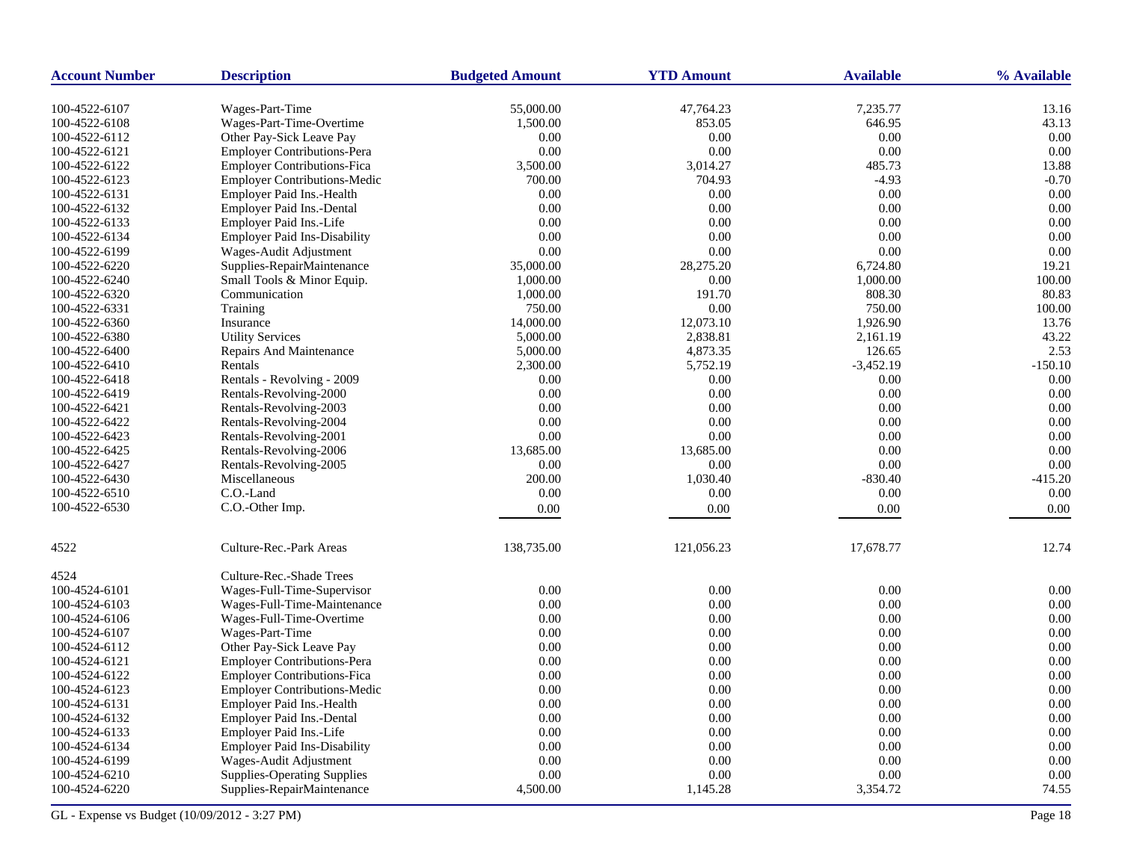| <b>Account Number</b> | <b>Description</b>                  | <b>Budgeted Amount</b> | <b>YTD Amount</b> | <b>Available</b> | % Available |
|-----------------------|-------------------------------------|------------------------|-------------------|------------------|-------------|
| 100-4522-6107         | Wages-Part-Time                     | 55,000.00              | 47,764.23         | 7,235.77         | 13.16       |
| 100-4522-6108         | Wages-Part-Time-Overtime            | 1,500.00               | 853.05            | 646.95           | 43.13       |
| 100-4522-6112         | Other Pay-Sick Leave Pay            | 0.00                   | 0.00              | 0.00             | 0.00        |
| 100-4522-6121         | <b>Employer Contributions-Pera</b>  | 0.00                   | 0.00              | 0.00             | 0.00        |
| 100-4522-6122         | <b>Employer Contributions-Fica</b>  | 3,500.00               | 3,014.27          | 485.73           | 13.88       |
| 100-4522-6123         | <b>Employer Contributions-Medic</b> | 700.00                 | 704.93            | $-4.93$          | $-0.70$     |
| 100-4522-6131         | Employer Paid Ins.-Health           | 0.00                   | 0.00              | 0.00             | 0.00        |
| 100-4522-6132         | <b>Employer Paid Ins.-Dental</b>    | 0.00                   | 0.00              | 0.00             | 0.00        |
| 100-4522-6133         | Employer Paid Ins.-Life             | 0.00                   | 0.00              | 0.00             | 0.00        |
| 100-4522-6134         | <b>Employer Paid Ins-Disability</b> | 0.00                   | 0.00              | 0.00             | 0.00        |
| 100-4522-6199         | Wages-Audit Adjustment              | 0.00                   | 0.00              | 0.00             | 0.00        |
| 100-4522-6220         | Supplies-RepairMaintenance          | 35,000.00              | 28,275.20         | 6,724.80         | 19.21       |
| 100-4522-6240         | Small Tools & Minor Equip.          | 1,000.00               | 0.00              | 1,000.00         | 100.00      |
| 100-4522-6320         | Communication                       | 1,000.00               | 191.70            | 808.30           | 80.83       |
| 100-4522-6331         | Training                            | 750.00                 | 0.00              | 750.00           | 100.00      |
| 100-4522-6360         | Insurance                           | 14,000.00              | 12,073.10         | 1,926.90         | 13.76       |
| 100-4522-6380         | <b>Utility Services</b>             | 5,000.00               | 2,838.81          | 2,161.19         | 43.22       |
| 100-4522-6400         | <b>Repairs And Maintenance</b>      | 5,000.00               | 4,873.35          | 126.65           | 2.53        |
| 100-4522-6410         | Rentals                             | 2,300.00               | 5,752.19          | $-3,452.19$      | $-150.10$   |
| 100-4522-6418         | Rentals - Revolving - 2009          | 0.00                   | 0.00              | 0.00             | 0.00        |
| 100-4522-6419         | Rentals-Revolving-2000              | 0.00                   | 0.00              | 0.00             | 0.00        |
| 100-4522-6421         | Rentals-Revolving-2003              | 0.00                   | 0.00              | 0.00             | 0.00        |
| 100-4522-6422         | Rentals-Revolving-2004              | 0.00                   | 0.00              | 0.00             | 0.00        |
| 100-4522-6423         | Rentals-Revolving-2001              | 0.00                   | 0.00              | 0.00             | 0.00        |
| 100-4522-6425         | Rentals-Revolving-2006              | 13,685.00              | 13,685.00         | 0.00             | 0.00        |
| 100-4522-6427         | Rentals-Revolving-2005              | 0.00                   | 0.00              | 0.00             | 0.00        |
| 100-4522-6430         | Miscellaneous                       | 200.00                 | 1,030.40          | $-830.40$        | $-415.20$   |
| 100-4522-6510         | C.O.-Land                           | 0.00                   | 0.00              | 0.00             | 0.00        |
| 100-4522-6530         | C.O.-Other Imp.                     | 0.00                   | 0.00              | 0.00             | 0.00        |
|                       |                                     |                        |                   |                  |             |
| 4522                  | Culture-Rec.-Park Areas             | 138,735.00             | 121,056.23        | 17,678.77        | 12.74       |
| 4524                  | Culture-Rec.-Shade Trees            |                        |                   |                  |             |
| 100-4524-6101         | Wages-Full-Time-Supervisor          | 0.00                   | 0.00              | 0.00             | 0.00        |
| 100-4524-6103         | Wages-Full-Time-Maintenance         | 0.00                   | 0.00              | 0.00             | 0.00        |
| 100-4524-6106         | Wages-Full-Time-Overtime            | 0.00                   | 0.00              | 0.00             | 0.00        |
| 100-4524-6107         | Wages-Part-Time                     | 0.00                   | 0.00              | 0.00             | 0.00        |
| 100-4524-6112         | Other Pay-Sick Leave Pay            | 0.00                   | $0.00\,$          | 0.00             | 0.00        |
| 100-4524-6121         | Employer Contributions-Pera         | 0.00                   | 0.00              | 0.00             | 0.00        |
| 100-4524-6122         | <b>Employer Contributions-Fica</b>  | 0.00                   | 0.00              | 0.00             | 0.00        |
| 100-4524-6123         | <b>Employer Contributions-Medic</b> | 0.00                   | 0.00              | 0.00             | 0.00        |
| 100-4524-6131         | Employer Paid Ins.-Health           | 0.00                   | 0.00              | 0.00             | 0.00        |
| 100-4524-6132         | Employer Paid Ins.-Dental           | 0.00                   | 0.00              | 0.00             | 0.00        |
| 100-4524-6133         | Employer Paid Ins.-Life             | 0.00                   | 0.00              | 0.00             | 0.00        |
| 100-4524-6134         | <b>Employer Paid Ins-Disability</b> | 0.00                   | 0.00              | 0.00             | 0.00        |
| 100-4524-6199         | Wages-Audit Adjustment              | 0.00                   | 0.00              | 0.00             | 0.00        |
| 100-4524-6210         | <b>Supplies-Operating Supplies</b>  | 0.00                   | 0.00              | 0.00             | 0.00        |
| 100-4524-6220         | Supplies-RepairMaintenance          | 4,500.00               | 1,145.28          | 3,354.72         | 74.55       |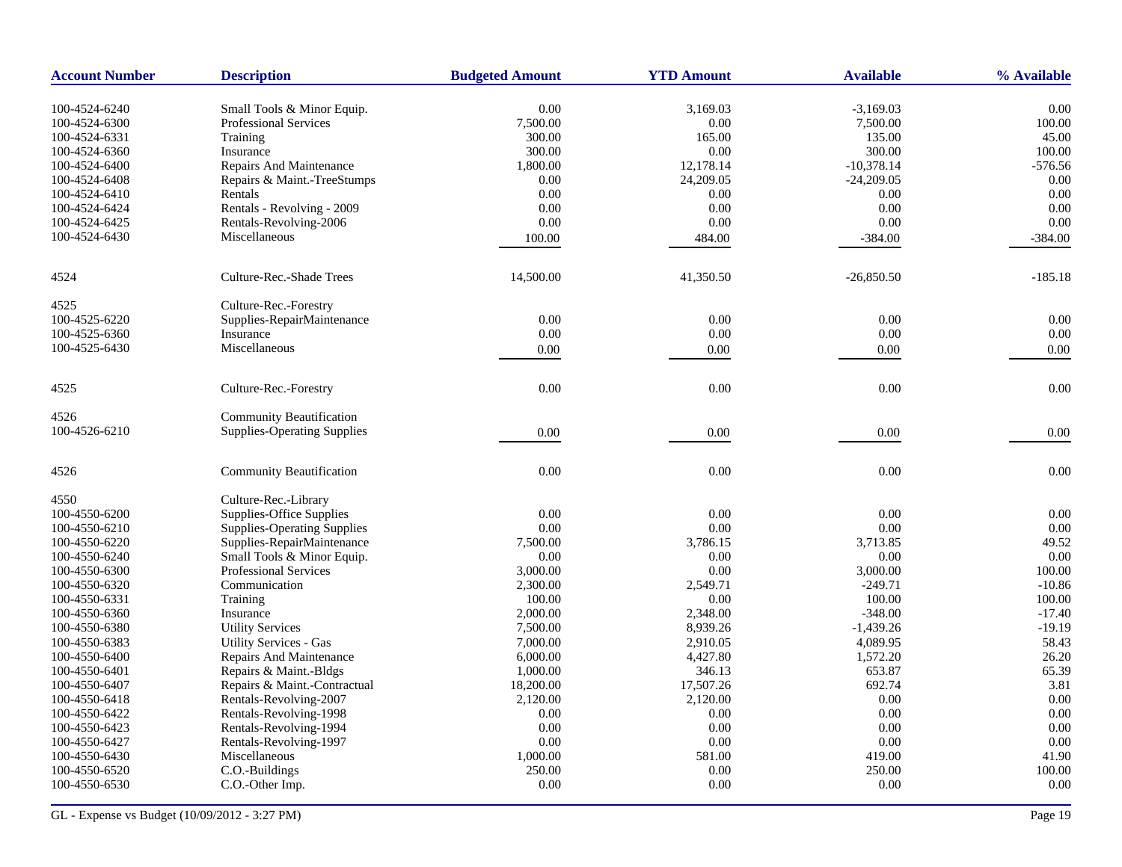| <b>Account Number</b>          | <b>Description</b>                                         | <b>Budgeted Amount</b> | <b>YTD Amount</b> | <b>Available</b>   | % Available    |
|--------------------------------|------------------------------------------------------------|------------------------|-------------------|--------------------|----------------|
|                                |                                                            | 0.00                   |                   |                    |                |
| 100-4524-6240<br>100-4524-6300 | Small Tools & Minor Equip.<br><b>Professional Services</b> | 7,500.00               | 3,169.03<br>0.00  | $-3,169.03$        | 0.00<br>100.00 |
| 100-4524-6331                  | Training                                                   | 300.00                 | 165.00            | 7,500.00<br>135.00 | 45.00          |
|                                |                                                            |                        |                   |                    |                |
| 100-4524-6360                  | Insurance                                                  | 300.00                 | 0.00              | 300.00             | 100.00         |
| 100-4524-6400                  | Repairs And Maintenance                                    | 1,800.00               | 12,178.14         | $-10,378.14$       | $-576.56$      |
| 100-4524-6408                  | Repairs & Maint.-TreeStumps                                | 0.00                   | 24,209.05         | $-24,209.05$       | 0.00           |
| 100-4524-6410                  | Rentals                                                    | 0.00                   | 0.00              | 0.00               | 0.00           |
| 100-4524-6424                  | Rentals - Revolving - 2009                                 | 0.00                   | 0.00              | 0.00               | 0.00           |
| 100-4524-6425                  | Rentals-Revolving-2006                                     | 0.00                   | 0.00              | 0.00               | 0.00           |
| 100-4524-6430                  | Miscellaneous                                              | 100.00                 | 484.00            | $-384.00$          | $-384.00$      |
| 4524                           | Culture-Rec.-Shade Trees                                   | 14,500.00              | 41,350.50         | $-26,850.50$       | $-185.18$      |
| 4525                           | Culture-Rec.-Forestry                                      |                        |                   |                    |                |
| 100-4525-6220                  | Supplies-RepairMaintenance                                 | 0.00                   | 0.00              | 0.00               | 0.00           |
| 100-4525-6360                  | Insurance                                                  | 0.00                   | 0.00              | $0.00\,$           | 0.00           |
| 100-4525-6430                  | Miscellaneous                                              | 0.00                   | 0.00              | 0.00               | 0.00           |
|                                |                                                            |                        |                   |                    |                |
| 4525                           | Culture-Rec.-Forestry                                      | 0.00                   | 0.00              | 0.00               | 0.00           |
| 4526                           | <b>Community Beautification</b>                            |                        |                   |                    |                |
| 100-4526-6210                  | <b>Supplies-Operating Supplies</b>                         | 0.00                   | 0.00              | 0.00               | 0.00           |
| 4526                           | <b>Community Beautification</b>                            | $0.00\,$               | 0.00              | 0.00               | 0.00           |
| 4550                           | Culture-Rec.-Library                                       |                        |                   |                    |                |
| 100-4550-6200                  | Supplies-Office Supplies                                   | 0.00                   | 0.00              | 0.00               | 0.00           |
| 100-4550-6210                  | <b>Supplies-Operating Supplies</b>                         | 0.00                   | 0.00              | 0.00               | 0.00           |
| 100-4550-6220                  | Supplies-RepairMaintenance                                 | 7,500.00               | 3,786.15          | 3,713.85           | 49.52          |
| 100-4550-6240                  | Small Tools & Minor Equip.                                 | 0.00                   | 0.00              | 0.00               | 0.00           |
| 100-4550-6300                  | <b>Professional Services</b>                               | 3,000.00               | 0.00              | 3,000.00           | 100.00         |
| 100-4550-6320                  | Communication                                              | 2,300.00               | 2,549.71          | $-249.71$          | $-10.86$       |
| 100-4550-6331                  | Training                                                   | 100.00                 | 0.00              | 100.00             | 100.00         |
| 100-4550-6360                  | Insurance                                                  | 2,000.00               | 2,348.00          | $-348.00$          | $-17.40$       |
| 100-4550-6380                  | <b>Utility Services</b>                                    | 7,500.00               | 8,939.26          | $-1,439.26$        | $-19.19$       |
| 100-4550-6383                  | Utility Services - Gas                                     | 7,000.00               | 2,910.05          | 4,089.95           | 58.43          |
| 100-4550-6400                  | Repairs And Maintenance                                    | 6,000.00               | 4,427.80          | 1,572.20           | 26.20          |
| 100-4550-6401                  | Repairs & Maint.-Bldgs                                     | 1,000.00               | 346.13            | 653.87             | 65.39          |
| 100-4550-6407                  | Repairs & Maint.-Contractual                               | 18,200.00              | 17,507.26         | 692.74             | 3.81           |
| 100-4550-6418                  | Rentals-Revolving-2007                                     | 2,120.00               | 2,120.00          | 0.00               | 0.00           |
| 100-4550-6422                  | Rentals-Revolving-1998                                     | 0.00                   | 0.00              | 0.00               | 0.00           |
| 100-4550-6423                  |                                                            | 0.00                   |                   | 0.00               | 0.00           |
|                                | Rentals-Revolving-1994                                     |                        | 0.00              |                    |                |
| 100-4550-6427                  | Rentals-Revolving-1997                                     | 0.00                   | 0.00              | 0.00               | 0.00           |
| 100-4550-6430                  | Miscellaneous                                              | 1,000.00               | 581.00            | 419.00             | 41.90          |
| 100-4550-6520                  | C.O.-Buildings                                             | 250.00<br>$0.00\,$     | 0.00              | 250.00<br>$0.00\,$ | 100.00<br>0.00 |
| 100-4550-6530                  | C.O.-Other Imp.                                            |                        | 0.00              |                    |                |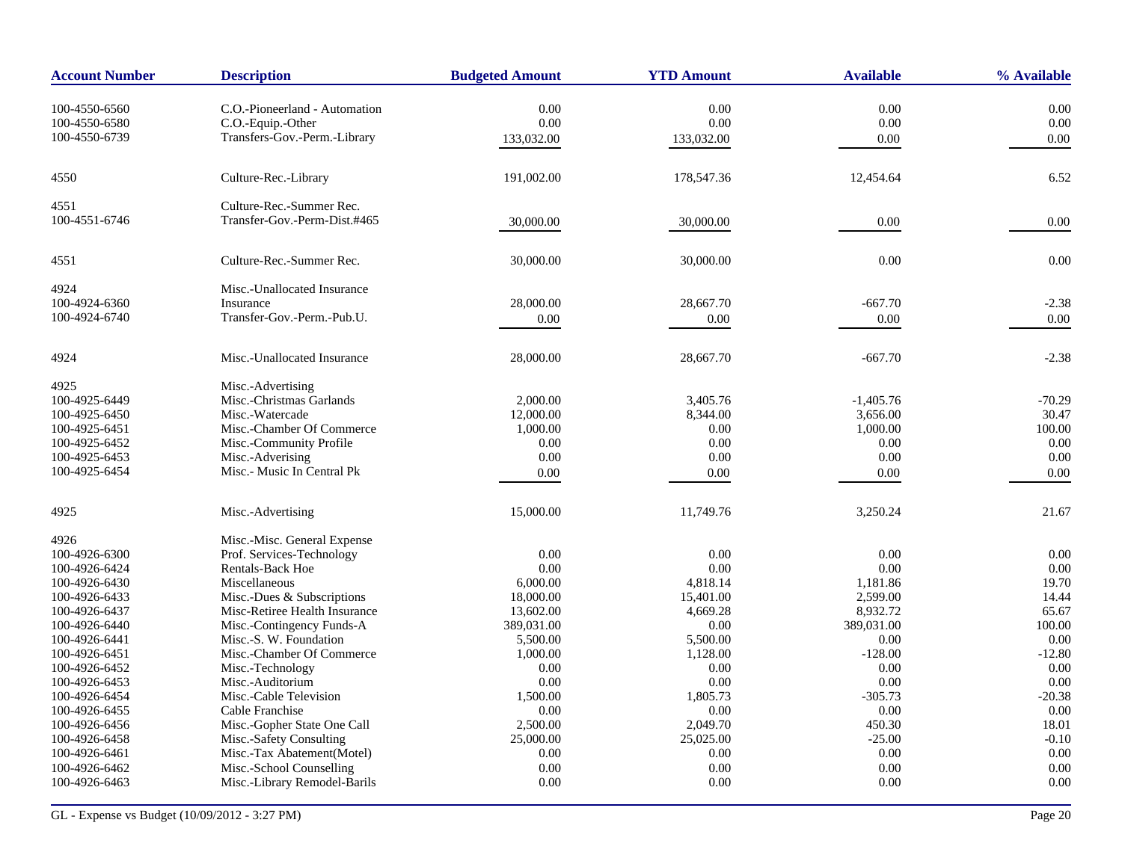| <b>Account Number</b> | <b>Description</b>            | <b>Budgeted Amount</b> | <b>YTD Amount</b> | <b>Available</b> | % Available |
|-----------------------|-------------------------------|------------------------|-------------------|------------------|-------------|
| 100-4550-6560         | C.O.-Pioneerland - Automation | 0.00                   | 0.00              | 0.00             | 0.00        |
| 100-4550-6580         | C.O.-Equip.-Other             | 0.00                   | 0.00              | 0.00             | 0.00        |
| 100-4550-6739         | Transfers-Gov.-Perm.-Library  | 133,032.00             | 133,032.00        | 0.00             | 0.00        |
|                       |                               |                        |                   |                  |             |
| 4550                  | Culture-Rec.-Library          | 191,002.00             | 178,547.36        | 12,454.64        | 6.52        |
| 4551                  | Culture-Rec.-Summer Rec.      |                        |                   |                  |             |
| 100-4551-6746         | Transfer-Gov.-Perm-Dist.#465  | 30,000.00              | 30,000.00         | 0.00             | 0.00        |
| 4551                  | Culture-Rec.-Summer Rec.      | 30,000.00              | 30,000.00         | 0.00             | 0.00        |
| 4924                  | Misc.-Unallocated Insurance   |                        |                   |                  |             |
| 100-4924-6360         | Insurance                     | 28,000.00              | 28,667.70         | $-667.70$        | $-2.38$     |
| 100-4924-6740         | Transfer-Gov.-Perm.-Pub.U.    | 0.00                   | 0.00              | 0.00             | 0.00        |
| 4924                  | Misc.-Unallocated Insurance   | 28,000.00              | 28,667.70         | $-667.70$        | $-2.38$     |
| 4925                  | Misc.-Advertising             |                        |                   |                  |             |
| 100-4925-6449         | Misc.-Christmas Garlands      | 2,000.00               | 3.405.76          | $-1.405.76$      | $-70.29$    |
| 100-4925-6450         | Misc.-Watercade               | 12,000.00              | 8,344.00          | 3,656.00         | 30.47       |
| 100-4925-6451         | Misc.-Chamber Of Commerce     | 1,000.00               | 0.00              | 1,000.00         | 100.00      |
| 100-4925-6452         | Misc.-Community Profile       | 0.00                   | 0.00              | 0.00             | 0.00        |
| 100-4925-6453         | Misc.-Adverising              | 0.00                   | 0.00              | 0.00             | 0.00        |
| 100-4925-6454         | Misc.- Music In Central Pk    | $0.00\,$               | 0.00              | 0.00             | 0.00        |
| 4925                  | Misc.-Advertising             | 15,000.00              | 11,749.76         | 3,250.24         | 21.67       |
| 4926                  | Misc.-Misc. General Expense   |                        |                   |                  |             |
| 100-4926-6300         | Prof. Services-Technology     | 0.00                   | 0.00              | 0.00             | 0.00        |
| 100-4926-6424         | Rentals-Back Hoe              | 0.00                   | 0.00              | 0.00             | 0.00        |
| 100-4926-6430         | Miscellaneous                 | 6,000.00               | 4,818.14          | 1,181.86         | 19.70       |
| 100-4926-6433         | Misc.-Dues & Subscriptions    | 18,000.00              | 15,401.00         | 2,599.00         | 14.44       |
| 100-4926-6437         | Misc-Retiree Health Insurance | 13,602.00              | 4,669.28          | 8,932.72         | 65.67       |
| 100-4926-6440         | Misc.-Contingency Funds-A     | 389,031.00             | 0.00              | 389,031.00       | 100.00      |
| 100-4926-6441         | Misc.-S. W. Foundation        | 5,500.00               | 5,500.00          | 0.00             | 0.00        |
| 100-4926-6451         | Misc.-Chamber Of Commerce     | 1,000.00               | 1,128.00          | $-128.00$        | $-12.80$    |
| 100-4926-6452         | Misc.-Technology              | 0.00                   | 0.00              | 0.00             | 0.00        |
| 100-4926-6453         | Misc.-Auditorium              | 0.00                   | 0.00              | 0.00             | 0.00        |
| 100-4926-6454         | Misc.-Cable Television        | 1,500.00               | 1,805.73          | $-305.73$        | $-20.38$    |
| 100-4926-6455         | Cable Franchise               | 0.00                   | 0.00              | 0.00             | 0.00        |
| 100-4926-6456         | Misc.-Gopher State One Call   | 2,500.00               | 2,049.70          | 450.30           | 18.01       |
| 100-4926-6458         | Misc.-Safety Consulting       | 25,000.00              | 25,025.00         | $-25.00$         | $-0.10$     |
| 100-4926-6461         | Misc.-Tax Abatement(Motel)    | 0.00                   | 0.00              | 0.00             | 0.00        |
| 100-4926-6462         | Misc.-School Counselling      | 0.00                   | 0.00              | 0.00             | 0.00        |
| 100-4926-6463         | Misc.-Library Remodel-Barils  | 0.00                   | 0.00              | 0.00             | 0.00        |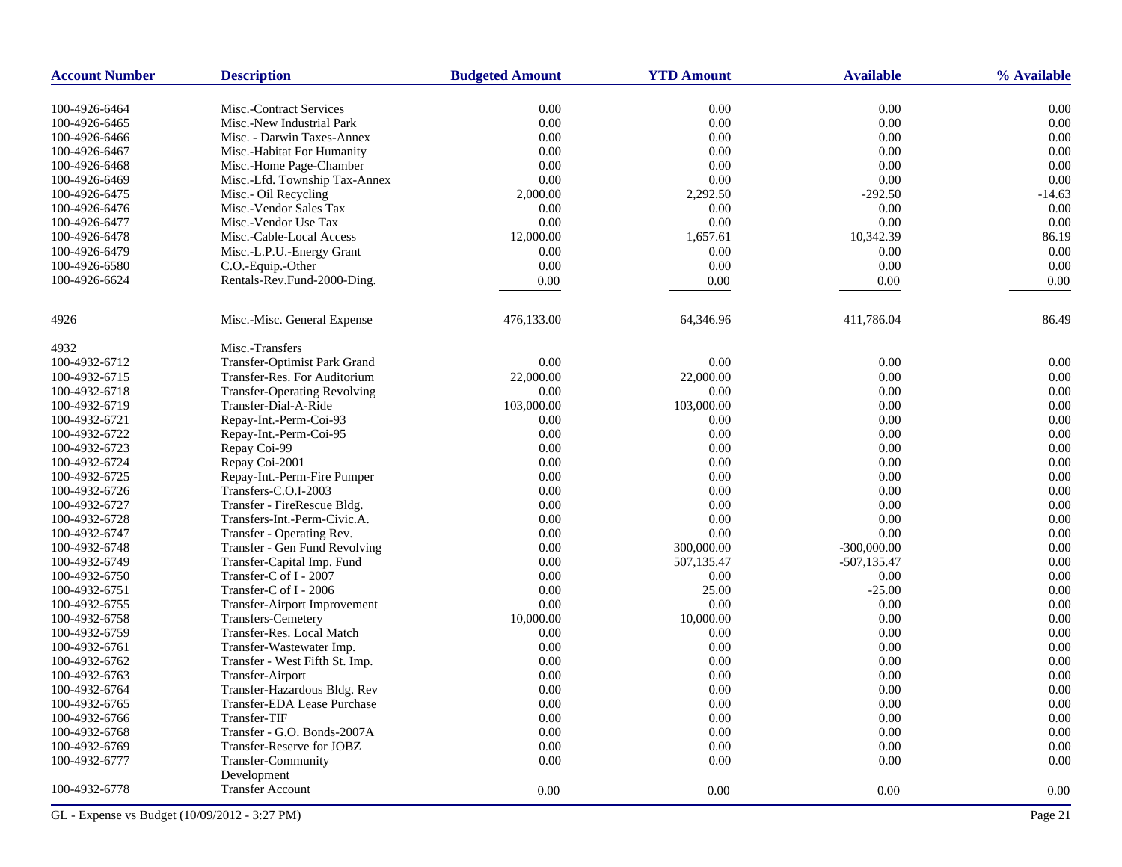| <b>Account Number</b> | <b>Description</b>                             | <b>Budgeted Amount</b> | <b>YTD Amount</b> | <b>Available</b> | % Available |
|-----------------------|------------------------------------------------|------------------------|-------------------|------------------|-------------|
| 100-4926-6464         | Misc.-Contract Services                        | 0.00                   | 0.00              | 0.00             | 0.00        |
| 100-4926-6465         | Misc.-New Industrial Park                      | 0.00                   | 0.00              | 0.00             | 0.00        |
| 100-4926-6466         | Misc. - Darwin Taxes-Annex                     | 0.00                   | 0.00              | 0.00             | 0.00        |
| 100-4926-6467         | Misc.-Habitat For Humanity                     | 0.00                   | 0.00              | 0.00             | 0.00        |
| 100-4926-6468         | Misc.-Home Page-Chamber                        | 0.00                   | 0.00              | 0.00             | 0.00        |
| 100-4926-6469         | Misc.-Lfd. Township Tax-Annex                  | 0.00                   | 0.00              | 0.00             | 0.00        |
| 100-4926-6475         | Misc.- Oil Recycling                           | 2,000.00               | 2,292.50          | $-292.50$        | $-14.63$    |
| 100-4926-6476         | Misc.-Vendor Sales Tax                         | 0.00                   | 0.00              | 0.00             | 0.00        |
| 100-4926-6477         | Misc.-Vendor Use Tax                           | 0.00                   | 0.00              | 0.00             | 0.00        |
| 100-4926-6478         | Misc.-Cable-Local Access                       | 12,000.00              | 1,657.61          | 10,342.39        | 86.19       |
| 100-4926-6479         |                                                | 0.00                   | 0.00              | 0.00             | 0.00        |
| 100-4926-6580         | Misc.-L.P.U.-Energy Grant<br>C.O.-Equip.-Other | 0.00                   | 0.00              | 0.00             | 0.00        |
| 100-4926-6624         |                                                |                        |                   |                  |             |
|                       | Rentals-Rev.Fund-2000-Ding.                    | 0.00                   | 0.00              | 0.00             | 0.00        |
| 4926                  | Misc.-Misc. General Expense                    | 476,133.00             | 64,346.96         | 411,786.04       | 86.49       |
| 4932                  | Misc.-Transfers                                |                        |                   |                  |             |
| 100-4932-6712         | Transfer-Optimist Park Grand                   | 0.00                   | 0.00              | 0.00             | 0.00        |
| 100-4932-6715         | Transfer-Res. For Auditorium                   | 22,000.00              | 22,000.00         | 0.00             | 0.00        |
| 100-4932-6718         | <b>Transfer-Operating Revolving</b>            | 0.00                   | 0.00              | 0.00             | 0.00        |
| 100-4932-6719         | Transfer-Dial-A-Ride                           | 103,000.00             | 103,000.00        | 0.00             | 0.00        |
| 100-4932-6721         | Repay-Int.-Perm-Coi-93                         | 0.00                   | 0.00              | 0.00             | 0.00        |
| 100-4932-6722         | Repay-Int.-Perm-Coi-95                         | 0.00                   | 0.00              | 0.00             | 0.00        |
| 100-4932-6723         | Repay Coi-99                                   | 0.00                   | 0.00              | 0.00             | 0.00        |
| 100-4932-6724         | Repay Coi-2001                                 | 0.00                   | 0.00              | 0.00             | 0.00        |
| 100-4932-6725         | Repay-Int.-Perm-Fire Pumper                    | 0.00                   | 0.00              | 0.00             | 0.00        |
| 100-4932-6726         | Transfers-C.O.I-2003                           | 0.00                   | 0.00              | 0.00             | 0.00        |
| 100-4932-6727         | Transfer - FireRescue Bldg.                    | $0.00\,$               | 0.00              | 0.00             | 0.00        |
| 100-4932-6728         | Transfers-Int.-Perm-Civic.A.                   | 0.00                   | 0.00              | 0.00             | 0.00        |
| 100-4932-6747         | Transfer - Operating Rev.                      | 0.00                   | 0.00              | 0.00             | 0.00        |
| 100-4932-6748         | Transfer - Gen Fund Revolving                  | 0.00                   | 300,000.00        | $-300,000.00$    | 0.00        |
| 100-4932-6749         | Transfer-Capital Imp. Fund                     | 0.00                   | 507,135.47        | $-507, 135.47$   | 0.00        |
| 100-4932-6750         | Transfer-C of I - 2007                         | 0.00                   | 0.00              | 0.00             | 0.00        |
| 100-4932-6751         | Transfer-C of I - 2006                         | 0.00                   | 25.00             | $-25.00$         | 0.00        |
| 100-4932-6755         | Transfer-Airport Improvement                   | 0.00                   | 0.00              | 0.00             | 0.00        |
| 100-4932-6758         | Transfers-Cemetery                             | 10,000.00              | 10,000.00         | 0.00             | 0.00        |
| 100-4932-6759         | Transfer-Res. Local Match                      | 0.00                   | 0.00              | 0.00             | 0.00        |
| 100-4932-6761         | Transfer-Wastewater Imp.                       | 0.00                   | 0.00              | 0.00             | 0.00        |
| 100-4932-6762         | Transfer - West Fifth St. Imp.                 | 0.00                   | 0.00              | 0.00             | 0.00        |
| 100-4932-6763         | Transfer-Airport                               | 0.00                   | 0.00              | 0.00             | 0.00        |
| 100-4932-6764         | Transfer-Hazardous Bldg. Rev                   | 0.00                   | 0.00              | 0.00             | 0.00        |
| 100-4932-6765         | Transfer-EDA Lease Purchase                    | 0.00                   | 0.00              | 0.00             | 0.00        |
| 100-4932-6766         | Transfer-TIF                                   | 0.00                   | 0.00              | 0.00             | 0.00        |
| 100-4932-6768         | Transfer - G.O. Bonds-2007A                    | 0.00                   | 0.00              | 0.00             | 0.00        |
| 100-4932-6769         | Transfer-Reserve for JOBZ                      | 0.00                   | 0.00              | 0.00             | 0.00        |
| 100-4932-6777         | Transfer-Community                             | 0.00                   | 0.00              | 0.00             | 0.00        |
| 100-4932-6778         | Development<br><b>Transfer Account</b>         | 0.00                   | 0.00              | 0.00             | 0.00        |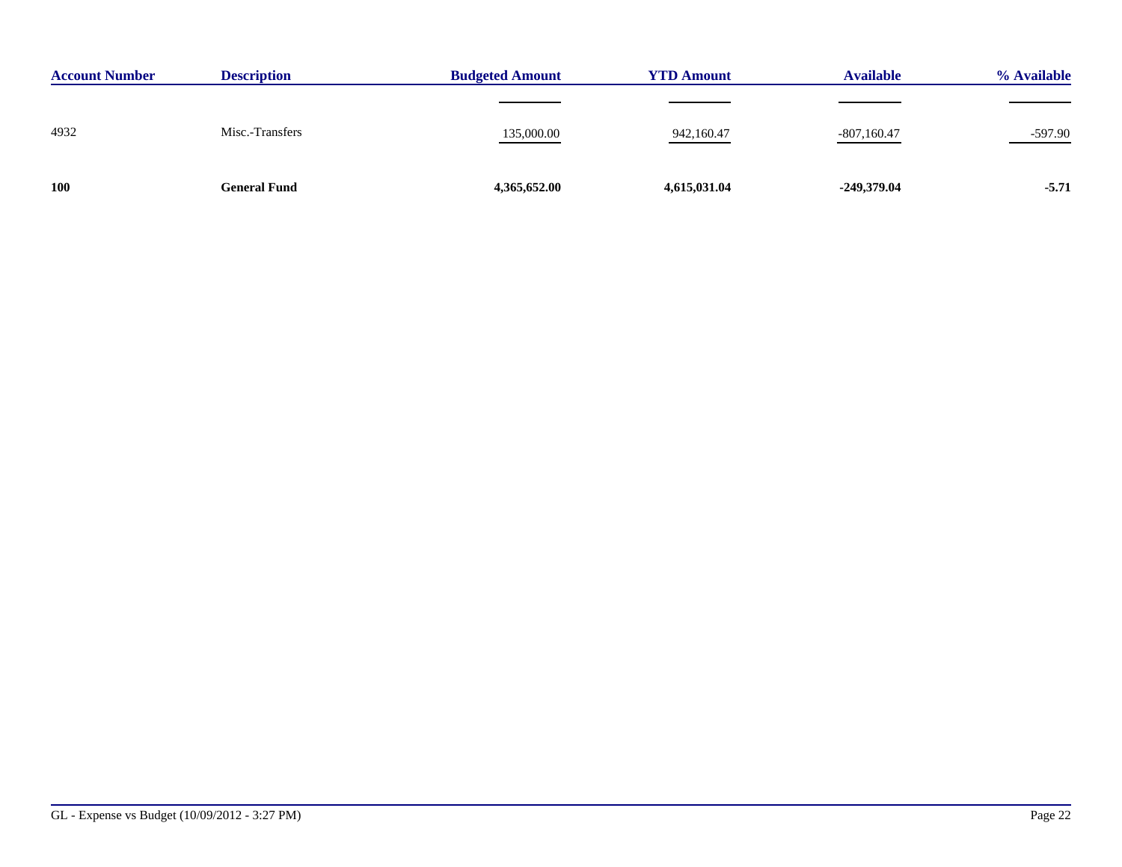| <b>Account Number</b> | <b>Description</b>  | <b>Budgeted Amount</b> | <b>YTD Amount</b> | <b>Available</b> | % Available |
|-----------------------|---------------------|------------------------|-------------------|------------------|-------------|
|                       |                     |                        |                   |                  |             |
| 4932                  | Misc.-Transfers     | 135,000.00             | 942,160.47        | $-807,160.47$    | $-597.90$   |
| <b>100</b>            | <b>General Fund</b> | 4,365,652.00           | 4,615,031.04      | -249,379.04      | $-5.71$     |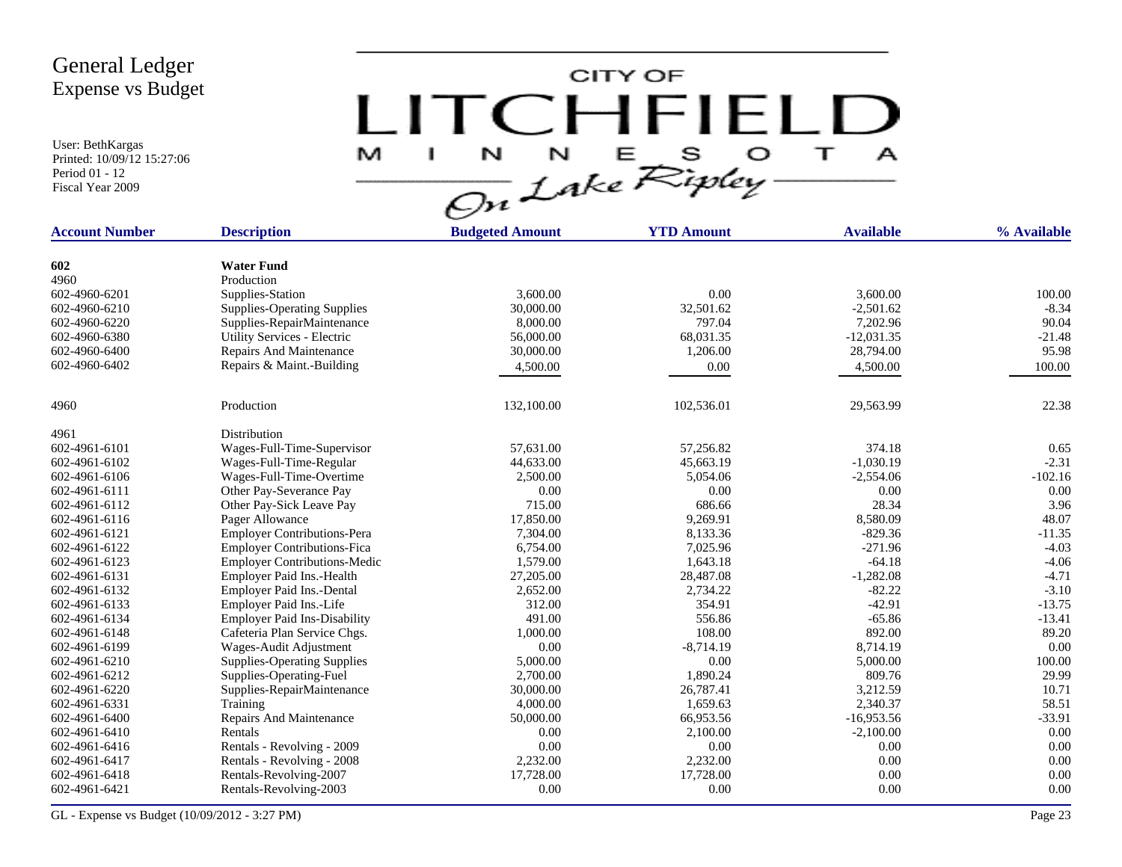User: BethKargas Printed: 10/09/12 15:27:06 Period 01 - 12 Fiscal Year 2009

 $LITCHTFIELD<sub>a</sub>  
\n $\frac{M-T}{\sqrt{2n}}\frac{1}{2abc}\sum_{k}^{N}E_{k}^{S}D_{k}^{S} + \frac{1}{2}$$ 

| <b>Account Number</b> | <b>Description</b>                  | <b>Budgeted Amount</b> | <b>YTD Amount</b> | <b>Available</b> | % Available |
|-----------------------|-------------------------------------|------------------------|-------------------|------------------|-------------|
|                       |                                     |                        |                   |                  |             |
| 602                   | <b>Water Fund</b>                   |                        |                   |                  |             |
| 4960                  | Production                          |                        |                   |                  |             |
| 602-4960-6201         | Supplies-Station                    | 3,600.00               | 0.00              | 3,600.00         | 100.00      |
| 602-4960-6210         | <b>Supplies-Operating Supplies</b>  | 30,000.00              | 32,501.62         | $-2,501.62$      | $-8.34$     |
| 602-4960-6220         | Supplies-RepairMaintenance          | 8,000.00               | 797.04            | 7,202.96         | 90.04       |
| 602-4960-6380         | Utility Services - Electric         | 56,000.00              | 68,031.35         | $-12,031.35$     | $-21.48$    |
| 602-4960-6400         | Repairs And Maintenance             | 30,000.00              | 1,206.00          | 28,794.00        | 95.98       |
| 602-4960-6402         | Repairs & Maint.-Building           | 4,500.00               | 0.00              | 4,500.00         | 100.00      |
| 4960                  | Production                          | 132,100.00             | 102,536.01        | 29,563.99        | 22.38       |
| 4961                  | Distribution                        |                        |                   |                  |             |
| 602-4961-6101         | Wages-Full-Time-Supervisor          | 57,631.00              | 57,256.82         | 374.18           | 0.65        |
| 602-4961-6102         | Wages-Full-Time-Regular             | 44,633.00              | 45,663.19         | $-1,030.19$      | $-2.31$     |
| 602-4961-6106         | Wages-Full-Time-Overtime            | 2,500.00               | 5,054.06          | $-2,554.06$      | $-102.16$   |
| 602-4961-6111         | Other Pay-Severance Pay             | 0.00                   | 0.00              | 0.00             | 0.00        |
| 602-4961-6112         | Other Pay-Sick Leave Pay            | 715.00                 | 686.66            | 28.34            | 3.96        |
| 602-4961-6116         | Pager Allowance                     | 17,850.00              | 9,269.91          | 8,580.09         | 48.07       |
| 602-4961-6121         | <b>Employer Contributions-Pera</b>  | 7,304.00               | 8,133.36          | $-829.36$        | $-11.35$    |
| 602-4961-6122         | <b>Employer Contributions-Fica</b>  | 6,754.00               | 7,025.96          | $-271.96$        | $-4.03$     |
| 602-4961-6123         | <b>Employer Contributions-Medic</b> | 1,579.00               | 1,643.18          | $-64.18$         | $-4.06$     |
| 602-4961-6131         | Employer Paid Ins.-Health           | 27,205.00              | 28,487.08         | $-1,282.08$      | $-4.71$     |
| 602-4961-6132         | Employer Paid Ins.-Dental           | 2,652.00               | 2,734.22          | $-82.22$         | $-3.10$     |
| 602-4961-6133         | Employer Paid Ins.-Life             | 312.00                 | 354.91            | $-42.91$         | $-13.75$    |
| 602-4961-6134         | <b>Employer Paid Ins-Disability</b> | 491.00                 | 556.86            | $-65.86$         | $-13.41$    |
| 602-4961-6148         | Cafeteria Plan Service Chgs.        | 1,000.00               | 108.00            | 892.00           | 89.20       |
| 602-4961-6199         | Wages-Audit Adjustment              | 0.00                   | $-8,714.19$       | 8,714.19         | 0.00        |
| 602-4961-6210         | <b>Supplies-Operating Supplies</b>  | 5,000.00               | 0.00              | 5,000.00         | 100.00      |
| 602-4961-6212         | Supplies-Operating-Fuel             | 2,700.00               | 1,890.24          | 809.76           | 29.99       |
| 602-4961-6220         | Supplies-RepairMaintenance          | 30,000.00              | 26,787.41         | 3,212.59         | 10.71       |
| 602-4961-6331         | Training                            | 4,000.00               | 1,659.63          | 2,340.37         | 58.51       |
| 602-4961-6400         | Repairs And Maintenance             | 50,000.00              | 66,953.56         | $-16,953.56$     | $-33.91$    |
| 602-4961-6410         | Rentals                             | 0.00                   | 2,100.00          | $-2,100.00$      | 0.00        |
| 602-4961-6416         | Rentals - Revolving - 2009          | 0.00                   | 0.00              | 0.00             | 0.00        |
| 602-4961-6417         | Rentals - Revolving - 2008          | 2,232.00               | 2,232.00          | 0.00             | 0.00        |
| 602-4961-6418         | Rentals-Revolving-2007              | 17,728.00              | 17,728.00         | 0.00             | 0.00        |
| 602-4961-6421         | Rentals-Revolving-2003              | 0.00                   | 0.00              | 0.00             | 0.00        |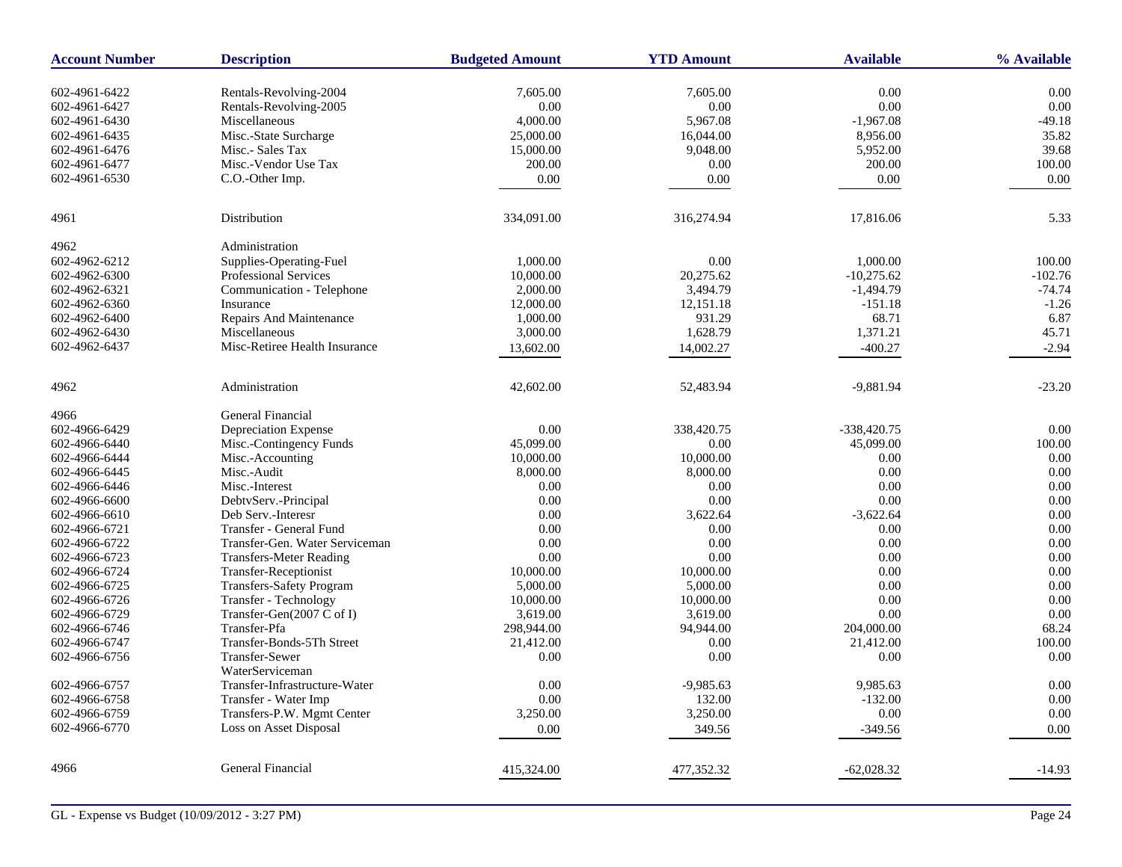| <b>Account Number</b> | <b>Description</b>             | <b>Budgeted Amount</b> | <b>YTD Amount</b> | <b>Available</b> | % Available |
|-----------------------|--------------------------------|------------------------|-------------------|------------------|-------------|
| 602-4961-6422         | Rentals-Revolving-2004         | 7,605.00               | 7,605.00          | 0.00             | 0.00        |
| 602-4961-6427         | Rentals-Revolving-2005         | 0.00                   | 0.00              | 0.00             | 0.00        |
| 602-4961-6430         | Miscellaneous                  | 4,000.00               | 5,967.08          | $-1,967.08$      | $-49.18$    |
| 602-4961-6435         | Misc.-State Surcharge          | 25,000.00              | 16,044.00         | 8,956.00         | 35.82       |
| 602-4961-6476         | Misc.- Sales Tax               | 15,000.00              | 9,048.00          | 5,952.00         | 39.68       |
| 602-4961-6477         | Misc.-Vendor Use Tax           | 200.00                 | 0.00              | 200.00           | 100.00      |
| 602-4961-6530         | C.O.-Other Imp.                | 0.00                   | 0.00              | 0.00             | 0.00        |
|                       |                                |                        |                   |                  |             |
| 4961                  | Distribution                   | 334,091.00             | 316,274.94        | 17,816.06        | 5.33        |
| 4962                  | Administration                 |                        |                   |                  |             |
| 602-4962-6212         | Supplies-Operating-Fuel        | 1,000.00               | 0.00              | 1,000.00         | 100.00      |
| 602-4962-6300         | Professional Services          | 10,000.00              | 20,275.62         | $-10,275.62$     | $-102.76$   |
| 602-4962-6321         | Communication - Telephone      | 2,000.00               | 3,494.79          | $-1,494.79$      | $-74.74$    |
| 602-4962-6360         | Insurance                      | 12,000.00              | 12,151.18         | $-151.18$        | $-1.26$     |
| 602-4962-6400         | Repairs And Maintenance        | 1,000.00               | 931.29            | 68.71            | 6.87        |
| 602-4962-6430         | Miscellaneous                  | 3,000.00               | 1,628.79          | 1,371.21         | 45.71       |
| 602-4962-6437         | Misc-Retiree Health Insurance  | 13,602.00              | 14,002.27         | $-400.27$        | $-2.94$     |
|                       |                                |                        |                   |                  |             |
| 4962                  | Administration                 | 42,602.00              | 52,483.94         | $-9,881.94$      | $-23.20$    |
| 4966                  | General Financial              |                        |                   |                  |             |
| 602-4966-6429         | Depreciation Expense           | 0.00                   | 338,420.75        | $-338,420.75$    | 0.00        |
| 602-4966-6440         | Misc.-Contingency Funds        | 45,099.00              | 0.00              | 45,099.00        | 100.00      |
| 602-4966-6444         | Misc.-Accounting               | 10,000.00              | 10,000.00         | 0.00             | 0.00        |
| 602-4966-6445         | Misc.-Audit                    | 8,000.00               | 8,000.00          | 0.00             | 0.00        |
| 602-4966-6446         | Misc.-Interest                 | 0.00                   | 0.00              | 0.00             | 0.00        |
| 602-4966-6600         | DebtvServ.-Principal           | 0.00                   | 0.00              | 0.00             | 0.00        |
| 602-4966-6610         | Deb Serv.-Interesr             | 0.00                   | 3,622.64          | $-3,622.64$      | 0.00        |
| 602-4966-6721         | Transfer - General Fund        | 0.00                   | 0.00              | 0.00             | 0.00        |
| 602-4966-6722         | Transfer-Gen. Water Serviceman | 0.00                   | 0.00              | 0.00             | 0.00        |
| 602-4966-6723         | <b>Transfers-Meter Reading</b> | 0.00                   | 0.00              | 0.00             | 0.00        |
| 602-4966-6724         | Transfer-Receptionist          | 10,000.00              | 10,000.00         | 0.00             | 0.00        |
| 602-4966-6725         | Transfers-Safety Program       | 5,000.00               | 5,000.00          | 0.00             | 0.00        |
| 602-4966-6726         | Transfer - Technology          | 10,000.00              | 10,000.00         | 0.00             | 0.00        |
| 602-4966-6729         | Transfer-Gen(2007 C of I)      | 3,619.00               | 3,619.00          | 0.00             | 0.00        |
| 602-4966-6746         | Transfer-Pfa                   | 298,944.00             | 94,944.00         | 204,000.00       | 68.24       |
| 602-4966-6747         | Transfer-Bonds-5Th Street      | 21,412.00              | 0.00              | 21,412.00        | 100.00      |
| 602-4966-6756         | <b>Transfer-Sewer</b>          | 0.00                   | 0.00              | 0.00             | 0.00        |
|                       | WaterServiceman                |                        |                   |                  |             |
| 602-4966-6757         | Transfer-Infrastructure-Water  | $0.00\,$               | $-9,985.63$       | 9,985.63         | 0.00        |
| 602-4966-6758         | Transfer - Water Imp           | 0.00                   | 132.00            | $-132.00$        | 0.00        |
| 602-4966-6759         | Transfers-P.W. Mgmt Center     | 3,250.00               | 3,250.00          | 0.00             | 0.00        |
| 602-4966-6770         | Loss on Asset Disposal         | $0.00\,$               | 349.56            | $-349.56$        | 0.00        |
| 4966                  | General Financial              | 415,324.00             | 477,352.32        | $-62,028.32$     | $-14.93$    |
|                       |                                |                        |                   |                  |             |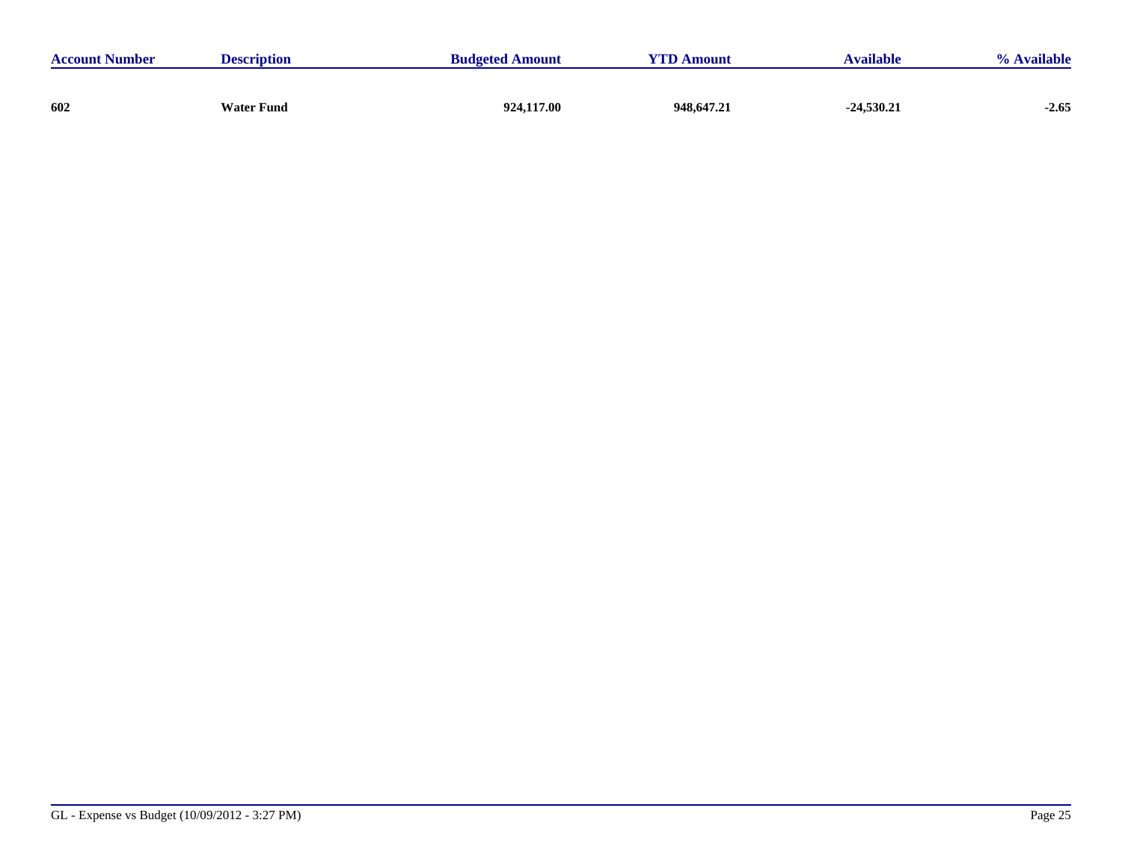| <b>Account Number</b> | <b>Description</b> | <b>Budgeted Amount</b> | <b>YTD Amount</b> | <b>Available</b> | <b>Available</b><br>$\frac{0}{\alpha}$ |
|-----------------------|--------------------|------------------------|-------------------|------------------|----------------------------------------|
|                       |                    |                        |                   |                  |                                        |
| 602                   | <b>Water Fund</b>  | 924,117.00             | 948,647.21        | $-24,530.21$     | $-2.65$                                |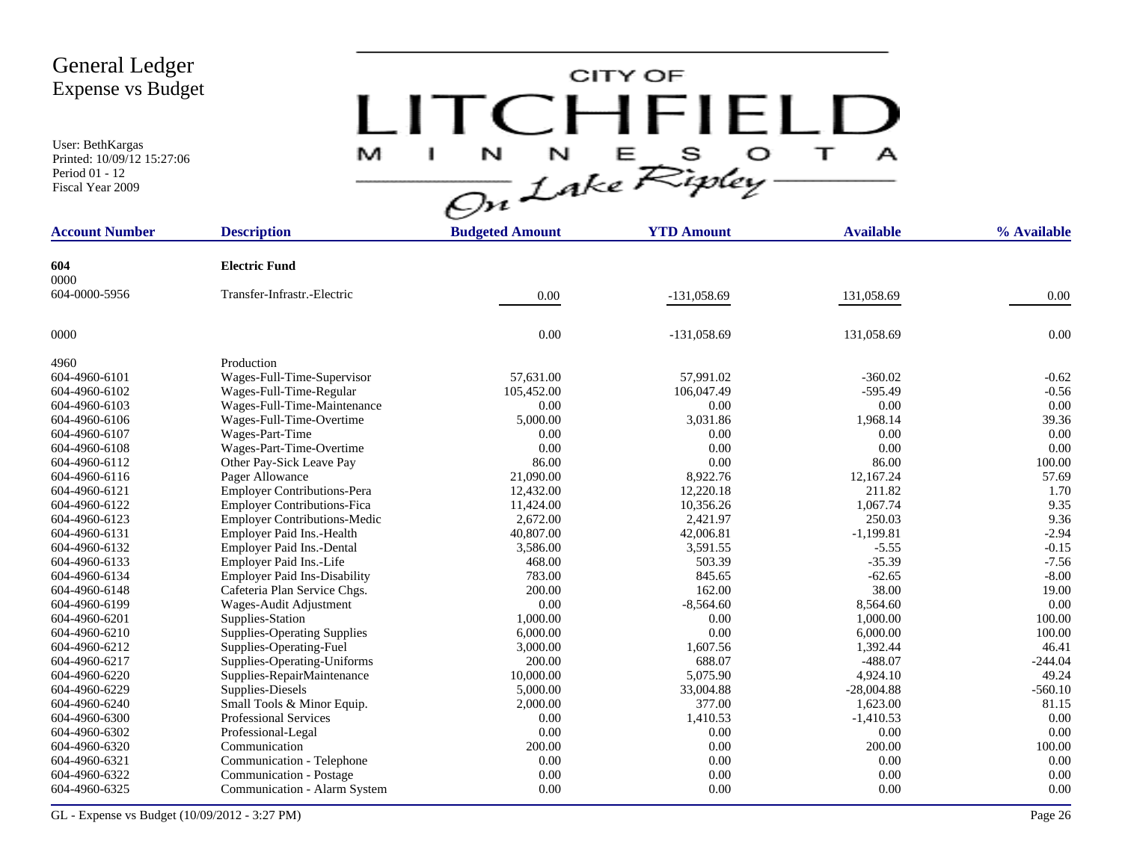User: BethKargas Printed: 10/09/12 15:27:06 Period 01 - 12 Fiscal Year 2009

# $LITCHTFIELD<sub>a</sub>\n $\frac{M-T}{\sqrt{2n}}\frac{1}{2abc}\sum_{k}^{N}E_{k}^{S}D_{k}^{S} + \frac{1}{2}$$

| <b>Account Number</b> | <b>Description</b>                  | <b>Budgeted Amount</b> | <b>YTD Amount</b> | <b>Available</b> | % Available |
|-----------------------|-------------------------------------|------------------------|-------------------|------------------|-------------|
| 604                   | <b>Electric Fund</b>                |                        |                   |                  |             |
| 0000                  |                                     |                        |                   |                  |             |
| 604-0000-5956         | Transfer-Infrastr.-Electric         | 0.00                   | $-131,058.69$     | 131,058.69       | 0.00        |
|                       |                                     |                        |                   |                  |             |
| 0000                  |                                     | 0.00                   | $-131,058.69$     | 131,058.69       | 0.00        |
| 4960                  | Production                          |                        |                   |                  |             |
| 604-4960-6101         | Wages-Full-Time-Supervisor          | 57,631.00              | 57,991.02         | $-360.02$        | $-0.62$     |
| 604-4960-6102         | Wages-Full-Time-Regular             | 105,452.00             | 106,047.49        | $-595.49$        | $-0.56$     |
| 604-4960-6103         | Wages-Full-Time-Maintenance         | 0.00                   | 0.00              | 0.00             | 0.00        |
| 604-4960-6106         | Wages-Full-Time-Overtime            | 5,000.00               | 3,031.86          | 1,968.14         | 39.36       |
| 604-4960-6107         | Wages-Part-Time                     | 0.00                   | 0.00              | 0.00             | 0.00        |
| 604-4960-6108         | Wages-Part-Time-Overtime            | 0.00                   | 0.00              | 0.00             | 0.00        |
| 604-4960-6112         | Other Pay-Sick Leave Pay            | 86.00                  | 0.00              | 86.00            | 100.00      |
| 604-4960-6116         | Pager Allowance                     | 21,090.00              | 8,922.76          | 12,167.24        | 57.69       |
| 604-4960-6121         | <b>Employer Contributions-Pera</b>  | 12,432.00              | 12,220.18         | 211.82           | 1.70        |
| 604-4960-6122         | <b>Employer Contributions-Fica</b>  | 11,424.00              | 10,356.26         | 1,067.74         | 9.35        |
| 604-4960-6123         | <b>Employer Contributions-Medic</b> | 2,672.00               | 2,421.97          | 250.03           | 9.36        |
| 604-4960-6131         | Employer Paid Ins.-Health           | 40,807.00              | 42,006.81         | $-1,199.81$      | $-2.94$     |
| 604-4960-6132         | Employer Paid Ins.-Dental           | 3,586.00               | 3,591.55          | $-5.55$          | $-0.15$     |
| 604-4960-6133         | Employer Paid Ins.-Life             | 468.00                 | 503.39            | $-35.39$         | $-7.56$     |
| 604-4960-6134         | <b>Employer Paid Ins-Disability</b> | 783.00                 | 845.65            | $-62.65$         | $-8.00$     |
| 604-4960-6148         | Cafeteria Plan Service Chgs.        | 200.00                 | 162.00            | 38.00            | 19.00       |
| 604-4960-6199         | Wages-Audit Adjustment              | 0.00                   | $-8,564.60$       | 8,564.60         | 0.00        |
| 604-4960-6201         | Supplies-Station                    | 1,000.00               | 0.00              | 1,000.00         | 100.00      |
| 604-4960-6210         | <b>Supplies-Operating Supplies</b>  | 6,000.00               | 0.00              | 6,000.00         | 100.00      |
| 604-4960-6212         | Supplies-Operating-Fuel             | 3,000.00               | 1,607.56          | 1,392.44         | 46.41       |
| 604-4960-6217         | Supplies-Operating-Uniforms         | 200.00                 | 688.07            | $-488.07$        | $-244.04$   |
| 604-4960-6220         | Supplies-RepairMaintenance          | 10,000.00              | 5,075.90          | 4,924.10         | 49.24       |
| 604-4960-6229         | Supplies-Diesels                    | 5,000.00               | 33,004.88         | $-28,004.88$     | $-560.10$   |
| 604-4960-6240         | Small Tools & Minor Equip.          | 2,000.00               | 377.00            | 1,623.00         | 81.15       |
| 604-4960-6300         | <b>Professional Services</b>        | 0.00                   | 1,410.53          | $-1,410.53$      | 0.00        |
| 604-4960-6302         | Professional-Legal                  | 0.00                   | 0.00              | 0.00             | 0.00        |
| 604-4960-6320         | Communication                       | 200.00                 | 0.00              | 200.00           | 100.00      |
| 604-4960-6321         | Communication - Telephone           | 0.00                   | 0.00              | 0.00             | 0.00        |
| 604-4960-6322         | Communication - Postage             | 0.00                   | 0.00              | 0.00             | 0.00        |
| 604-4960-6325         | Communication - Alarm System        | 0.00                   | 0.00              | 0.00             | 0.00        |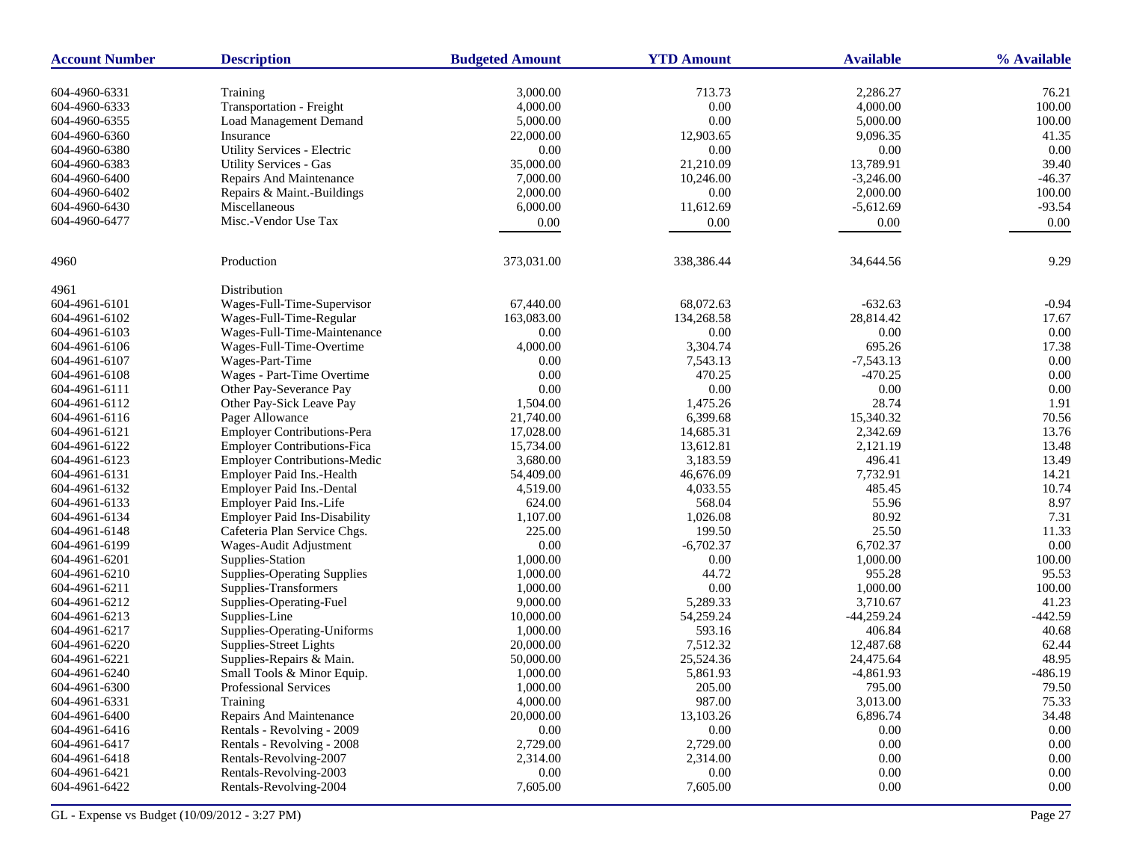| <b>Account Number</b> | <b>Description</b>                  | <b>Budgeted Amount</b> | <b>YTD Amount</b> | <b>Available</b> | % Available |
|-----------------------|-------------------------------------|------------------------|-------------------|------------------|-------------|
| 604-4960-6331         | Training                            | 3,000.00               | 713.73            | 2,286.27         | 76.21       |
| 604-4960-6333         | Transportation - Freight            | 4,000.00               | 0.00              | 4,000.00         | 100.00      |
| 604-4960-6355         | <b>Load Management Demand</b>       | 5,000.00               | 0.00              | 5,000.00         | 100.00      |
| 604-4960-6360         | Insurance                           | 22,000.00              | 12,903.65         | 9,096.35         | 41.35       |
| 604-4960-6380         | Utility Services - Electric         | 0.00                   | 0.00              | 0.00             | 0.00        |
| 604-4960-6383         | <b>Utility Services - Gas</b>       | 35,000.00              | 21,210.09         | 13,789.91        | 39.40       |
| 604-4960-6400         | Repairs And Maintenance             | 7,000.00               | 10,246.00         | $-3,246.00$      | $-46.37$    |
| 604-4960-6402         | Repairs & Maint.-Buildings          | 2,000.00               | 0.00              | 2,000.00         | 100.00      |
| 604-4960-6430         | Miscellaneous                       | 6,000.00               | 11,612.69         | $-5,612.69$      | $-93.54$    |
| 604-4960-6477         | Misc.-Vendor Use Tax                | 0.00                   | 0.00              | 0.00             | 0.00        |
|                       |                                     |                        |                   |                  |             |
| 4960                  | Production                          | 373,031.00             | 338,386.44        | 34,644.56        | 9.29        |
| 4961                  | Distribution                        |                        |                   |                  |             |
| 604-4961-6101         | Wages-Full-Time-Supervisor          | 67,440.00              | 68,072.63         | $-632.63$        | $-0.94$     |
| 604-4961-6102         | Wages-Full-Time-Regular             | 163,083.00             | 134,268.58        | 28,814.42        | 17.67       |
| 604-4961-6103         | Wages-Full-Time-Maintenance         | 0.00                   | 0.00              | 0.00             | 0.00        |
| 604-4961-6106         | Wages-Full-Time-Overtime            | 4,000.00               | 3,304.74          | 695.26           | 17.38       |
| 604-4961-6107         | Wages-Part-Time                     | 0.00                   | 7,543.13          | $-7,543.13$      | 0.00        |
| 604-4961-6108         | Wages - Part-Time Overtime          | 0.00                   | 470.25            | $-470.25$        | 0.00        |
| 604-4961-6111         | Other Pay-Severance Pay             | 0.00                   | $0.00\,$          | $0.00\,$         | 0.00        |
| 604-4961-6112         | Other Pay-Sick Leave Pay            | 1,504.00               | 1,475.26          | 28.74            | 1.91        |
| 604-4961-6116         | Pager Allowance                     | 21,740.00              | 6,399.68          | 15,340.32        | 70.56       |
| 604-4961-6121         | <b>Employer Contributions-Pera</b>  | 17,028.00              | 14,685.31         | 2,342.69         | 13.76       |
| 604-4961-6122         | <b>Employer Contributions-Fica</b>  | 15,734.00              | 13,612.81         | 2,121.19         | 13.48       |
| 604-4961-6123         | <b>Employer Contributions-Medic</b> | 3,680.00               | 3,183.59          | 496.41           | 13.49       |
| 604-4961-6131         | Employer Paid Ins.-Health           | 54,409.00              | 46,676.09         | 7,732.91         | 14.21       |
| 604-4961-6132         | Employer Paid Ins.-Dental           | 4,519.00               | 4,033.55          | 485.45           | 10.74       |
| 604-4961-6133         | Employer Paid Ins.-Life             | 624.00                 | 568.04            | 55.96            | 8.97        |
| 604-4961-6134         | <b>Employer Paid Ins-Disability</b> | 1,107.00               | 1,026.08          | 80.92            | 7.31        |
| 604-4961-6148         | Cafeteria Plan Service Chgs.        | 225.00                 | 199.50            | 25.50            | 11.33       |
| 604-4961-6199         | Wages-Audit Adjustment              | 0.00                   | $-6,702.37$       | 6,702.37         | 0.00        |
| 604-4961-6201         | Supplies-Station                    | 1,000.00               | 0.00              | 1,000.00         | 100.00      |
| 604-4961-6210         | Supplies-Operating Supplies         | 1,000.00               | 44.72             | 955.28           | 95.53       |
| 604-4961-6211         | Supplies-Transformers               | 1,000.00               | 0.00              | 1,000.00         | 100.00      |
| 604-4961-6212         | Supplies-Operating-Fuel             | 9,000.00               | 5,289.33          | 3.710.67         | 41.23       |
| 604-4961-6213         | Supplies-Line                       | 10,000.00              | 54,259.24         | $-44,259.24$     | $-442.59$   |
| 604-4961-6217         | Supplies-Operating-Uniforms         | 1,000.00               | 593.16            | 406.84           | 40.68       |
| 604-4961-6220         | Supplies-Street Lights              | 20,000.00              | 7,512.32          | 12,487.68        | 62.44       |
| 604-4961-6221         | Supplies-Repairs & Main.            | 50,000.00              | 25,524.36         | 24,475.64        | 48.95       |
| 604-4961-6240         | Small Tools & Minor Equip.          | 1,000.00               | 5,861.93          | $-4,861.93$      | $-486.19$   |
| 604-4961-6300         | Professional Services               | 1,000.00               | 205.00            | 795.00           | 79.50       |
| 604-4961-6331         | Training                            | 4,000.00               | 987.00            | 3,013.00         | 75.33       |
| 604-4961-6400         | Repairs And Maintenance             | 20,000.00              | 13,103.26         | 6,896.74         | 34.48       |
| 604-4961-6416         | Rentals - Revolving - 2009          | 0.00                   | 0.00              | $0.00\,$         | 0.00        |
| 604-4961-6417         | Rentals - Revolving - 2008          | 2,729.00               | 2,729.00          | $0.00\,$         | $0.00\,$    |
| 604-4961-6418         | Rentals-Revolving-2007              | 2,314.00               | 2,314.00          | $0.00\,$         | $0.00\,$    |
| 604-4961-6421         | Rentals-Revolving-2003              | $0.00\,$               | 0.00              | 0.00             | 0.00        |
| 604-4961-6422         | Rentals-Revolving-2004              | 7,605.00               | 7,605.00          | 0.00             | $0.00\,$    |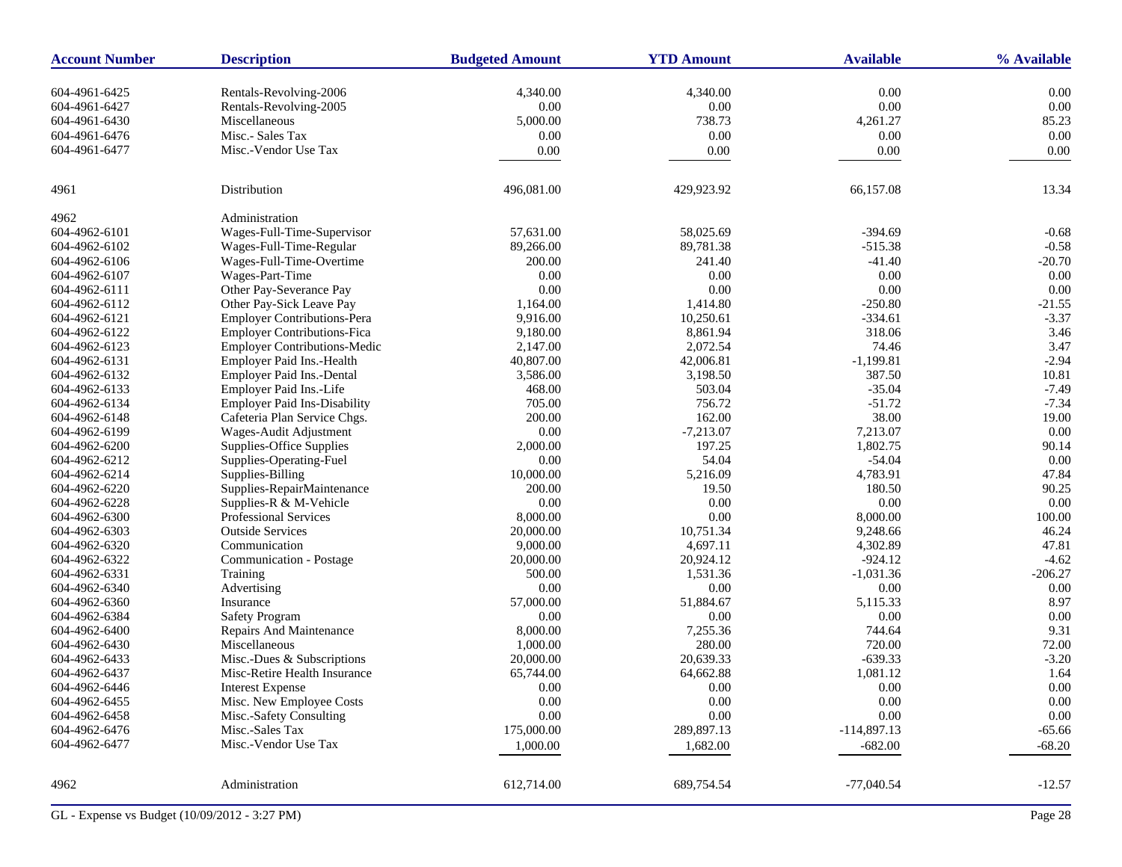| <b>Account Number</b> | <b>Description</b>                  | <b>Budgeted Amount</b> | <b>YTD Amount</b> | <b>Available</b> | % Available |
|-----------------------|-------------------------------------|------------------------|-------------------|------------------|-------------|
| 604-4961-6425         | Rentals-Revolving-2006              | 4,340.00               | 4,340.00          | 0.00             | 0.00        |
| 604-4961-6427         | Rentals-Revolving-2005              | 0.00                   | $0.00\,$          | 0.00             | 0.00        |
| 604-4961-6430         | Miscellaneous                       | 5,000.00               | 738.73            | 4,261.27         | 85.23       |
| 604-4961-6476         | Misc.- Sales Tax                    | 0.00                   | 0.00              | 0.00             | 0.00        |
| 604-4961-6477         | Misc.-Vendor Use Tax                | 0.00                   | 0.00              | 0.00             | 0.00        |
|                       |                                     |                        |                   |                  |             |
| 4961                  | Distribution                        | 496,081.00             | 429,923.92        | 66,157.08        | 13.34       |
| 4962                  | Administration                      |                        |                   |                  |             |
| 604-4962-6101         | Wages-Full-Time-Supervisor          | 57,631.00              | 58,025.69         | $-394.69$        | $-0.68$     |
| 604-4962-6102         | Wages-Full-Time-Regular             | 89,266.00              | 89,781.38         | $-515.38$        | $-0.58$     |
| 604-4962-6106         | Wages-Full-Time-Overtime            | 200.00                 | 241.40            | $-41.40$         | $-20.70$    |
| 604-4962-6107         | Wages-Part-Time                     | 0.00                   | 0.00              | 0.00             | 0.00        |
| 604-4962-6111         | Other Pay-Severance Pay             | 0.00                   | 0.00              | 0.00             | 0.00        |
| 604-4962-6112         | Other Pay-Sick Leave Pay            | 1,164.00               | 1,414.80          | $-250.80$        | $-21.55$    |
| 604-4962-6121         | <b>Employer Contributions-Pera</b>  | 9,916.00               | 10,250.61         | $-334.61$        | $-3.37$     |
| 604-4962-6122         | <b>Employer Contributions-Fica</b>  | 9,180.00               | 8,861.94          | 318.06           | 3.46        |
| 604-4962-6123         | <b>Employer Contributions-Medic</b> | 2,147.00               | 2,072.54          | 74.46            | 3.47        |
| 604-4962-6131         | Employer Paid Ins.-Health           | 40,807.00              | 42,006.81         | $-1,199.81$      | $-2.94$     |
| 604-4962-6132         | Employer Paid Ins.-Dental           | 3,586.00               | 3,198.50          | 387.50           | 10.81       |
| 604-4962-6133         | Employer Paid Ins.-Life             | 468.00                 | 503.04            | $-35.04$         | $-7.49$     |
| 604-4962-6134         | <b>Employer Paid Ins-Disability</b> | 705.00                 | 756.72            | $-51.72$         | $-7.34$     |
| 604-4962-6148         | Cafeteria Plan Service Chgs.        | 200.00                 | 162.00            | 38.00            | 19.00       |
| 604-4962-6199         | Wages-Audit Adjustment              | 0.00                   | $-7,213.07$       | 7,213.07         | 0.00        |
|                       | Supplies-Office Supplies            |                        | 197.25            | 1,802.75         | 90.14       |
| 604-4962-6200         |                                     | 2,000.00               |                   |                  |             |
| 604-4962-6212         | Supplies-Operating-Fuel             | 0.00                   | 54.04             | $-54.04$         | 0.00        |
| 604-4962-6214         | Supplies-Billing                    | 10,000.00              | 5,216.09          | 4,783.91         | 47.84       |
| 604-4962-6220         | Supplies-RepairMaintenance          | 200.00                 | 19.50             | 180.50           | 90.25       |
| 604-4962-6228         | Supplies-R & M-Vehicle              | 0.00                   | 0.00              | 0.00             | 0.00        |
| 604-4962-6300         | <b>Professional Services</b>        | 8,000.00               | 0.00              | 8,000.00         | 100.00      |
| 604-4962-6303         | <b>Outside Services</b>             | 20,000.00              | 10,751.34         | 9,248.66         | 46.24       |
| 604-4962-6320         | Communication                       | 9,000.00               | 4,697.11          | 4,302.89         | 47.81       |
| 604-4962-6322         | Communication - Postage             | 20,000.00              | 20,924.12         | $-924.12$        | $-4.62$     |
| 604-4962-6331         | Training                            | 500.00                 | 1,531.36          | $-1,031.36$      | $-206.27$   |
| 604-4962-6340         | Advertising                         | 0.00                   | $0.00\,$          | 0.00             | 0.00        |
| 604-4962-6360         | Insurance                           | 57,000.00              | 51,884.67         | 5,115.33         | 8.97        |
| 604-4962-6384         | <b>Safety Program</b>               | 0.00                   | 0.00              | 0.00             | 0.00        |
| 604-4962-6400         | Repairs And Maintenance             | 8,000.00               | 7,255.36          | 744.64           | 9.31        |
| 604-4962-6430         | Miscellaneous                       | 1,000.00               | 280.00            | 720.00           | 72.00       |
| 604-4962-6433         | Misc.-Dues & Subscriptions          | 20,000.00              | 20,639.33         | $-639.33$        | $-3.20$     |
| 604-4962-6437         | Misc-Retire Health Insurance        | 65,744.00              | 64,662.88         | 1,081.12         | 1.64        |
| 604-4962-6446         | <b>Interest Expense</b>             | 0.00                   | 0.00              | 0.00             | 0.00        |
| 604-4962-6455         | Misc. New Employee Costs            | 0.00                   | $0.00\,$          | $0.00\,$         | 0.00        |
| 604-4962-6458         | Misc.-Safety Consulting             | 0.00                   | $0.00\,$          | 0.00             | 0.00        |
| 604-4962-6476         | Misc.-Sales Tax                     | 175,000.00             | 289,897.13        | $-114,897.13$    | $-65.66$    |
| 604-4962-6477         | Misc.-Vendor Use Tax                | 1,000.00               | 1,682.00          | $-682.00$        | $-68.20$    |
|                       |                                     |                        |                   |                  |             |
| 4962                  | Administration                      | 612,714.00             | 689,754.54        | $-77,040.54$     | $-12.57$    |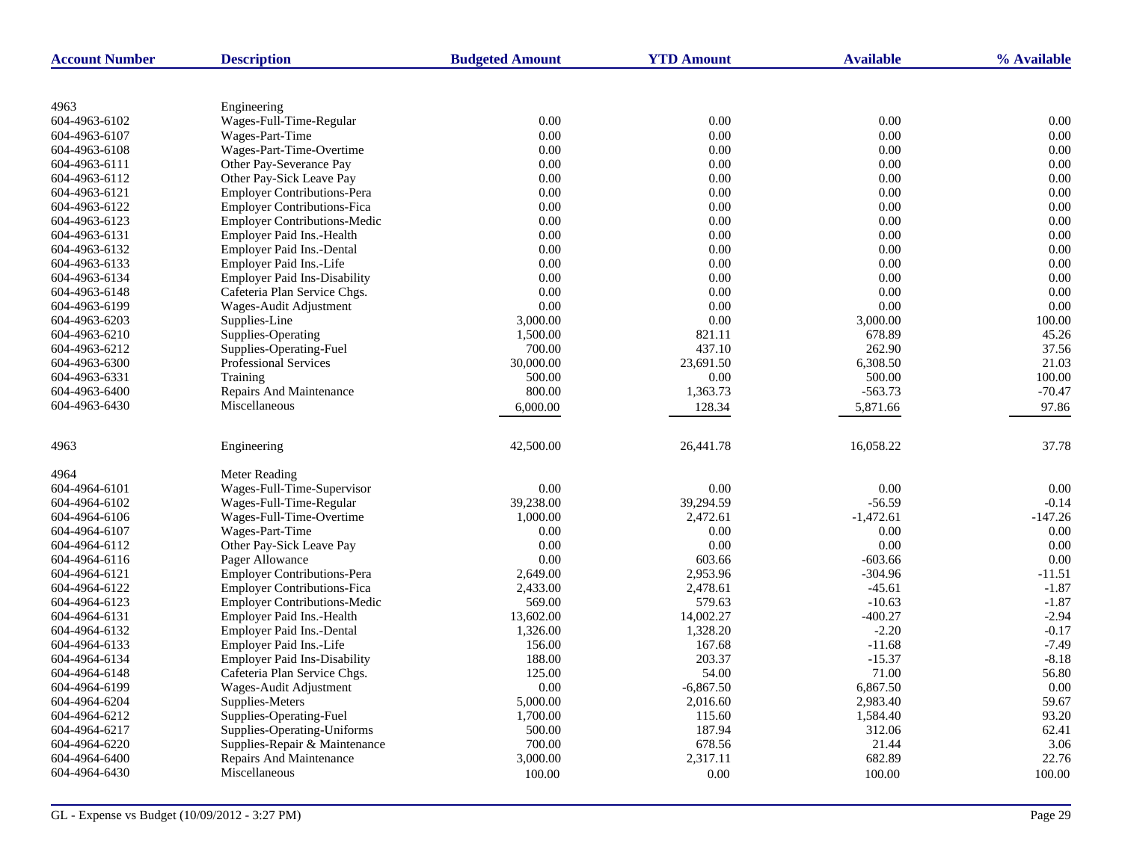| <b>Account Number</b> | <b>Description</b>                  | <b>Budgeted Amount</b> | <b>YTD Amount</b> | <b>Available</b> | % Available |
|-----------------------|-------------------------------------|------------------------|-------------------|------------------|-------------|
|                       |                                     |                        |                   |                  |             |
| 4963                  | Engineering                         |                        |                   |                  |             |
| 604-4963-6102         | Wages-Full-Time-Regular             | 0.00                   | 0.00              | $0.00\,$         | 0.00        |
| 604-4963-6107         | Wages-Part-Time                     | 0.00                   | 0.00              | 0.00             | 0.00        |
| 604-4963-6108         | Wages-Part-Time-Overtime            | 0.00                   | 0.00              | 0.00             | 0.00        |
| 604-4963-6111         | Other Pay-Severance Pay             | 0.00                   | 0.00              | 0.00             | 0.00        |
| 604-4963-6112         | Other Pay-Sick Leave Pay            | 0.00                   | 0.00              | 0.00             | 0.00        |
| 604-4963-6121         | <b>Employer Contributions-Pera</b>  | 0.00                   | 0.00              | 0.00             | 0.00        |
| 604-4963-6122         | <b>Employer Contributions-Fica</b>  | 0.00                   | 0.00              | 0.00             | 0.00        |
| 604-4963-6123         | <b>Employer Contributions-Medic</b> | 0.00                   | 0.00              | 0.00             | 0.00        |
| 604-4963-6131         | Employer Paid Ins.-Health           | 0.00                   | 0.00              | 0.00             | 0.00        |
| 604-4963-6132         | Employer Paid Ins.-Dental           | 0.00                   | 0.00              | 0.00             | 0.00        |
| 604-4963-6133         | Employer Paid Ins.-Life             | 0.00                   | 0.00              | 0.00             | 0.00        |
| 604-4963-6134         | <b>Employer Paid Ins-Disability</b> | 0.00                   | 0.00              | 0.00             | 0.00        |
| 604-4963-6148         | Cafeteria Plan Service Chgs.        | 0.00                   | 0.00              | 0.00             | 0.00        |
| 604-4963-6199         | Wages-Audit Adjustment              | $0.00\,$               | 0.00              | 0.00             | 0.00        |
| 604-4963-6203         | Supplies-Line                       | 3,000.00               | 0.00              | 3,000.00         | 100.00      |
| 604-4963-6210         | Supplies-Operating                  | 1,500.00               | 821.11            | 678.89           | 45.26       |
| 604-4963-6212         | Supplies-Operating-Fuel             | 700.00                 | 437.10            | 262.90           | 37.56       |
| 604-4963-6300         | Professional Services               | 30,000.00              | 23,691.50         | 6,308.50         | 21.03       |
| 604-4963-6331         | Training                            | 500.00                 | 0.00              | 500.00           | 100.00      |
| 604-4963-6400         | Repairs And Maintenance             | 800.00                 | 1,363.73          | $-563.73$        | $-70.47$    |
| 604-4963-6430         | Miscellaneous                       | 6,000.00               | 128.34            | 5,871.66         | 97.86       |
|                       |                                     |                        |                   |                  |             |
| 4963                  | Engineering                         | 42,500.00              | 26,441.78         | 16,058.22        | 37.78       |
| 4964                  | Meter Reading                       |                        |                   |                  |             |
| 604-4964-6101         | Wages-Full-Time-Supervisor          | 0.00                   | 0.00              | 0.00             | 0.00        |
| 604-4964-6102         | Wages-Full-Time-Regular             | 39,238.00              | 39,294.59         | $-56.59$         | $-0.14$     |
| 604-4964-6106         | Wages-Full-Time-Overtime            | 1,000.00               | 2,472.61          | $-1,472.61$      | $-147.26$   |
| 604-4964-6107         | Wages-Part-Time                     | 0.00                   | 0.00              | 0.00             | 0.00        |
| 604-4964-6112         | Other Pay-Sick Leave Pay            | 0.00                   | 0.00              | 0.00             | 0.00        |
| 604-4964-6116         | Pager Allowance                     | 0.00                   | 603.66            | $-603.66$        | 0.00        |
| 604-4964-6121         | Employer Contributions-Pera         | 2,649.00               | 2,953.96          | $-304.96$        | $-11.51$    |
| 604-4964-6122         | <b>Employer Contributions-Fica</b>  | 2,433.00               | 2,478.61          | $-45.61$         | $-1.87$     |
| 604-4964-6123         | <b>Employer Contributions-Medic</b> | 569.00                 | 579.63            | $-10.63$         | $-1.87$     |
| 604-4964-6131         | Employer Paid Ins.-Health           | 13,602.00              | 14,002.27         | $-400.27$        | $-2.94$     |
| 604-4964-6132         | Employer Paid Ins.-Dental           | 1,326.00               | 1,328.20          | $-2.20$          | $-0.17$     |
| 604-4964-6133         | Employer Paid Ins.-Life             | 156.00                 | 167.68            | $-11.68$         | $-7.49$     |
| 604-4964-6134         | <b>Employer Paid Ins-Disability</b> | 188.00                 | 203.37            | $-15.37$         | $-8.18$     |
| 604-4964-6148         | Cafeteria Plan Service Chgs.        | 125.00                 | 54.00             | 71.00            | 56.80       |
| 604-4964-6199         | Wages-Audit Adjustment              | 0.00                   | $-6,867.50$       | 6,867.50         | 0.00        |
| 604-4964-6204         | Supplies-Meters                     | 5,000.00               | 2,016.60          | 2,983.40         | 59.67       |
| 604-4964-6212         | Supplies-Operating-Fuel             | 1,700.00               | 115.60            | 1,584.40         | 93.20       |
| 604-4964-6217         | Supplies-Operating-Uniforms         | 500.00                 | 187.94            | 312.06           | 62.41       |
| 604-4964-6220         | Supplies-Repair & Maintenance       | 700.00                 | 678.56            | 21.44            | 3.06        |
| 604-4964-6400         | <b>Repairs And Maintenance</b>      | 3,000.00               | 2,317.11          | 682.89           | 22.76       |
| 604-4964-6430         | Miscellaneous                       | 100.00                 | 0.00              | 100.00           | 100.00      |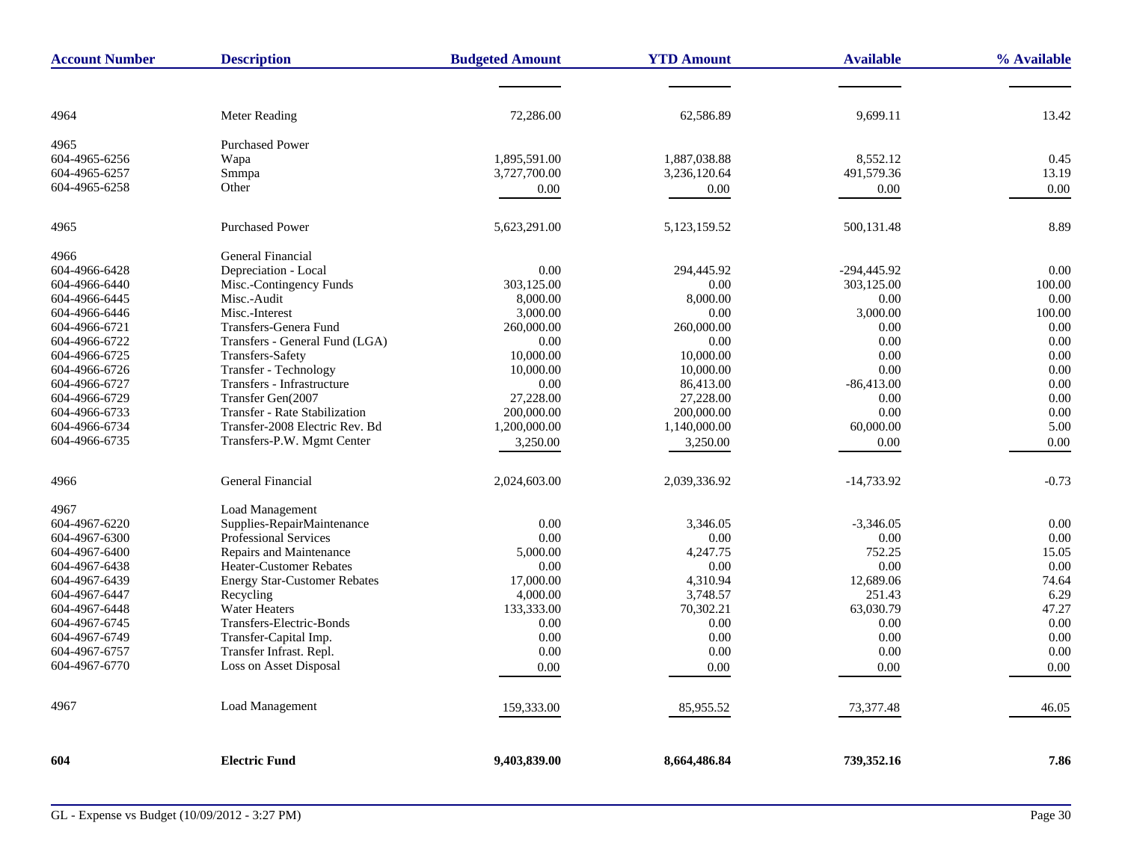| <b>Account Number</b> | <b>Description</b>                   | <b>Budgeted Amount</b> | <b>YTD Amount</b> | <b>Available</b> | % Available |
|-----------------------|--------------------------------------|------------------------|-------------------|------------------|-------------|
|                       |                                      |                        |                   |                  |             |
| 4964                  | Meter Reading                        | 72,286.00              | 62,586.89         | 9,699.11         | 13.42       |
| 4965                  | <b>Purchased Power</b>               |                        |                   |                  |             |
| 604-4965-6256         | Wapa                                 | 1.895.591.00           | 1,887,038.88      | 8.552.12         | 0.45        |
| 604-4965-6257         | Smmpa                                | 3,727,700.00           | 3,236,120.64      | 491,579.36       | 13.19       |
| 604-4965-6258         | Other                                | 0.00                   | 0.00              | 0.00             | 0.00        |
| 4965                  | <b>Purchased Power</b>               | 5,623,291.00           | 5,123,159.52      | 500,131.48       | 8.89        |
| 4966                  | <b>General Financial</b>             |                        |                   |                  |             |
| 604-4966-6428         | Depreciation - Local                 | 0.00                   | 294,445.92        | $-294,445.92$    | 0.00        |
| 604-4966-6440         | Misc.-Contingency Funds              | 303,125.00             | 0.00              | 303,125.00       | 100.00      |
| 604-4966-6445         | Misc.-Audit                          | 8,000.00               | 8,000.00          | 0.00             | 0.00        |
| 604-4966-6446         | Misc.-Interest                       | 3,000.00               | 0.00              | 3,000.00         | 100.00      |
| 604-4966-6721         | Transfers-Genera Fund                | 260,000.00             | 260,000.00        | 0.00             | 0.00        |
| 604-4966-6722         | Transfers - General Fund (LGA)       | 0.00                   | 0.00              | 0.00             | 0.00        |
| 604-4966-6725         | <b>Transfers-Safety</b>              | 10,000.00              | 10,000.00         | 0.00             | 0.00        |
| 604-4966-6726         | Transfer - Technology                | 10,000.00              | 10,000.00         | 0.00             | 0.00        |
| 604-4966-6727         | Transfers - Infrastructure           | 0.00                   | 86,413.00         | $-86,413.00$     | 0.00        |
| 604-4966-6729         | Transfer Gen(2007                    | 27,228.00              | 27,228.00         | 0.00             | 0.00        |
| 604-4966-6733         | <b>Transfer - Rate Stabilization</b> | 200,000.00             | 200,000.00        | 0.00             | 0.00        |
| 604-4966-6734         | Transfer-2008 Electric Rev. Bd       | 1,200,000.00           | 1,140,000.00      | 60,000.00        | 5.00        |
| 604-4966-6735         | Transfers-P.W. Mgmt Center           | 3,250.00               | 3,250.00          | 0.00             | 0.00        |
| 4966                  | General Financial                    | 2,024,603.00           | 2,039,336.92      | $-14,733.92$     | $-0.73$     |
| 4967                  | Load Management                      |                        |                   |                  |             |
| 604-4967-6220         | Supplies-RepairMaintenance           | 0.00                   | 3,346.05          | $-3,346.05$      | 0.00        |
| 604-4967-6300         | <b>Professional Services</b>         | 0.00                   | 0.00              | 0.00             | 0.00        |
| 604-4967-6400         | Repairs and Maintenance              | 5,000.00               | 4,247.75          | 752.25           | 15.05       |
| 604-4967-6438         | Heater-Customer Rebates              | 0.00                   | 0.00              | $0.00\,$         | 0.00        |
| 604-4967-6439         | <b>Energy Star-Customer Rebates</b>  | 17,000.00              | 4,310.94          | 12,689.06        | 74.64       |
| 604-4967-6447         | Recycling                            | 4,000.00               | 3,748.57          | 251.43           | 6.29        |
| 604-4967-6448         | <b>Water Heaters</b>                 | 133,333.00             | 70,302.21         | 63,030.79        | 47.27       |
| 604-4967-6745         | Transfers-Electric-Bonds             | 0.00                   | 0.00              | 0.00             | 0.00        |
| 604-4967-6749         | Transfer-Capital Imp.                | 0.00                   | 0.00              | 0.00             | 0.00        |
| 604-4967-6757         | Transfer Infrast. Repl.              | 0.00                   | 0.00              | 0.00             | 0.00        |
| 604-4967-6770         | Loss on Asset Disposal               | 0.00                   | 0.00              | 0.00             | 0.00        |
| 4967                  | <b>Load Management</b>               | 159,333.00             | 85,955.52         | 73,377.48        | 46.05       |
| 604                   | <b>Electric Fund</b>                 | 9,403,839.00           | 8,664,486.84      | 739,352.16       | 7.86        |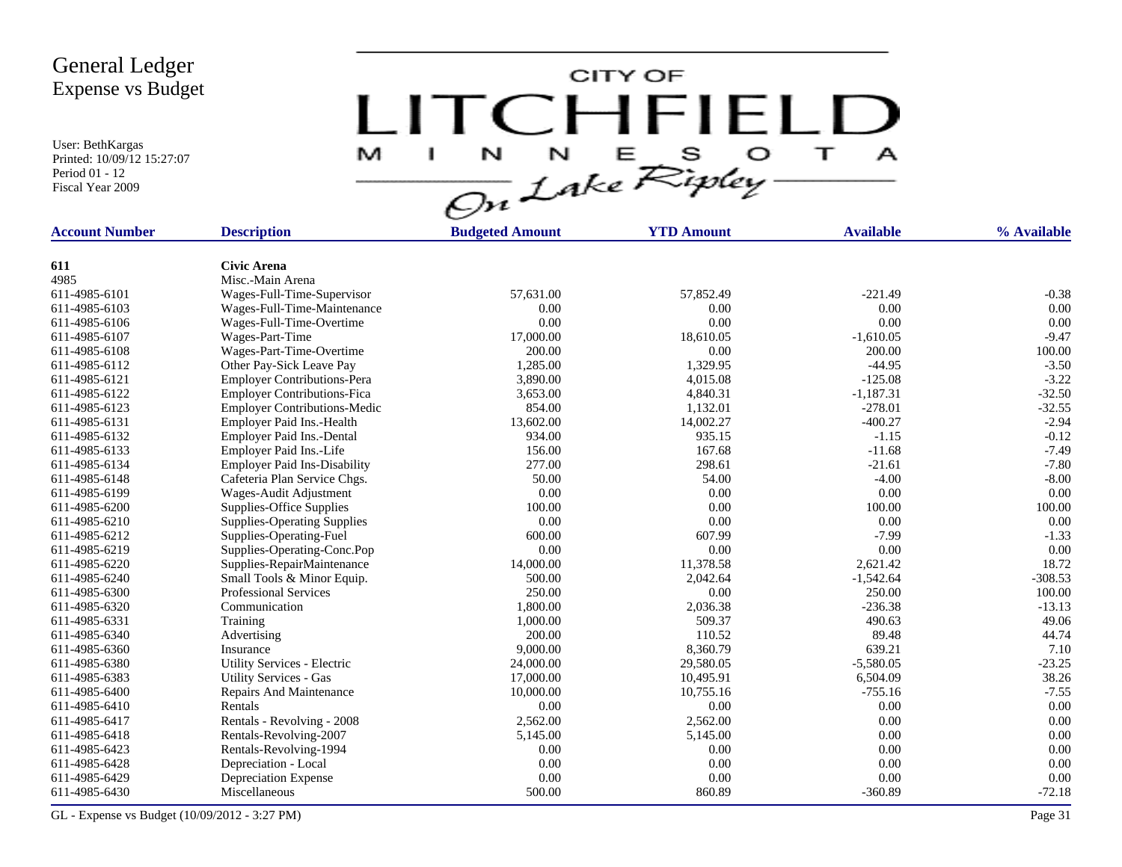User: BethKargas Printed: 10/09/12 15:27:07 Period 01 - 12 Fiscal Year 2009

LITCHFIELD

| <b>Account Number</b> | <b>Description</b>                  | <b>Budgeted Amount</b> | <b>YTD Amount</b> | <b>Available</b> | % Available |
|-----------------------|-------------------------------------|------------------------|-------------------|------------------|-------------|
|                       |                                     |                        |                   |                  |             |
| 611                   | <b>Civic Arena</b>                  |                        |                   |                  |             |
| 4985                  | Misc.-Main Arena                    |                        |                   |                  |             |
| 611-4985-6101         | Wages-Full-Time-Supervisor          | 57,631.00              | 57,852.49         | $-221.49$        | $-0.38$     |
| 611-4985-6103         | Wages-Full-Time-Maintenance         | 0.00                   | 0.00              | $0.00\,$         | 0.00        |
| 611-4985-6106         | Wages-Full-Time-Overtime            | 0.00                   | 0.00              | 0.00             | 0.00        |
| 611-4985-6107         | Wages-Part-Time                     | 17,000.00              | 18,610.05         | $-1,610.05$      | $-9.47$     |
| 611-4985-6108         | Wages-Part-Time-Overtime            | 200.00                 | 0.00              | 200.00           | 100.00      |
| 611-4985-6112         | Other Pay-Sick Leave Pay            | 1,285.00               | 1,329.95          | $-44.95$         | $-3.50$     |
| 611-4985-6121         | <b>Employer Contributions-Pera</b>  | 3,890.00               | 4,015.08          | $-125.08$        | $-3.22$     |
| 611-4985-6122         | <b>Employer Contributions-Fica</b>  | 3,653.00               | 4,840.31          | $-1,187.31$      | $-32.50$    |
| 611-4985-6123         | <b>Employer Contributions-Medic</b> | 854.00                 | 1,132.01          | $-278.01$        | $-32.55$    |
| 611-4985-6131         | Employer Paid Ins.-Health           | 13,602.00              | 14,002.27         | $-400.27$        | $-2.94$     |
| 611-4985-6132         | Employer Paid Ins.-Dental           | 934.00                 | 935.15            | $-1.15$          | $-0.12$     |
| 611-4985-6133         | Employer Paid Ins.-Life             | 156.00                 | 167.68            | $-11.68$         | $-7.49$     |
| 611-4985-6134         | <b>Employer Paid Ins-Disability</b> | 277.00                 | 298.61            | $-21.61$         | $-7.80$     |
| 611-4985-6148         | Cafeteria Plan Service Chgs.        | 50.00                  | 54.00             | $-4.00$          | $-8.00$     |
| 611-4985-6199         | Wages-Audit Adjustment              | 0.00                   | 0.00              | $0.00\,$         | 0.00        |
| 611-4985-6200         | Supplies-Office Supplies            | 100.00                 | 0.00              | 100.00           | 100.00      |
| 611-4985-6210         | <b>Supplies-Operating Supplies</b>  | 0.00                   | 0.00              | 0.00             | 0.00        |
| 611-4985-6212         | Supplies-Operating-Fuel             | 600.00                 | 607.99            | $-7.99$          | $-1.33$     |
| 611-4985-6219         | Supplies-Operating-Conc.Pop         | 0.00                   | 0.00              | 0.00             | 0.00        |
| 611-4985-6220         | Supplies-RepairMaintenance          | 14,000.00              | 11,378.58         | 2,621.42         | 18.72       |
| 611-4985-6240         | Small Tools & Minor Equip.          | 500.00                 | 2,042.64          | $-1,542.64$      | $-308.53$   |
| 611-4985-6300         | <b>Professional Services</b>        | 250.00                 | 0.00              | 250.00           | 100.00      |
| 611-4985-6320         | Communication                       | 1,800.00               | 2,036.38          | $-236.38$        | $-13.13$    |
| 611-4985-6331         | Training                            | 1,000.00               | 509.37            | 490.63           | 49.06       |
| 611-4985-6340         | Advertising                         | 200.00                 | 110.52            | 89.48            | 44.74       |
| 611-4985-6360         | Insurance                           | 9,000.00               | 8,360.79          | 639.21           | 7.10        |
| 611-4985-6380         | Utility Services - Electric         | 24,000.00              | 29,580.05         | $-5,580.05$      | $-23.25$    |
| 611-4985-6383         | <b>Utility Services - Gas</b>       | 17,000.00              | 10,495.91         | 6,504.09         | 38.26       |
| 611-4985-6400         | <b>Repairs And Maintenance</b>      | 10,000.00              | 10,755.16         | $-755.16$        | $-7.55$     |
| 611-4985-6410         | Rentals                             | 0.00                   | 0.00              | 0.00             | 0.00        |
| 611-4985-6417         | Rentals - Revolving - 2008          | 2,562.00               | 2,562.00          | 0.00             | 0.00        |
| 611-4985-6418         | Rentals-Revolving-2007              | 5,145.00               | 5,145.00          | 0.00             | 0.00        |
| 611-4985-6423         | Rentals-Revolving-1994              | 0.00                   | 0.00              | 0.00             | 0.00        |
| 611-4985-6428         | Depreciation - Local                | 0.00                   | 0.00              | 0.00             | 0.00        |
| 611-4985-6429         | Depreciation Expense                | 0.00                   | 0.00              | 0.00             | 0.00        |
| 611-4985-6430         | Miscellaneous                       | 500.00                 | 860.89            | $-360.89$        | $-72.18$    |
|                       |                                     |                        |                   |                  |             |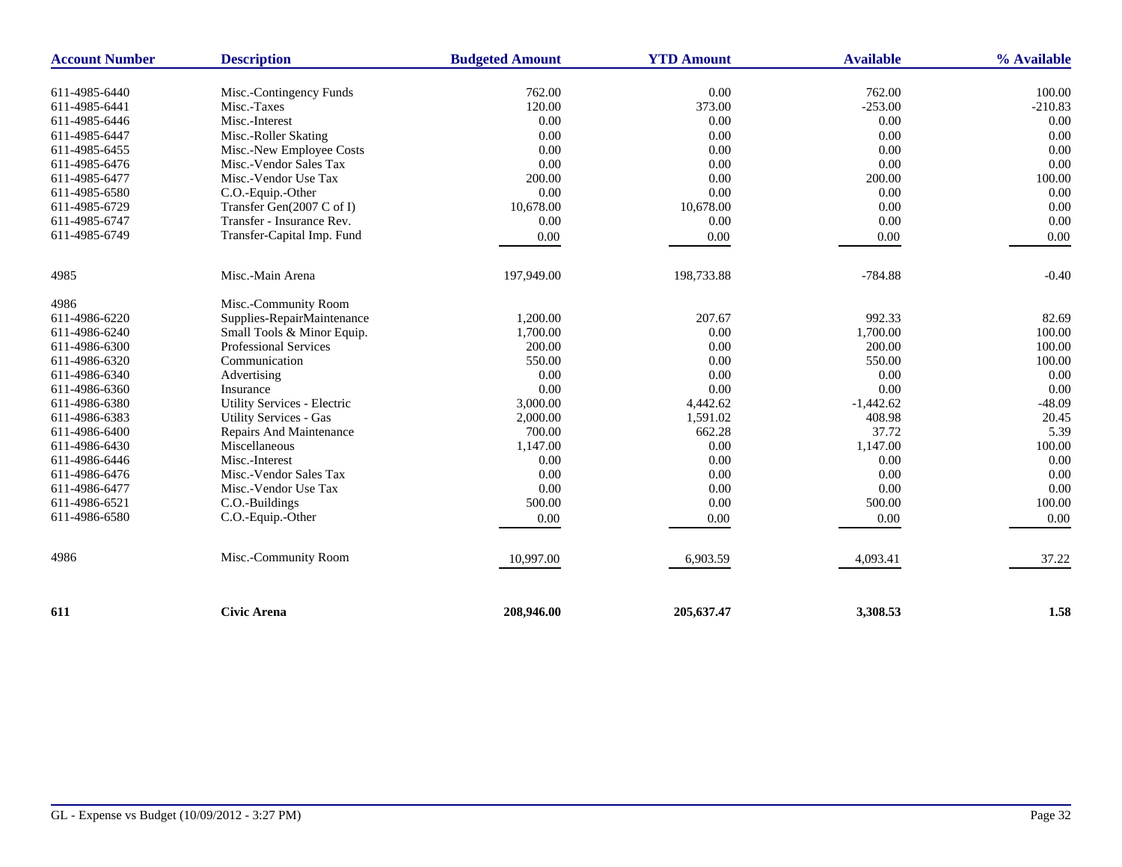| <b>Account Number</b> | <b>Description</b>                                 | <b>Budgeted Amount</b> | <b>YTD Amount</b> | <b>Available</b> | % Available |
|-----------------------|----------------------------------------------------|------------------------|-------------------|------------------|-------------|
| 611-4985-6440         | Misc.-Contingency Funds                            | 762.00                 | 0.00              | 762.00           | 100.00      |
| 611-4985-6441         | Misc.-Taxes                                        | 120.00                 | 373.00            | $-253.00$        | $-210.83$   |
| 611-4985-6446         | Misc.-Interest                                     | 0.00                   | 0.00              | 0.00             | 0.00        |
| 611-4985-6447         | Misc.-Roller Skating                               | 0.00                   | 0.00              | 0.00             | 0.00        |
| 611-4985-6455         |                                                    | 0.00                   | 0.00              | 0.00             | 0.00        |
| 611-4985-6476         | Misc.-New Employee Costs<br>Misc.-Vendor Sales Tax | 0.00                   | 0.00              | 0.00             | 0.00        |
| 611-4985-6477         | Misc.-Vendor Use Tax                               | 200.00                 | 0.00              | 200.00           | 100.00      |
| 611-4985-6580         |                                                    | 0.00                   | 0.00              | 0.00             | 0.00        |
| 611-4985-6729         | C.O.-Equip.-Other<br>Transfer Gen(2007 C of I)     | 10,678.00              | 10,678.00         | 0.00             | 0.00        |
|                       |                                                    |                        |                   |                  |             |
| 611-4985-6747         | Transfer - Insurance Rev.                          | 0.00                   | 0.00              | 0.00             | 0.00        |
| 611-4985-6749         | Transfer-Capital Imp. Fund                         | 0.00                   | 0.00              | 0.00             | 0.00        |
| 4985                  | Misc.-Main Arena                                   | 197,949.00             | 198,733.88        | $-784.88$        | $-0.40$     |
| 4986                  | Misc.-Community Room                               |                        |                   |                  |             |
| 611-4986-6220         | Supplies-RepairMaintenance                         | 1,200.00               | 207.67            | 992.33           | 82.69       |
| 611-4986-6240         | Small Tools & Minor Equip.                         | 1,700.00               | 0.00              | 1,700.00         | 100.00      |
| 611-4986-6300         | Professional Services                              | 200.00                 | 0.00              | 200.00           | 100.00      |
| 611-4986-6320         | Communication                                      | 550.00                 | 0.00              | 550.00           | 100.00      |
| 611-4986-6340         | Advertising                                        | 0.00                   | 0.00              | 0.00             | 0.00        |
| 611-4986-6360         | Insurance                                          | 0.00                   | $0.00\,$          | 0.00             | 0.00        |
| 611-4986-6380         | Utility Services - Electric                        | 3,000.00               | 4,442.62          | $-1,442.62$      | $-48.09$    |
| 611-4986-6383         | <b>Utility Services - Gas</b>                      | 2,000.00               | 1,591.02          | 408.98           | 20.45       |
| 611-4986-6400         | Repairs And Maintenance                            | 700.00                 | 662.28            | 37.72            | 5.39        |
| 611-4986-6430         | Miscellaneous                                      | 1,147.00               | 0.00              | 1,147.00         | 100.00      |
| 611-4986-6446         | Misc.-Interest                                     | 0.00                   | 0.00              | 0.00             | 0.00        |
| 611-4986-6476         | Misc.-Vendor Sales Tax                             | 0.00                   | 0.00              | 0.00             | 0.00        |
| 611-4986-6477         | Misc.-Vendor Use Tax                               | 0.00                   | 0.00              | 0.00             | 0.00        |
| 611-4986-6521         | C.O.-Buildings                                     | 500.00                 | 0.00              | 500.00           | 100.00      |
| 611-4986-6580         | C.O.-Equip.-Other                                  | 0.00                   | 0.00              | 0.00             | 0.00        |
| 4986                  | Misc.-Community Room                               |                        |                   |                  |             |
|                       |                                                    | 10,997.00              | 6,903.59          | 4,093.41         | 37.22       |
|                       |                                                    |                        |                   |                  | 1.58        |
| 611                   | <b>Civic Arena</b>                                 | 208,946.00             | 205,637.47        | 3,308.53         |             |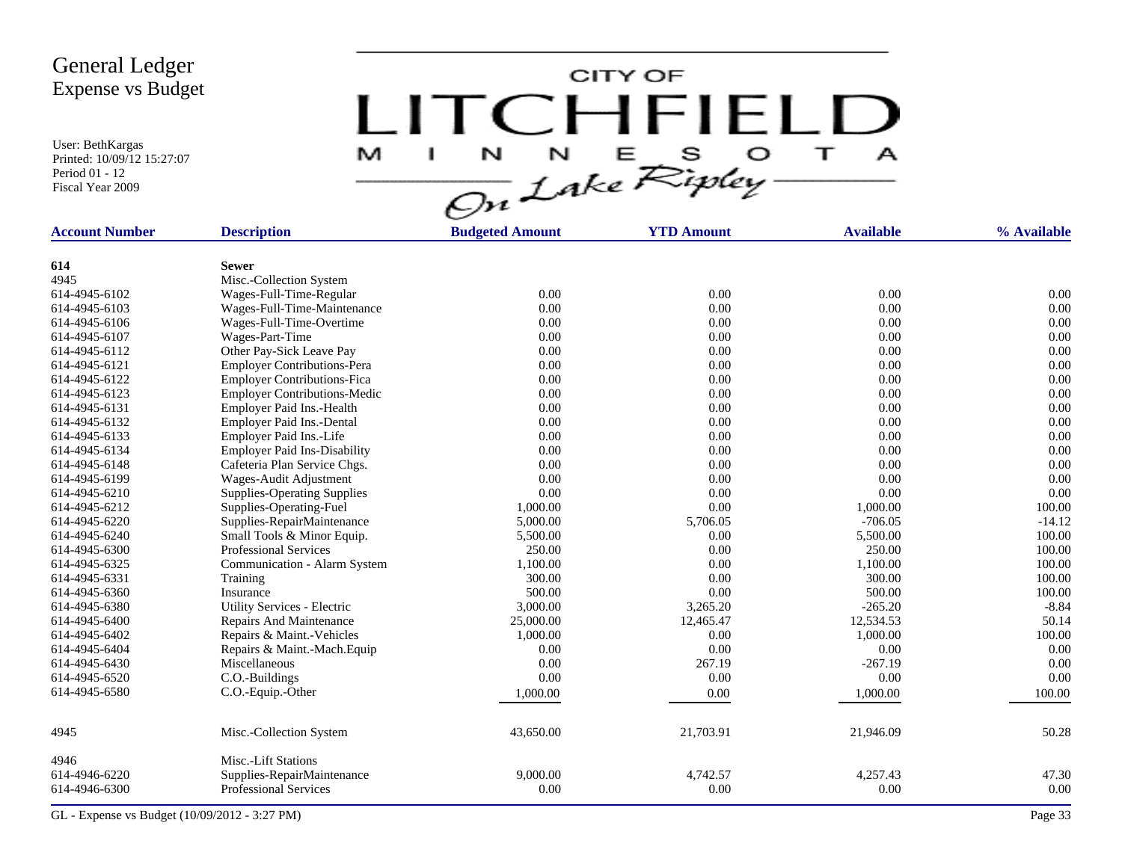User: BethKargas Printed: 10/09/12 15:27:07 Period 01 - 12 Fiscal Year 2009

LITCHFIELD

| <b>Account Number</b> | <b>Description</b>                  | <b>Budgeted Amount</b> | <b>YTD Amount</b> | <b>Available</b> | % Available |
|-----------------------|-------------------------------------|------------------------|-------------------|------------------|-------------|
| 614                   | <b>Sewer</b>                        |                        |                   |                  |             |
| 4945                  | Misc.-Collection System             |                        |                   |                  |             |
| 614-4945-6102         | Wages-Full-Time-Regular             | 0.00                   | 0.00              | 0.00             | 0.00        |
| 614-4945-6103         | Wages-Full-Time-Maintenance         | 0.00                   | 0.00              | 0.00             | 0.00        |
| 614-4945-6106         | Wages-Full-Time-Overtime            | 0.00                   | 0.00              | 0.00             | 0.00        |
| 614-4945-6107         | Wages-Part-Time                     | 0.00                   | 0.00              | 0.00             | 0.00        |
| 614-4945-6112         | Other Pay-Sick Leave Pay            | 0.00                   | 0.00              | 0.00             | 0.00        |
| 614-4945-6121         | <b>Employer Contributions-Pera</b>  | 0.00                   | 0.00              | 0.00             | 0.00        |
| 614-4945-6122         | <b>Employer Contributions-Fica</b>  | 0.00                   | 0.00              | 0.00             | 0.00        |
| 614-4945-6123         | <b>Employer Contributions-Medic</b> | 0.00                   | 0.00              | 0.00             | 0.00        |
| 614-4945-6131         | Employer Paid Ins.-Health           | 0.00                   | 0.00              | 0.00             | 0.00        |
| 614-4945-6132         | Employer Paid Ins.-Dental           | 0.00                   | 0.00              | 0.00             | 0.00        |
| 614-4945-6133         | Employer Paid Ins.-Life             | 0.00                   | 0.00              | 0.00             | 0.00        |
| 614-4945-6134         | <b>Employer Paid Ins-Disability</b> | 0.00                   | 0.00              | 0.00             | 0.00        |
| 614-4945-6148         | Cafeteria Plan Service Chgs.        | 0.00                   | 0.00              | 0.00             | 0.00        |
| 614-4945-6199         | Wages-Audit Adjustment              | 0.00                   | 0.00              | 0.00             | 0.00        |
| 614-4945-6210         | <b>Supplies-Operating Supplies</b>  | 0.00                   | 0.00              | 0.00             | 0.00        |
| 614-4945-6212         | Supplies-Operating-Fuel             | 1,000.00               | 0.00              | 1,000.00         | 100.00      |
| 614-4945-6220         | Supplies-RepairMaintenance          | 5,000.00               | 5,706.05          | $-706.05$        | $-14.12$    |
| 614-4945-6240         | Small Tools & Minor Equip.          | 5,500.00               | 0.00              | 5,500.00         | 100.00      |
| 614-4945-6300         | <b>Professional Services</b>        | 250.00                 | 0.00              | 250.00           | 100.00      |
| 614-4945-6325         | Communication - Alarm System        | 1,100.00               | 0.00              | 1,100.00         | 100.00      |
| 614-4945-6331         | Training                            | 300.00                 | 0.00              | 300.00           | 100.00      |
| 614-4945-6360         | Insurance                           | 500.00                 | 0.00              | 500.00           | 100.00      |
| 614-4945-6380         | Utility Services - Electric         | 3,000.00               | 3,265.20          | $-265.20$        | $-8.84$     |
| 614-4945-6400         | Repairs And Maintenance             | 25,000.00              | 12,465.47         | 12,534.53        | 50.14       |
| 614-4945-6402         | Repairs & Maint.-Vehicles           | 1,000.00               | 0.00              | 1,000.00         | 100.00      |
| 614-4945-6404         | Repairs & Maint.-Mach.Equip         | 0.00                   | 0.00              | 0.00             | 0.00        |
| 614-4945-6430         | Miscellaneous                       | 0.00                   | 267.19            | $-267.19$        | 0.00        |
| 614-4945-6520         | C.O.-Buildings                      | 0.00                   | 0.00              | 0.00             | 0.00        |
| 614-4945-6580         | C.O.-Equip.-Other                   | 1,000.00               | 0.00              | 1,000.00         | 100.00      |
| 4945                  | Misc.-Collection System             | 43,650.00              | 21,703.91         | 21,946.09        | 50.28       |
| 4946                  | Misc.-Lift Stations                 |                        |                   |                  |             |
| 614-4946-6220         | Supplies-RepairMaintenance          | 9,000.00               | 4,742.57          | 4,257.43         | 47.30       |
| 614-4946-6300         | <b>Professional Services</b>        | 0.00                   | 0.00              | 0.00             | 0.00        |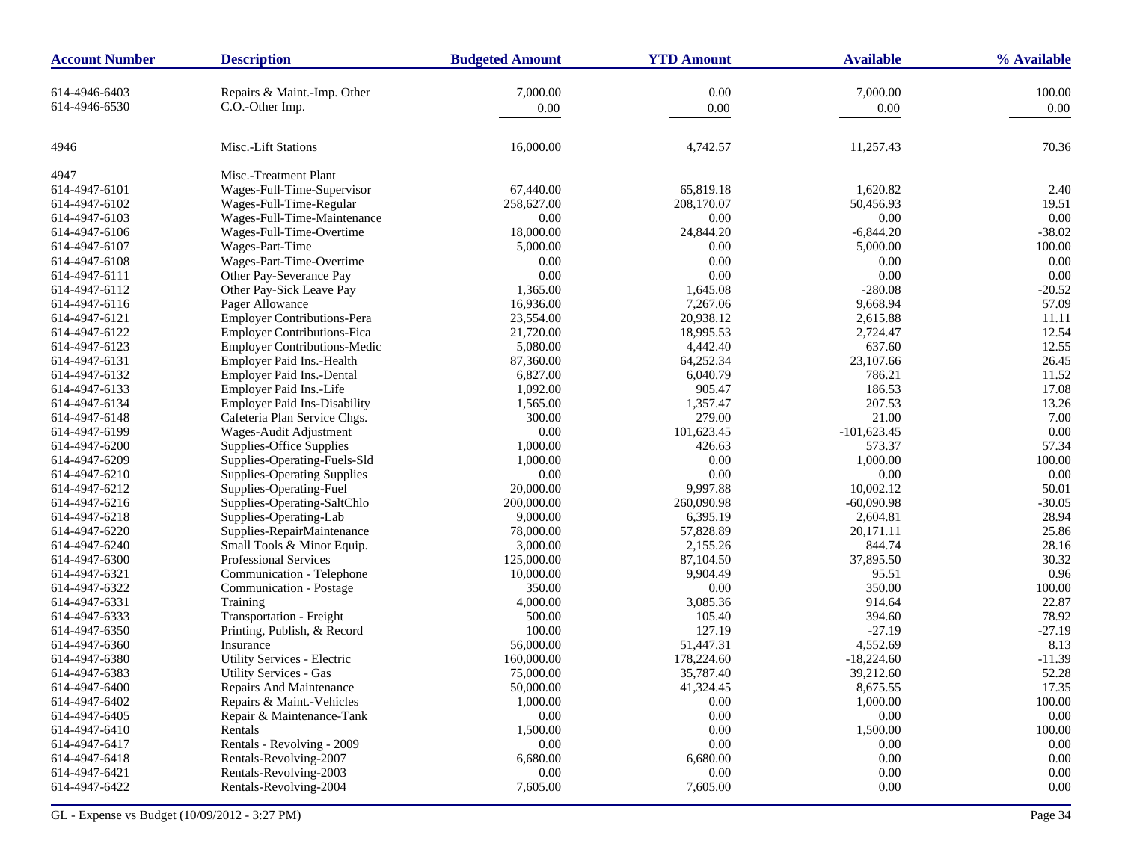| <b>Account Number</b> | <b>Description</b>                  | <b>Budgeted Amount</b> | <b>YTD Amount</b> | <b>Available</b> | % Available |
|-----------------------|-------------------------------------|------------------------|-------------------|------------------|-------------|
| 614-4946-6403         | Repairs & Maint.-Imp. Other         | 7,000.00               | 0.00              | 7,000.00         | 100.00      |
| 614-4946-6530         | C.O.-Other Imp.                     | 0.00                   | 0.00              | 0.00             | 0.00        |
|                       |                                     |                        |                   |                  |             |
| 4946                  | Misc.-Lift Stations                 | 16,000.00              | 4,742.57          | 11,257.43        | 70.36       |
| 4947                  | Misc.-Treatment Plant               |                        |                   |                  |             |
| 614-4947-6101         | Wages-Full-Time-Supervisor          | 67,440.00              | 65,819.18         | 1,620.82         | 2.40        |
| 614-4947-6102         | Wages-Full-Time-Regular             | 258,627.00             | 208,170.07        | 50,456.93        | 19.51       |
| 614-4947-6103         | Wages-Full-Time-Maintenance         | 0.00                   | 0.00              | 0.00             | 0.00        |
| 614-4947-6106         | Wages-Full-Time-Overtime            | 18,000.00              | 24,844.20         | $-6,844.20$      | $-38.02$    |
| 614-4947-6107         | Wages-Part-Time                     | 5,000.00               | 0.00              | 5,000.00         | 100.00      |
| 614-4947-6108         | Wages-Part-Time-Overtime            | 0.00                   | 0.00              | 0.00             | 0.00        |
| 614-4947-6111         | Other Pay-Severance Pay             | 0.00                   | 0.00              | 0.00             | $0.00\,$    |
| 614-4947-6112         | Other Pay-Sick Leave Pay            | 1,365.00               | 1,645.08          | $-280.08$        | $-20.52$    |
| 614-4947-6116         | Pager Allowance                     | 16,936.00              | 7,267.06          | 9,668.94         | 57.09       |
| 614-4947-6121         | Employer Contributions-Pera         | 23,554.00              | 20,938.12         | 2,615.88         | 11.11       |
| 614-4947-6122         | <b>Employer Contributions-Fica</b>  | 21,720.00              | 18,995.53         | 2,724.47         | 12.54       |
| 614-4947-6123         | <b>Employer Contributions-Medic</b> | 5,080.00               | 4,442.40          | 637.60           | 12.55       |
| 614-4947-6131         | Employer Paid Ins.-Health           | 87,360.00              | 64,252.34         | 23,107.66        | 26.45       |
| 614-4947-6132         | Employer Paid Ins.-Dental           | 6,827.00               | 6,040.79          | 786.21           | 11.52       |
| 614-4947-6133         | Employer Paid Ins.-Life             | 1,092.00               | 905.47            | 186.53           | 17.08       |
| 614-4947-6134         | <b>Employer Paid Ins-Disability</b> | 1,565.00               | 1,357.47          | 207.53           | 13.26       |
| 614-4947-6148         | Cafeteria Plan Service Chgs.        | 300.00                 | 279.00            | 21.00            | 7.00        |
| 614-4947-6199         | Wages-Audit Adjustment              | $0.00\,$               | 101,623.45        | $-101,623.45$    | 0.00        |
| 614-4947-6200         | Supplies-Office Supplies            | 1,000.00               | 426.63            | 573.37           | 57.34       |
| 614-4947-6209         | Supplies-Operating-Fuels-Sld        | 1,000.00               | 0.00              | 1,000.00         | 100.00      |
| 614-4947-6210         | <b>Supplies-Operating Supplies</b>  | 0.00                   | 0.00              | 0.00             | 0.00        |
| 614-4947-6212         | Supplies-Operating-Fuel             | 20,000.00              | 9,997.88          | 10,002.12        | 50.01       |
| 614-4947-6216         | Supplies-Operating-SaltChlo         | 200,000.00             | 260,090.98        | $-60,090.98$     | $-30.05$    |
| 614-4947-6218         | Supplies-Operating-Lab              | 9,000.00               | 6,395.19          | 2,604.81         | 28.94       |
| 614-4947-6220         | Supplies-RepairMaintenance          | 78,000.00              | 57,828.89         | 20,171.11        | 25.86       |
| 614-4947-6240         | Small Tools & Minor Equip.          | 3,000.00               | 2,155.26          | 844.74           | 28.16       |
| 614-4947-6300         | Professional Services               | 125,000.00             | 87,104.50         | 37,895.50        | 30.32       |
| 614-4947-6321         | Communication - Telephone           | 10,000.00              | 9,904.49          | 95.51            | 0.96        |
| 614-4947-6322         | Communication - Postage             | 350.00                 | 0.00              | 350.00           | 100.00      |
| 614-4947-6331         | Training                            | 4,000.00               | 3,085.36          | 914.64           | 22.87       |
| 614-4947-6333         | Transportation - Freight            | 500.00                 | 105.40            | 394.60           | 78.92       |
| 614-4947-6350         | Printing, Publish, & Record         | 100.00                 | 127.19            | $-27.19$         | $-27.19$    |
| 614-4947-6360         | Insurance                           | 56,000.00              | 51,447.31         | 4,552.69         | 8.13        |
| 614-4947-6380         | Utility Services - Electric         | 160,000.00             | 178,224.60        | $-18,224.60$     | $-11.39$    |
| 614-4947-6383         | <b>Utility Services - Gas</b>       | 75,000.00              | 35,787.40         | 39,212.60        | 52.28       |
| 614-4947-6400         | Repairs And Maintenance             | 50,000.00              | 41,324.45         | 8,6/5.55         | 17.35       |
| 614-4947-6402         | Repairs & Maint.-Vehicles           | 1,000.00               | 0.00              | 1,000.00         | 100.00      |
| 614-4947-6405         | Repair & Maintenance-Tank           | $0.00\,$               | $0.00\,$          | 0.00             | $0.00\,$    |
| 614-4947-6410         | Rentals                             | 1,500.00               | 0.00              | 1,500.00         | 100.00      |
| 614-4947-6417         | Rentals - Revolving - 2009          | 0.00                   | $0.00\,$          | 0.00             | $0.00\,$    |
| 614-4947-6418         | Rentals-Revolving-2007              | 6,680.00               | 6,680.00          | 0.00             | $0.00\,$    |
| 614-4947-6421         | Rentals-Revolving-2003              | 0.00                   | $0.00\,$          | 0.00             | 0.00        |
| 614-4947-6422         | Rentals-Revolving-2004              | 7,605.00               | 7,605.00          | 0.00             | $0.00\,$    |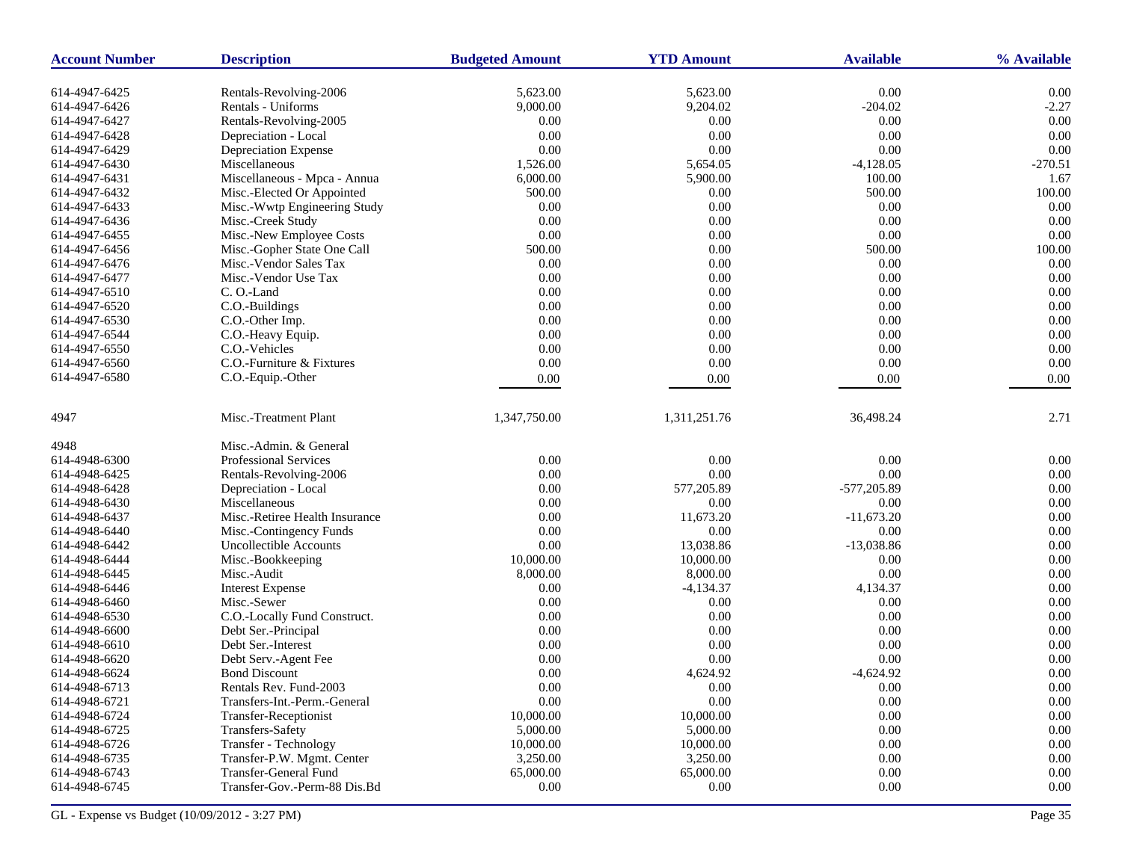| <b>Account Number</b> | <b>Description</b>             | <b>Budgeted Amount</b> | <b>YTD Amount</b> | <b>Available</b> | % Available    |
|-----------------------|--------------------------------|------------------------|-------------------|------------------|----------------|
| 614-4947-6425         | Rentals-Revolving-2006         | 5,623.00               | 5,623.00          | 0.00             | 0.00           |
| 614-4947-6426         | Rentals - Uniforms             | 9,000.00               | 9,204.02          | $-204.02$        | $-2.27$        |
| 614-4947-6427         | Rentals-Revolving-2005         | 0.00                   | 0.00              | 0.00             | 0.00           |
| 614-4947-6428         | Depreciation - Local           | 0.00                   | 0.00              | 0.00             | 0.00           |
| 614-4947-6429         | Depreciation Expense           | 0.00                   | 0.00              | 0.00             | 0.00           |
| 614-4947-6430         | Miscellaneous                  | 1,526.00               | 5,654.05          | $-4,128.05$      | $-270.51$      |
| 614-4947-6431         | Miscellaneous - Mpca - Annua   | 6,000.00               | 5,900.00          | 100.00           | 1.67           |
| 614-4947-6432         | Misc.-Elected Or Appointed     | 500.00                 | 0.00              | 500.00           | 100.00         |
| 614-4947-6433         | Misc.-Wwtp Engineering Study   | 0.00                   | $0.00\,$          | 0.00             | 0.00           |
| 614-4947-6436         | Misc.-Creek Study              | 0.00                   | 0.00              | 0.00             | 0.00           |
| 614-4947-6455         | Misc.-New Employee Costs       | 0.00                   | 0.00              | 0.00             | 0.00           |
| 614-4947-6456         | Misc.-Gopher State One Call    | 500.00                 | 0.00              | 500.00           | 100.00         |
| 614-4947-6476         | Misc.-Vendor Sales Tax         | 0.00                   | 0.00              | 0.00             | 0.00           |
| 614-4947-6477         | Misc.-Vendor Use Tax           | 0.00                   | 0.00              | 0.00             | 0.00           |
| 614-4947-6510         | C.O.-Land                      | 0.00                   | 0.00              | 0.00             | 0.00           |
| 614-4947-6520         | C.O.-Buildings                 | 0.00                   | 0.00              | 0.00             | 0.00           |
| 614-4947-6530         | C.O.-Other Imp.                | 0.00                   | 0.00              | 0.00             | 0.00           |
| 614-4947-6544         | C.O.-Heavy Equip.              | 0.00                   | 0.00              | 0.00             | 0.00           |
| 614-4947-6550         | C.O.-Vehicles                  | 0.00                   | 0.00              | 0.00             | 0.00           |
| 614-4947-6560         | C.O.-Furniture & Fixtures      | 0.00                   | $0.00\,$          | 0.00             | 0.00           |
| 614-4947-6580         | C.O.-Equip.-Other              | 0.00                   | 0.00              | 0.00             | 0.00           |
| 4947                  | Misc.-Treatment Plant          | 1,347,750.00           | 1,311,251.76      | 36,498.24        | 2.71           |
| 4948                  | Misc.-Admin. & General         |                        |                   |                  |                |
| 614-4948-6300         | <b>Professional Services</b>   | 0.00                   | 0.00              | 0.00             | 0.00           |
| 614-4948-6425         | Rentals-Revolving-2006         | 0.00                   | 0.00              | 0.00             | 0.00           |
| 614-4948-6428         | Depreciation - Local           | 0.00                   | 577,205.89        | -577,205.89      | 0.00           |
| 614-4948-6430         | Miscellaneous                  | 0.00                   | 0.00              | 0.00             | 0.00           |
| 614-4948-6437         | Misc.-Retiree Health Insurance | 0.00                   | 11,673.20         | $-11,673.20$     | 0.00           |
| 614-4948-6440         | Misc.-Contingency Funds        | 0.00                   | $0.00\,$          | 0.00             | 0.00           |
| 614-4948-6442         | Uncollectible Accounts         | 0.00                   | 13,038.86         | $-13,038.86$     | 0.00           |
| 614-4948-6444         | Misc.-Bookkeeping              | 10,000.00              | 10,000.00         | 0.00             | 0.00           |
| 614-4948-6445         | Misc.-Audit                    | 8,000.00               | 8,000.00          | 0.00             | 0.00           |
| 614-4948-6446         | <b>Interest Expense</b>        | 0.00                   | $-4,134.37$       | 4,134.37         | 0.00           |
| 614-4948-6460         | Misc.-Sewer                    | 0.00                   | 0.00              | 0.00             | 0.00           |
| 614-4948-6530         | C.O.-Locally Fund Construct.   | 0.00                   | 0.00              | 0.00             | 0.00           |
| 614-4948-6600         | Debt Ser.-Principal            | 0.00                   | 0.00              | 0.00             | 0.00           |
| 614-4948-6610         | Debt Ser.-Interest             | 0.00                   | 0.00              | 0.00             | 0.00           |
| 614-4948-6620         | Debt Serv.-Agent Fee           | 0.00                   | 0.00              | 0.00             | 0.00           |
| 614-4948-6624         | <b>Bond Discount</b>           | 0.00                   | 4,624.92          | $-4,624.92$      | 0.00           |
| 614-4948-6713         | Rentals Rev. Fund-2003         | 0.00                   | 0.00              | 0.00             | $0.00^{\circ}$ |
| 614-4948-6721         | Transfers-Int.-Perm.-General   | 0.00                   | $0.00\,$          | 0.00             | 0.00           |
| 614-4948-6724         | Transfer-Receptionist          | 10,000.00              | 10,000.00         | 0.00             | 0.00           |
| 614-4948-6725         | Transfers-Safety               | 5,000.00               | 5,000.00          | 0.00             | 0.00           |
| 614-4948-6726         | <b>Transfer</b> - Technology   | 10,000.00              | 10,000.00         | 0.00             | 0.00           |
| 614-4948-6735         | Transfer-P.W. Mgmt. Center     | 3,250.00               | 3,250.00          | 0.00             | 0.00           |
| 614-4948-6743         | <b>Transfer-General Fund</b>   | 65,000.00              | 65,000.00         | 0.00             | 0.00           |
| 614-4948-6745         | Transfer-Gov.-Perm-88 Dis.Bd   | 0.00                   | 0.00              | 0.00             | 0.00           |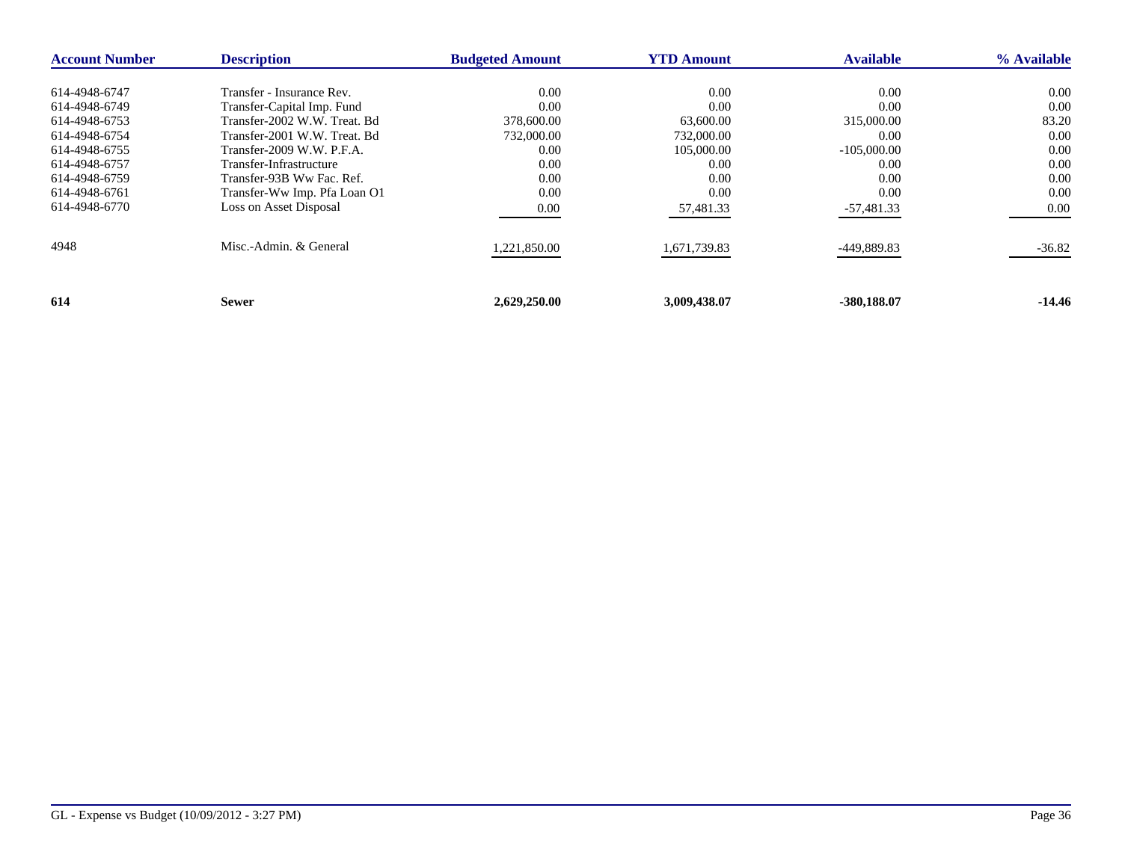| <b>Account Number</b> | <b>Description</b>           | <b>Budgeted Amount</b> | <b>YTD Amount</b> | <b>Available</b> | % Available |
|-----------------------|------------------------------|------------------------|-------------------|------------------|-------------|
|                       |                              |                        |                   |                  |             |
| 614-4948-6747         | Transfer - Insurance Rev.    | 0.00                   | 0.00              | 0.00             | $0.00\,$    |
| 614-4948-6749         | Transfer-Capital Imp. Fund   | 0.00                   | 0.00              | 0.00             | 0.00        |
| 614-4948-6753         | Transfer-2002 W.W. Treat. Bd | 378,600.00             | 63,600.00         | 315,000.00       | 83.20       |
| 614-4948-6754         | Transfer-2001 W.W. Treat. Bd | 732,000.00             | 732,000.00        | 0.00             | 0.00        |
| 614-4948-6755         | Transfer-2009 W.W. P.F.A.    | 0.00                   | 105,000.00        | $-105,000.00$    | 0.00        |
| 614-4948-6757         | Transfer-Infrastructure      | 0.00                   | 0.00              | 0.00             | 0.00        |
| 614-4948-6759         | Transfer-93B Ww Fac. Ref.    | 0.00                   | 0.00              | 0.00             | 0.00        |
| 614-4948-6761         | Transfer-Ww Imp. Pfa Loan O1 | 0.00                   | 0.00              | 0.00             | 0.00        |
| 614-4948-6770         | Loss on Asset Disposal       | 0.00                   | 57,481.33         | -57,481.33       | 0.00        |
| 4948                  | Misc.-Admin. & General       | ,221,850.00            | 1,671,739.83      | -449,889.83      | $-36.82$    |
|                       |                              |                        |                   |                  |             |
|                       |                              |                        |                   |                  |             |
| 614                   | <b>Sewer</b>                 | 2,629,250.00           | 3,009,438.07      | -380,188.07      | $-14.46$    |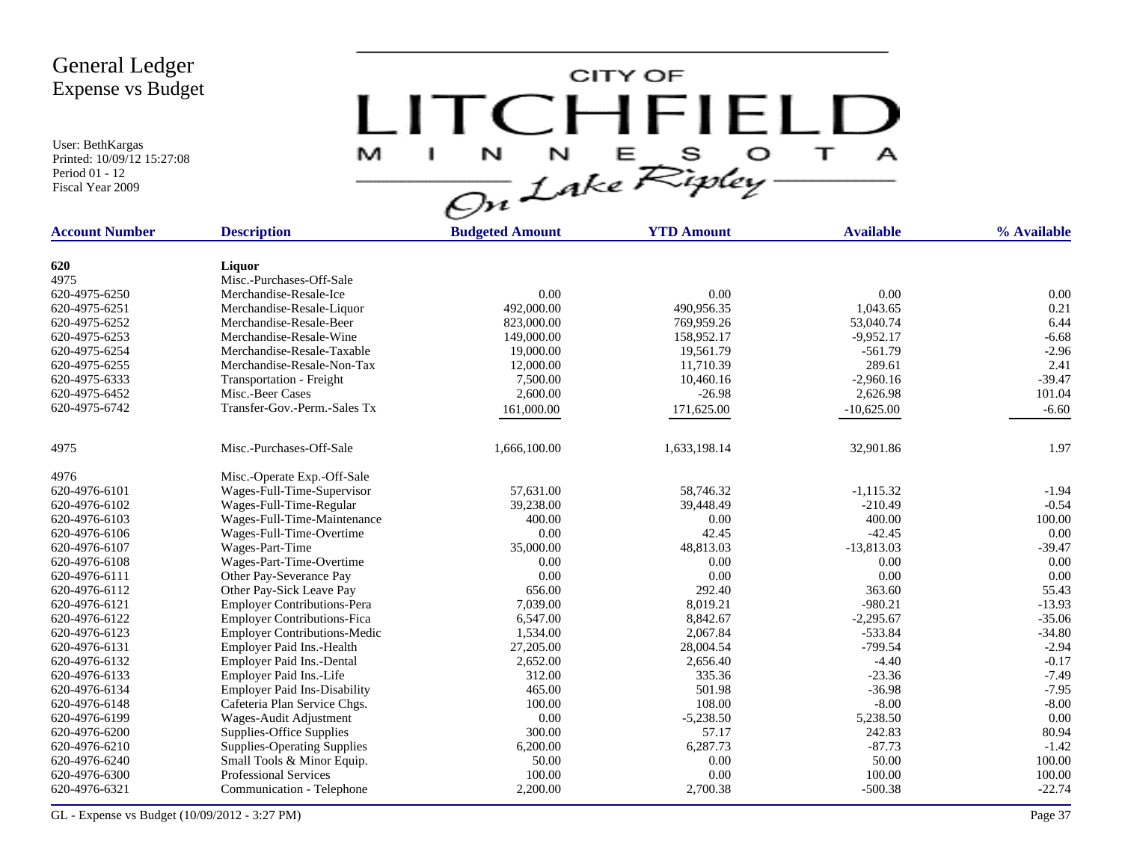User: BethKargas Printed: 10/09/12 15:27:08 Period 01 - 12 Fiscal Year 2009



| <b>Account Number</b> | <b>Description</b>                  | <b>Budgeted Amount</b> | <b>YTD Amount</b> | <b>Available</b> | % Available |
|-----------------------|-------------------------------------|------------------------|-------------------|------------------|-------------|
|                       |                                     |                        |                   |                  |             |
| 620                   | Liquor                              |                        |                   |                  |             |
| 4975                  | Misc.-Purchases-Off-Sale            |                        |                   |                  |             |
| 620-4975-6250         | Merchandise-Resale-Ice              | 0.00                   | 0.00              | 0.00             | 0.00        |
| 620-4975-6251         | Merchandise-Resale-Liquor           | 492,000.00             | 490,956.35        | 1.043.65         | 0.21        |
| 620-4975-6252         | Merchandise-Resale-Beer             | 823,000.00             | 769,959.26        | 53,040.74        | 6.44        |
| 620-4975-6253         | Merchandise-Resale-Wine             | 149,000.00             | 158,952.17        | $-9.952.17$      | $-6.68$     |
| 620-4975-6254         | Merchandise-Resale-Taxable          | 19,000.00              | 19,561.79         | $-561.79$        | $-2.96$     |
| 620-4975-6255         | Merchandise-Resale-Non-Tax          | 12,000.00              | 11,710.39         | 289.61           | 2.41        |
| 620-4975-6333         | Transportation - Freight            | 7,500.00               | 10,460.16         | $-2,960.16$      | $-39.47$    |
| 620-4975-6452         | Misc.-Beer Cases                    | 2,600.00               | $-26.98$          | 2,626.98         | 101.04      |
| 620-4975-6742         | Transfer-Gov.-Perm.-Sales Tx        | 161,000.00             | 171,625.00        | $-10,625.00$     | $-6.60$     |
|                       |                                     |                        |                   |                  |             |
| 4975                  | Misc.-Purchases-Off-Sale            | 1,666,100.00           | 1,633,198.14      | 32,901.86        | 1.97        |
| 4976                  | Misc.-Operate Exp.-Off-Sale         |                        |                   |                  |             |
| 620-4976-6101         | Wages-Full-Time-Supervisor          | 57,631.00              | 58,746.32         | $-1,115.32$      | $-1.94$     |
| 620-4976-6102         | Wages-Full-Time-Regular             | 39,238.00              | 39,448.49         | $-210.49$        | $-0.54$     |
| 620-4976-6103         | Wages-Full-Time-Maintenance         | 400.00                 | 0.00              | 400.00           | 100.00      |
| 620-4976-6106         | Wages-Full-Time-Overtime            | 0.00                   | 42.45             | $-42.45$         | 0.00        |
| 620-4976-6107         | Wages-Part-Time                     | 35,000.00              | 48,813.03         | $-13,813.03$     | $-39.47$    |
| 620-4976-6108         | Wages-Part-Time-Overtime            | 0.00                   | 0.00              | 0.00             | 0.00        |
| 620-4976-6111         | Other Pay-Severance Pay             | 0.00                   | 0.00              | 0.00             | 0.00        |
| 620-4976-6112         | Other Pay-Sick Leave Pay            | 656.00                 | 292.40            | 363.60           | 55.43       |
| 620-4976-6121         | <b>Employer Contributions-Pera</b>  | 7,039.00               | 8,019.21          | $-980.21$        | $-13.93$    |
| 620-4976-6122         | <b>Employer Contributions-Fica</b>  | 6,547.00               | 8,842.67          | $-2,295.67$      | $-35.06$    |
| 620-4976-6123         | <b>Employer Contributions-Medic</b> | 1,534.00               | 2,067.84          | $-533.84$        | $-34.80$    |
| 620-4976-6131         | Employer Paid Ins.-Health           | 27,205.00              | 28,004.54         | $-799.54$        | $-2.94$     |
| 620-4976-6132         | Employer Paid Ins.-Dental           | 2,652.00               | 2,656.40          | $-4.40$          | $-0.17$     |
| 620-4976-6133         | Employer Paid Ins.-Life             | 312.00                 | 335.36            | $-23.36$         | $-7.49$     |
| 620-4976-6134         | <b>Employer Paid Ins-Disability</b> | 465.00                 | 501.98            | $-36.98$         | $-7.95$     |
| 620-4976-6148         | Cafeteria Plan Service Chgs.        | 100.00                 | 108.00            | $-8.00$          | $-8.00$     |
| 620-4976-6199         | Wages-Audit Adjustment              | 0.00                   | $-5,238.50$       | 5,238.50         | 0.00        |
| 620-4976-6200         | Supplies-Office Supplies            | 300.00                 | 57.17             | 242.83           | 80.94       |
| 620-4976-6210         | <b>Supplies-Operating Supplies</b>  | 6,200.00               | 6,287.73          | $-87.73$         | $-1.42$     |
| 620-4976-6240         | Small Tools & Minor Equip.          | 50.00                  | 0.00              | 50.00            | 100.00      |
| 620-4976-6300         | <b>Professional Services</b>        | 100.00                 | 0.00              | 100.00           | 100.00      |
| 620-4976-6321         | Communication - Telephone           | 2,200.00               | 2,700.38          | $-500.38$        | $-22.74$    |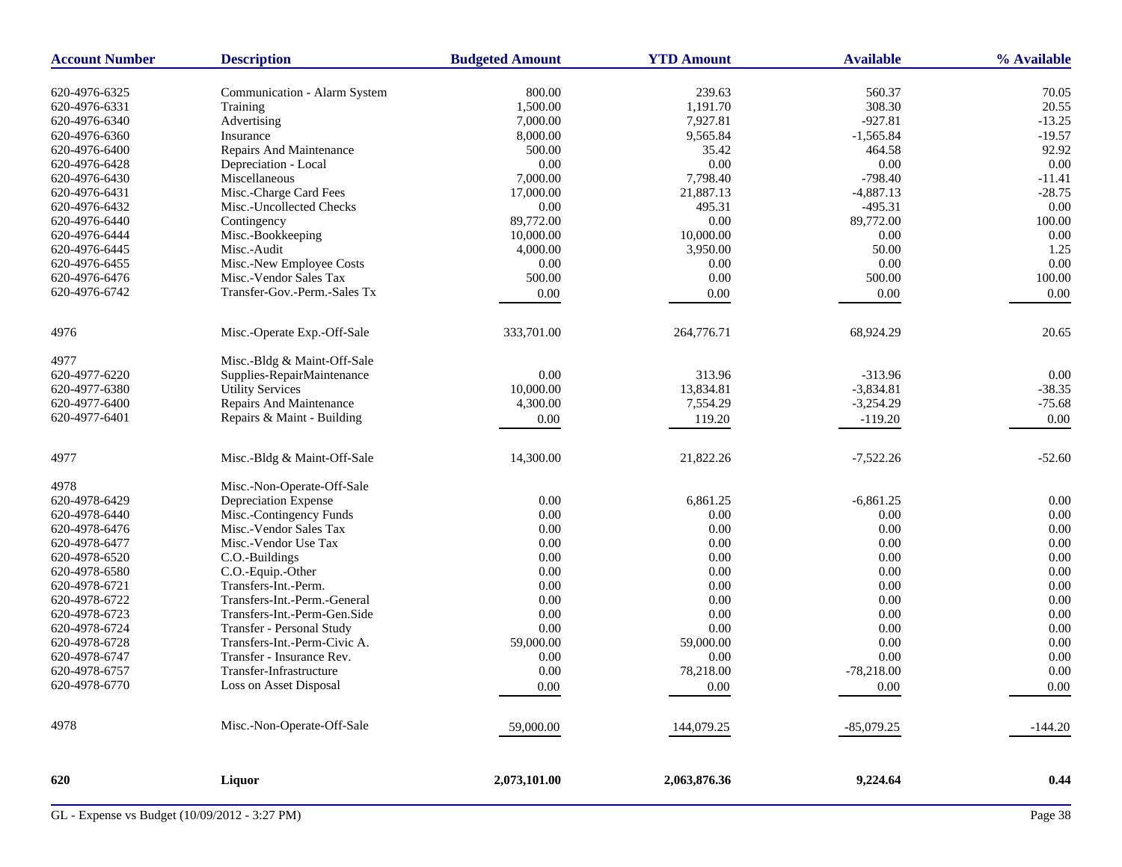| <b>Account Number</b> | <b>Description</b>           | <b>Budgeted Amount</b> | <b>YTD Amount</b> | <b>Available</b> | % Available |
|-----------------------|------------------------------|------------------------|-------------------|------------------|-------------|
| 620-4976-6325         | Communication - Alarm System | 800.00                 | 239.63            | 560.37           | 70.05       |
| 620-4976-6331         | Training                     | 1,500.00               | 1,191.70          | 308.30           | 20.55       |
| 620-4976-6340         | Advertising                  | 7,000.00               | 7,927.81          | $-927.81$        | $-13.25$    |
| 620-4976-6360         | Insurance                    | 8,000.00               | 9,565.84          | $-1,565.84$      | $-19.57$    |
| 620-4976-6400         | Repairs And Maintenance      | 500.00                 | 35.42             | 464.58           | 92.92       |
| 620-4976-6428         | Depreciation - Local         | 0.00                   | 0.00              | 0.00             | 0.00        |
| 620-4976-6430         | Miscellaneous                | 7,000.00               | 7,798.40          | $-798.40$        | $-11.41$    |
| 620-4976-6431         | Misc.-Charge Card Fees       | 17,000.00              | 21,887.13         | $-4,887.13$      | $-28.75$    |
| 620-4976-6432         | Misc.-Uncollected Checks     | 0.00                   | 495.31            | $-495.31$        | $0.00\,$    |
| 620-4976-6440         | Contingency                  | 89,772.00              | 0.00              | 89,772.00        | 100.00      |
| 620-4976-6444         | Misc.-Bookkeeping            | 10,000.00              | 10,000.00         | 0.00             | 0.00        |
| 620-4976-6445         | Misc.-Audit                  | 4,000.00               | 3,950.00          | 50.00            | 1.25        |
| 620-4976-6455         | Misc.-New Employee Costs     | 0.00                   | 0.00              | 0.00             | 0.00        |
| 620-4976-6476         | Misc.-Vendor Sales Tax       | 500.00                 | 0.00              | 500.00           | 100.00      |
| 620-4976-6742         | Transfer-Gov.-Perm.-Sales Tx |                        |                   |                  |             |
|                       |                              | $0.00\,$               | 0.00              | $0.00\,$         | 0.00        |
| 4976                  | Misc.-Operate Exp.-Off-Sale  | 333,701.00             | 264,776.71        | 68,924.29        | 20.65       |
| 4977                  | Misc.-Bldg & Maint-Off-Sale  |                        |                   |                  |             |
| 620-4977-6220         | Supplies-RepairMaintenance   | 0.00                   | 313.96            | $-313.96$        | 0.00        |
| 620-4977-6380         | <b>Utility Services</b>      | 10,000.00              | 13,834.81         | $-3,834.81$      | $-38.35$    |
| 620-4977-6400         | Repairs And Maintenance      | 4,300.00               | 7,554.29          | $-3,254.29$      | $-75.68$    |
| 620-4977-6401         | Repairs & Maint - Building   | 0.00                   | 119.20            | $-119.20$        | 0.00        |
|                       |                              |                        |                   |                  |             |
| 4977                  | Misc.-Bldg & Maint-Off-Sale  | 14,300.00              | 21,822.26         | $-7,522.26$      | $-52.60$    |
| 4978                  | Misc.-Non-Operate-Off-Sale   |                        |                   |                  |             |
| 620-4978-6429         | Depreciation Expense         | 0.00                   | 6,861.25          | $-6,861.25$      | 0.00        |
| 620-4978-6440         | Misc.-Contingency Funds      | 0.00                   | 0.00              | 0.00             | 0.00        |
| 620-4978-6476         | Misc.-Vendor Sales Tax       | 0.00                   | 0.00              | 0.00             | 0.00        |
| 620-4978-6477         | Misc.-Vendor Use Tax         | 0.00                   | 0.00              | 0.00             | 0.00        |
| 620-4978-6520         | C.O.-Buildings               | 0.00                   | 0.00              | 0.00             | 0.00        |
| 620-4978-6580         | C.O.-Equip.-Other            | 0.00                   | $0.00\,$          | 0.00             | 0.00        |
| 620-4978-6721         | Transfers-Int.-Perm.         | 0.00                   | 0.00              | 0.00             | 0.00        |
| 620-4978-6722         | Transfers-Int.-Perm.-General | 0.00                   | 0.00              | 0.00             | 0.00        |
| 620-4978-6723         | Transfers-Int.-Perm-Gen.Side | 0.00                   | 0.00              | 0.00             | 0.00        |
| 620-4978-6724         | Transfer - Personal Study    | 0.00                   | 0.00              | 0.00             | 0.00        |
| 620-4978-6728         | Transfers-Int.-Perm-Civic A. | 59,000.00              | 59,000.00         | 0.00             | 0.00        |
| 620-4978-6747         | Transfer - Insurance Rev.    | 0.00                   | 0.00              | 0.00             | 0.00        |
| 620-4978-6757         | Transfer-Infrastructure      | 0.00                   | 78,218.00         | $-78,218.00$     | 0.00        |
| 620-4978-6770         | Loss on Asset Disposal       | 0.00                   | 0.00              | 0.00             | 0.00        |
| 4978                  | Misc.-Non-Operate-Off-Sale   | 59,000.00              | 144,079.25        | $-85,079.25$     | $-144.20$   |
|                       |                              |                        |                   |                  |             |
| 620                   | Liquor                       | 2,073,101.00           | 2,063,876.36      | 9,224.64         | 0.44        |
|                       |                              |                        |                   |                  |             |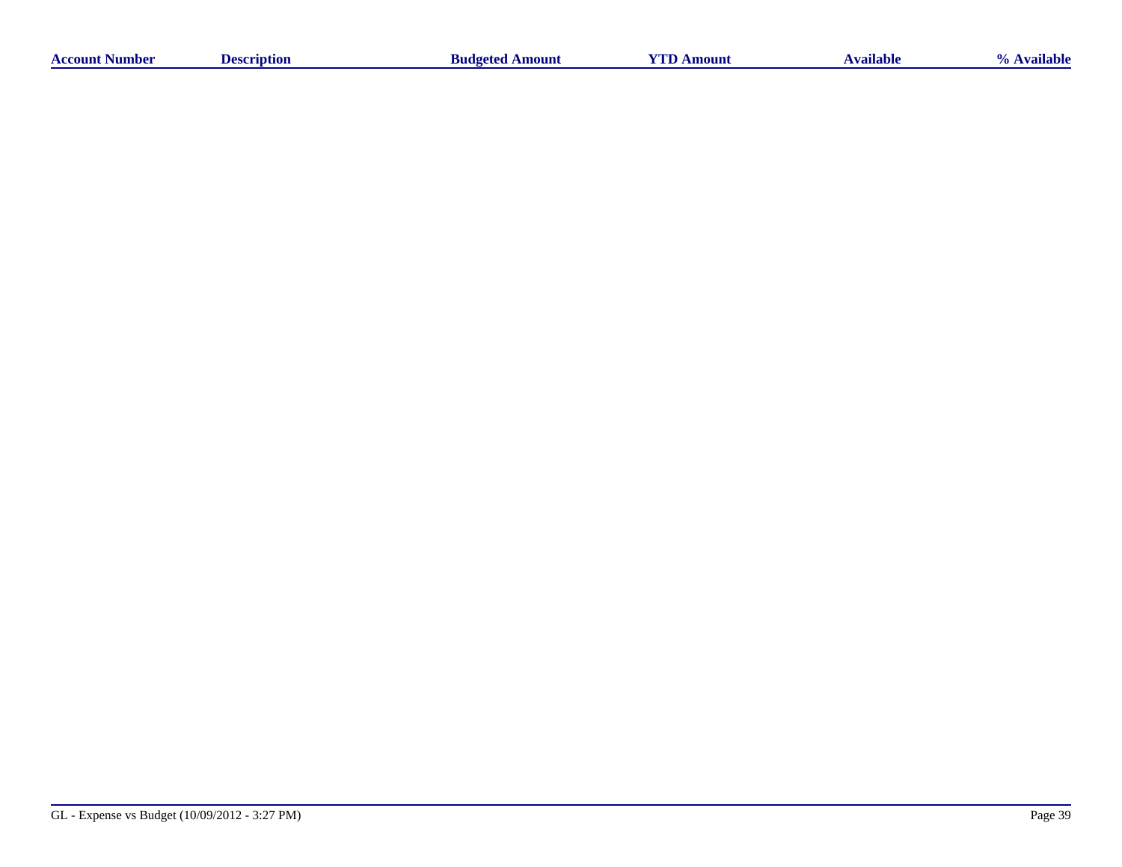| sumber<br>Accoun | `ription_<br>. 106 | Amount<br>-Budgeter | m<br>oun | * vailable = | <br>uabk |
|------------------|--------------------|---------------------|----------|--------------|----------|
|                  |                    |                     |          |              |          |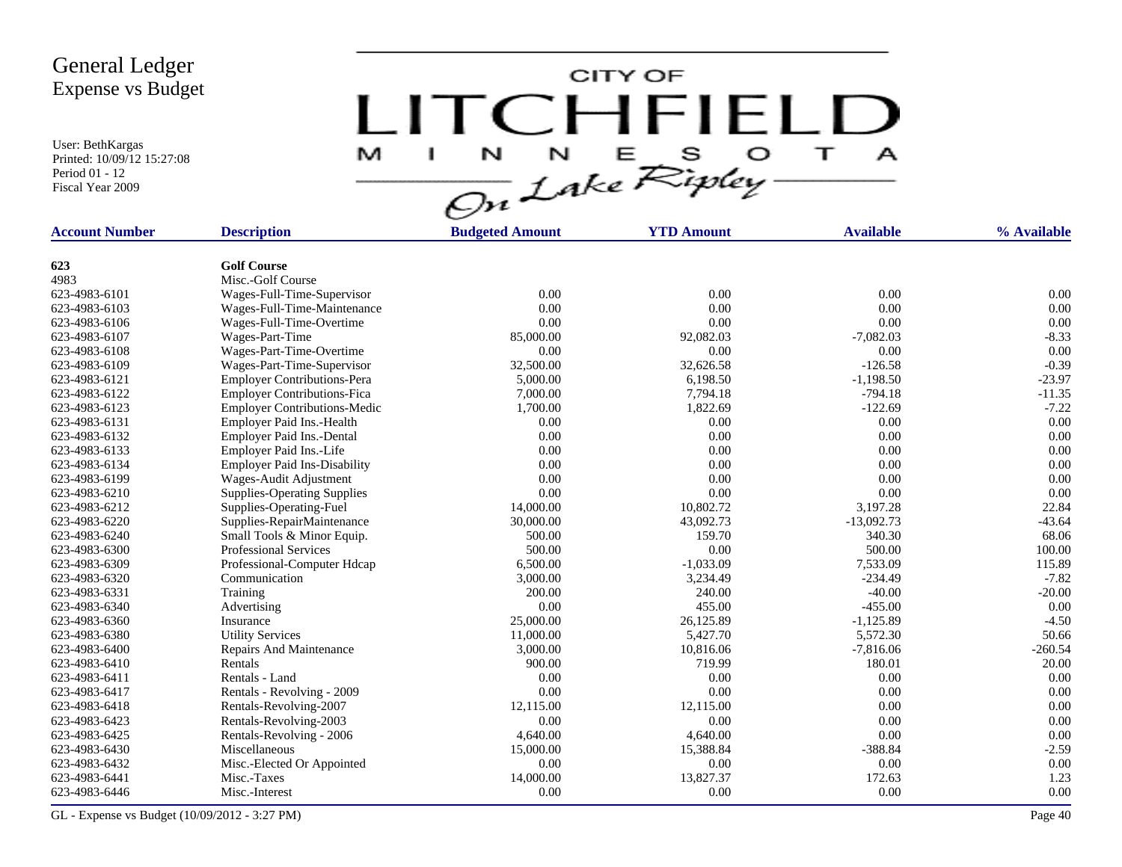User: BethKargas Printed: 10/09/12 15:27:08 Period 01 - 12 Fiscal Year 2009

LITCHFIELD

| <b>Account Number</b> | <b>Description</b>                        | <b>Budgeted Amount</b> | <b>YTD Amount</b> | <b>Available</b> | % Available |
|-----------------------|-------------------------------------------|------------------------|-------------------|------------------|-------------|
|                       |                                           |                        |                   |                  |             |
| 623                   | <b>Golf Course</b>                        |                        |                   |                  |             |
| 4983                  | Misc.-Golf Course                         |                        |                   |                  |             |
| 623-4983-6101         | Wages-Full-Time-Supervisor                | 0.00                   | 0.00              | 0.00             | 0.00        |
| 623-4983-6103         | Wages-Full-Time-Maintenance               | 0.00                   | 0.00              | 0.00             | 0.00        |
| 623-4983-6106         | Wages-Full-Time-Overtime                  | 0.00                   | 0.00              | 0.00             | 0.00        |
| 623-4983-6107         | Wages-Part-Time                           | 85,000.00              | 92,082.03         | $-7,082.03$      | $-8.33$     |
| 623-4983-6108         | Wages-Part-Time-Overtime                  | 0.00                   | 0.00              | 0.00             | 0.00        |
| 623-4983-6109         | Wages-Part-Time-Supervisor                | 32,500.00              | 32,626.58         | $-126.58$        | $-0.39$     |
| 623-4983-6121         | <b>Employer Contributions-Pera</b>        | 5,000.00               | 6,198.50          | $-1,198.50$      | $-23.97$    |
| 623-4983-6122         | <b>Employer Contributions-Fica</b>        | 7,000.00               | 7,794.18          | $-794.18$        | $-11.35$    |
| 623-4983-6123         | <b>Employer Contributions-Medic</b>       | 1,700.00               | 1,822.69          | $-122.69$        | $-7.22$     |
| 623-4983-6131         | Employer Paid Ins.-Health                 | 0.00                   | 0.00              | 0.00             | 0.00        |
| 623-4983-6132         | <b>Employer Paid Ins.-Dental</b>          | 0.00                   | 0.00              | 0.00             | 0.00        |
| 623-4983-6133         | Employer Paid Ins.-Life                   | 0.00                   | 0.00              | 0.00             | 0.00        |
| 623-4983-6134         | <b>Employer Paid Ins-Disability</b>       | 0.00                   | 0.00              | 0.00             | 0.00        |
| 623-4983-6199         | Wages-Audit Adjustment                    | 0.00                   | 0.00              | 0.00             | 0.00        |
| 623-4983-6210         | <b>Supplies-Operating Supplies</b>        | 0.00                   | 0.00              | 0.00             | 0.00        |
| 623-4983-6212         | Supplies-Operating-Fuel                   | 14,000.00              | 10,802.72         | 3,197.28         | 22.84       |
| 623-4983-6220         | Supplies-RepairMaintenance                | 30,000.00              | 43,092.73         | $-13,092.73$     | $-43.64$    |
| 623-4983-6240         | Small Tools & Minor Equip.                | 500.00                 | 159.70            | 340.30           | 68.06       |
| 623-4983-6300         | <b>Professional Services</b>              | 500.00                 | 0.00              | 500.00           | 100.00      |
| 623-4983-6309         | Professional-Computer Hdcap               | 6,500.00               | $-1,033.09$       | 7,533.09         | 115.89      |
| 623-4983-6320         | Communication                             | 3,000.00               | 3,234.49          | $-234.49$        | $-7.82$     |
| 623-4983-6331         | Training                                  | 200.00                 | 240.00            | $-40.00$         | $-20.00$    |
| 623-4983-6340         | Advertising                               | 0.00                   | 455.00            | $-455.00$        | 0.00        |
| 623-4983-6360         | Insurance                                 | 25,000.00              | 26,125.89         | $-1,125.89$      | $-4.50$     |
| 623-4983-6380         | <b>Utility Services</b>                   | 11,000.00              | 5,427.70          | 5,572.30         | 50.66       |
| 623-4983-6400         | Repairs And Maintenance                   | 3,000.00               | 10,816.06         | $-7,816.06$      | $-260.54$   |
| 623-4983-6410         | Rentals                                   | 900.00                 | 719.99            | 180.01           | 20.00       |
| 623-4983-6411         | Rentals - Land                            | 0.00                   | 0.00              | 0.00             | 0.00        |
| 623-4983-6417         | Rentals - Revolving - 2009                | 0.00                   | 0.00              | 0.00             | 0.00        |
| 623-4983-6418         | Rentals-Revolving-2007                    | 12,115.00              | 12,115.00         | 0.00             | 0.00        |
| 623-4983-6423         | Rentals-Revolving-2003                    | 0.00                   | 0.00              | 0.00             | 0.00        |
| 623-4983-6425         |                                           | 4,640.00               | 4,640.00          | 0.00             | 0.00        |
|                       | Rentals-Revolving - 2006<br>Miscellaneous | 15,000.00              | 15,388.84         | $-388.84$        | $-2.59$     |
| 623-4983-6430         |                                           |                        |                   |                  |             |
| 623-4983-6432         | Misc.-Elected Or Appointed                | 0.00                   | 0.00              | 0.00             | 0.00        |
| 623-4983-6441         | Misc.-Taxes                               | 14,000.00              | 13,827.37         | 172.63           | 1.23        |
| 623-4983-6446         | Misc.-Interest                            | 0.00                   | 0.00              | 0.00             | 0.00        |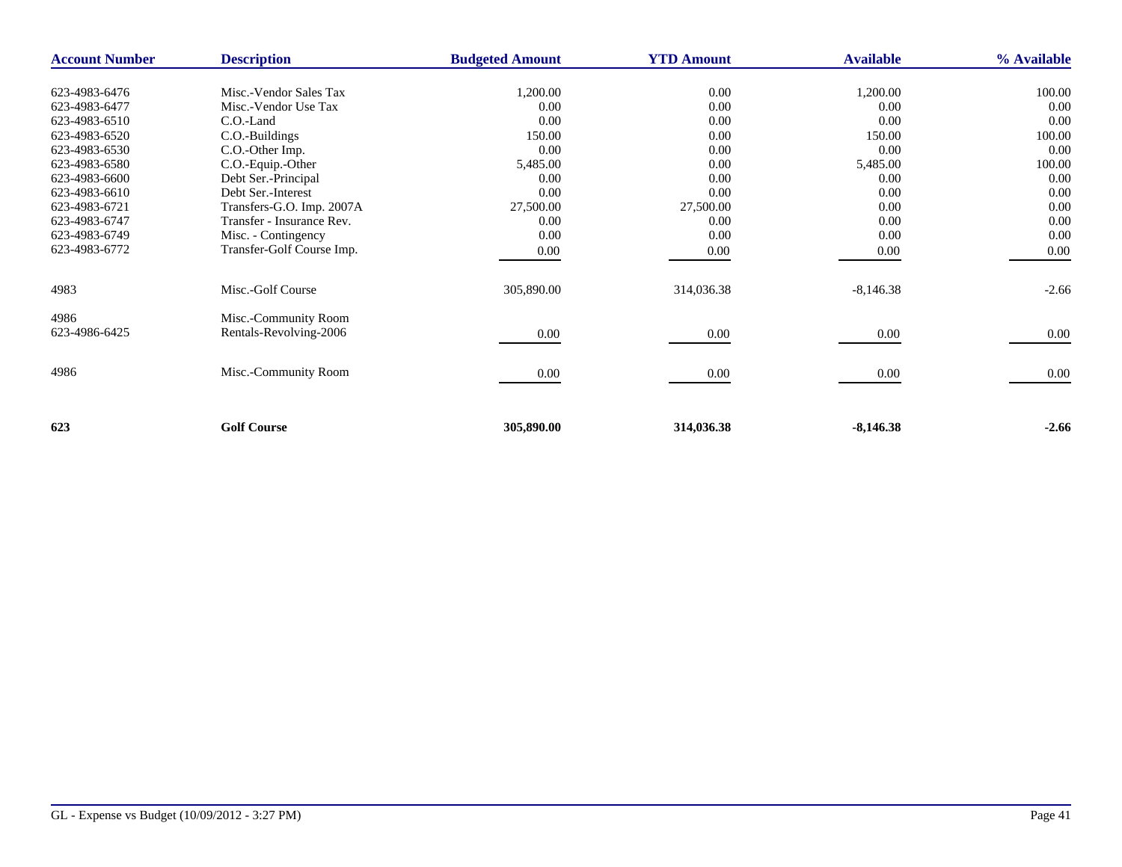| <b>Account Number</b> | <b>Description</b>        | <b>Budgeted Amount</b> | <b>YTD Amount</b> | <b>Available</b> | % Available |
|-----------------------|---------------------------|------------------------|-------------------|------------------|-------------|
|                       |                           |                        |                   |                  |             |
| 623-4983-6476         | Misc.-Vendor Sales Tax    | 1,200.00               | 0.00              | 1,200.00         | 100.00      |
| 623-4983-6477         | Misc.-Vendor Use Tax      | 0.00                   | 0.00              | 0.00             | 0.00        |
| 623-4983-6510         | C.O.-Land                 | 0.00                   | 0.00              | 0.00             | 0.00        |
| 623-4983-6520         | C.O.-Buildings            | 150.00                 | 0.00              | 150.00           | 100.00      |
| 623-4983-6530         | C.O.-Other Imp.           | 0.00                   | 0.00              | 0.00             | 0.00        |
| 623-4983-6580         | C.O.-Equip.-Other         | 5,485.00               | 0.00              | 5,485.00         | 100.00      |
| 623-4983-6600         | Debt Ser.-Principal       | 0.00                   | 0.00              | 0.00             | 0.00        |
| 623-4983-6610         | Debt Ser.-Interest        | 0.00                   | 0.00              | 0.00             | 0.00        |
| 623-4983-6721         | Transfers-G.O. Imp. 2007A | 27,500.00              | 27,500.00         | 0.00             | 0.00        |
| 623-4983-6747         | Transfer - Insurance Rev. | 0.00                   | 0.00              | 0.00             | 0.00        |
| 623-4983-6749         | Misc. - Contingency       | 0.00                   | 0.00              | 0.00             | 0.00        |
| 623-4983-6772         | Transfer-Golf Course Imp. | 0.00                   | $0.00\,$          | 0.00             | 0.00        |
|                       |                           |                        |                   |                  |             |
| 4983                  | Misc.-Golf Course         | 305,890.00             | 314,036.38        | $-8,146.38$      | $-2.66$     |
| 4986                  | Misc.-Community Room      |                        |                   |                  |             |
| 623-4986-6425         | Rentals-Revolving-2006    | 0.00                   | 0.00              | $0.00\,$         | 0.00        |
|                       |                           |                        |                   |                  |             |
| 4986                  | Misc.-Community Room      | 0.00                   | 0.00              | $0.00\,$         | 0.00        |
|                       |                           |                        |                   |                  |             |
| 623                   | <b>Golf Course</b>        | 305,890.00             | 314,036.38        | $-8,146.38$      | $-2.66$     |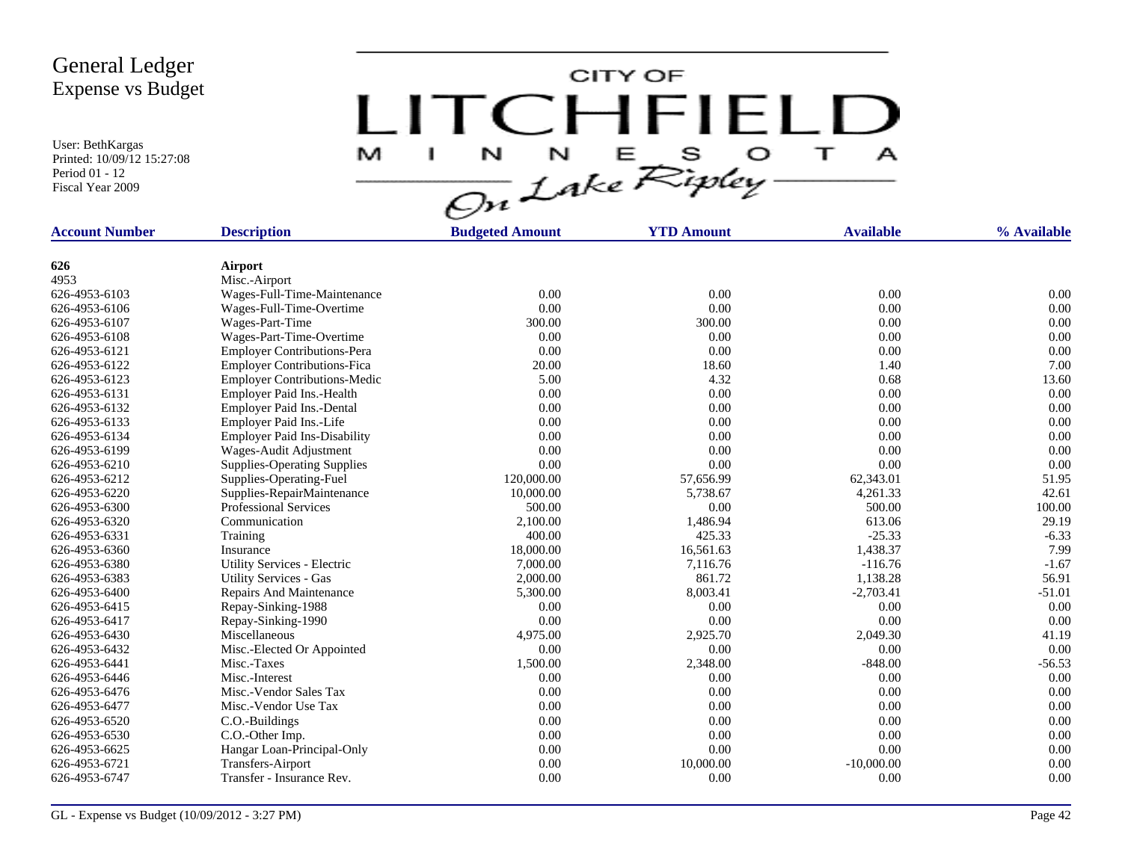User: BethKargas Printed: 10/09/12 15:27:08 Period 01 - 12 Fiscal Year 2009



| <b>Account Number</b> | <b>Description</b>                  | <b>Budgeted Amount</b> | <b>YTD Amount</b> | <b>Available</b> | % Available  |
|-----------------------|-------------------------------------|------------------------|-------------------|------------------|--------------|
| 626                   |                                     |                        |                   |                  |              |
| 4953                  | Airport<br>Misc.-Airport            |                        |                   |                  |              |
| 626-4953-6103         | Wages-Full-Time-Maintenance         | 0.00                   | 0.00              | 0.00             | 0.00         |
| 626-4953-6106         | Wages-Full-Time-Overtime            | 0.00                   | 0.00              | 0.00             | 0.00         |
| 626-4953-6107         | Wages-Part-Time                     | 300.00                 | 300.00            | 0.00             | 0.00         |
| 626-4953-6108         | Wages-Part-Time-Overtime            | 0.00                   | 0.00              | 0.00             | 0.00         |
| 626-4953-6121         | <b>Employer Contributions-Pera</b>  | 0.00                   | 0.00              | 0.00             | 0.00         |
| 626-4953-6122         | <b>Employer Contributions-Fica</b>  | 20.00                  | 18.60             | 1.40             | 7.00         |
| 626-4953-6123         | <b>Employer Contributions-Medic</b> | 5.00                   | 4.32              | 0.68             | 13.60        |
| 626-4953-6131         |                                     | 0.00                   | 0.00              | 0.00             | 0.00         |
| 626-4953-6132         | Employer Paid Ins.-Health           | 0.00                   | 0.00              | 0.00             |              |
| 626-4953-6133         | Employer Paid Ins.-Dental           | 0.00                   | 0.00              | 0.00             | 0.00<br>0.00 |
|                       | Employer Paid Ins.-Life             |                        | 0.00              | 0.00             | 0.00         |
| 626-4953-6134         | <b>Employer Paid Ins-Disability</b> | 0.00                   |                   |                  |              |
| 626-4953-6199         | Wages-Audit Adjustment              | 0.00                   | 0.00              | 0.00             | 0.00         |
| 626-4953-6210         | <b>Supplies-Operating Supplies</b>  | 0.00                   | 0.00              | 0.00             | 0.00         |
| 626-4953-6212         | Supplies-Operating-Fuel             | 120,000.00             | 57,656.99         | 62,343.01        | 51.95        |
| 626-4953-6220         | Supplies-RepairMaintenance          | 10,000.00              | 5,738.67          | 4,261.33         | 42.61        |
| 626-4953-6300         | <b>Professional Services</b>        | 500.00                 | 0.00              | 500.00           | 100.00       |
| 626-4953-6320         | Communication                       | 2,100.00               | 1,486.94          | 613.06           | 29.19        |
| 626-4953-6331         | Training                            | 400.00                 | 425.33            | $-25.33$         | $-6.33$      |
| 626-4953-6360         | Insurance                           | 18,000.00              | 16,561.63         | 1,438.37         | 7.99         |
| 626-4953-6380         | Utility Services - Electric         | 7,000.00               | 7,116.76          | $-116.76$        | $-1.67$      |
| 626-4953-6383         | <b>Utility Services - Gas</b>       | 2,000.00               | 861.72            | 1,138.28         | 56.91        |
| 626-4953-6400         | Repairs And Maintenance             | 5,300.00               | 8,003.41          | $-2,703.41$      | $-51.01$     |
| 626-4953-6415         | Repay-Sinking-1988                  | 0.00                   | 0.00              | 0.00             | 0.00         |
| 626-4953-6417         | Repay-Sinking-1990                  | 0.00                   | 0.00              | 0.00             | 0.00         |
| 626-4953-6430         | Miscellaneous                       | 4,975.00               | 2,925.70          | 2,049.30         | 41.19        |
| 626-4953-6432         | Misc.-Elected Or Appointed          | 0.00                   | 0.00              | 0.00             | 0.00         |
| 626-4953-6441         | Misc.-Taxes                         | 1,500.00               | 2,348.00          | $-848.00$        | $-56.53$     |
| 626-4953-6446         | Misc.-Interest                      | 0.00                   | 0.00              | 0.00             | 0.00         |
| 626-4953-6476         | Misc.-Vendor Sales Tax              | 0.00                   | 0.00              | 0.00             | 0.00         |
| 626-4953-6477         | Misc.-Vendor Use Tax                | 0.00                   | 0.00              | 0.00             | 0.00         |
| 626-4953-6520         | C.O.-Buildings                      | 0.00                   | 0.00              | 0.00             | 0.00         |
| 626-4953-6530         | C.O.-Other Imp.                     | 0.00                   | 0.00              | 0.00             | 0.00         |
| 626-4953-6625         | Hangar Loan-Principal-Only          | 0.00                   | 0.00              | 0.00             | 0.00         |
| 626-4953-6721         | Transfers-Airport                   | 0.00                   | 10,000.00         | $-10,000.00$     | 0.00         |
| 626-4953-6747         | Transfer - Insurance Rev.           | 0.00                   | 0.00              | 0.00             | 0.00         |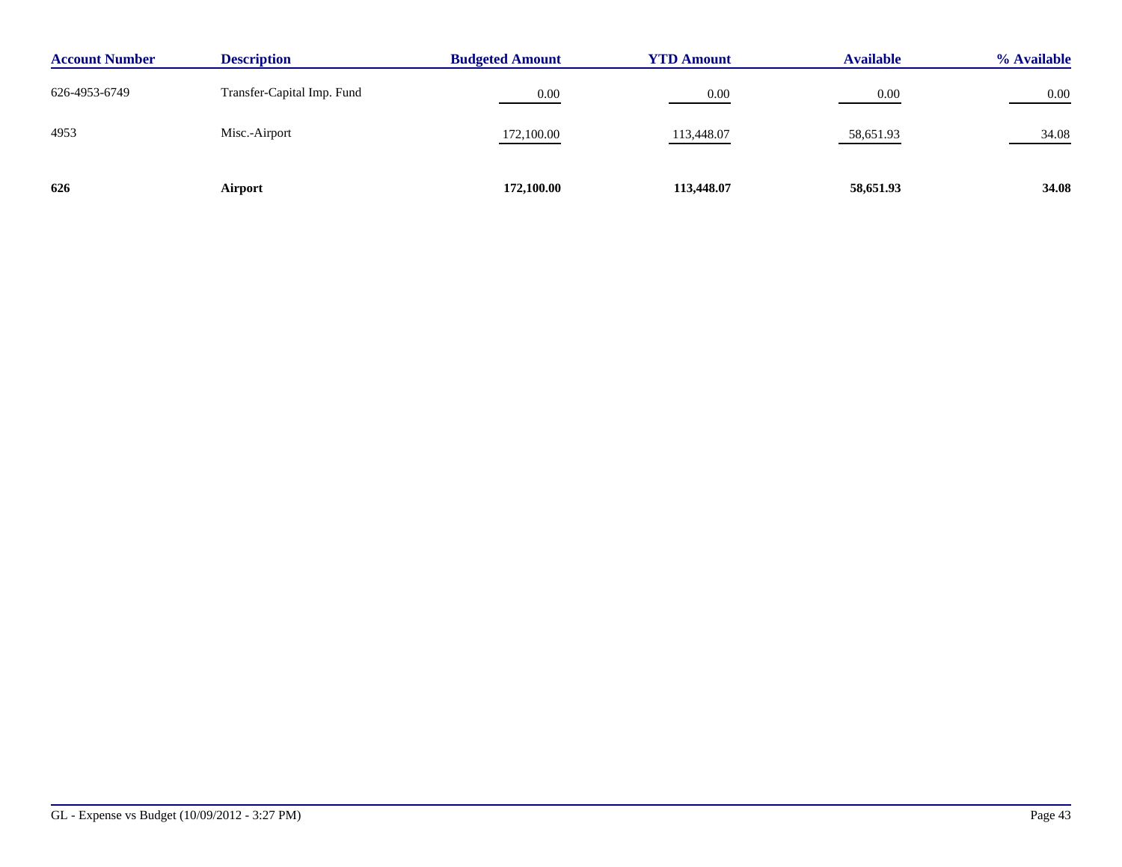| <b>Description</b><br><b>Account Number</b> |                            | <b>Budgeted Amount</b> | <b>YTD Amount</b> |           | % Available |
|---------------------------------------------|----------------------------|------------------------|-------------------|-----------|-------------|
| 626-4953-6749                               | Transfer-Capital Imp. Fund | 0.00                   | 0.00              | 0.00      | 0.00        |
| 4953                                        | Misc.-Airport              | 172,100.00             | 113,448.07        | 58,651.93 | 34.08       |
| 626                                         | Airport                    | 172,100.00             | 113,448.07        | 58,651.93 | 34.08       |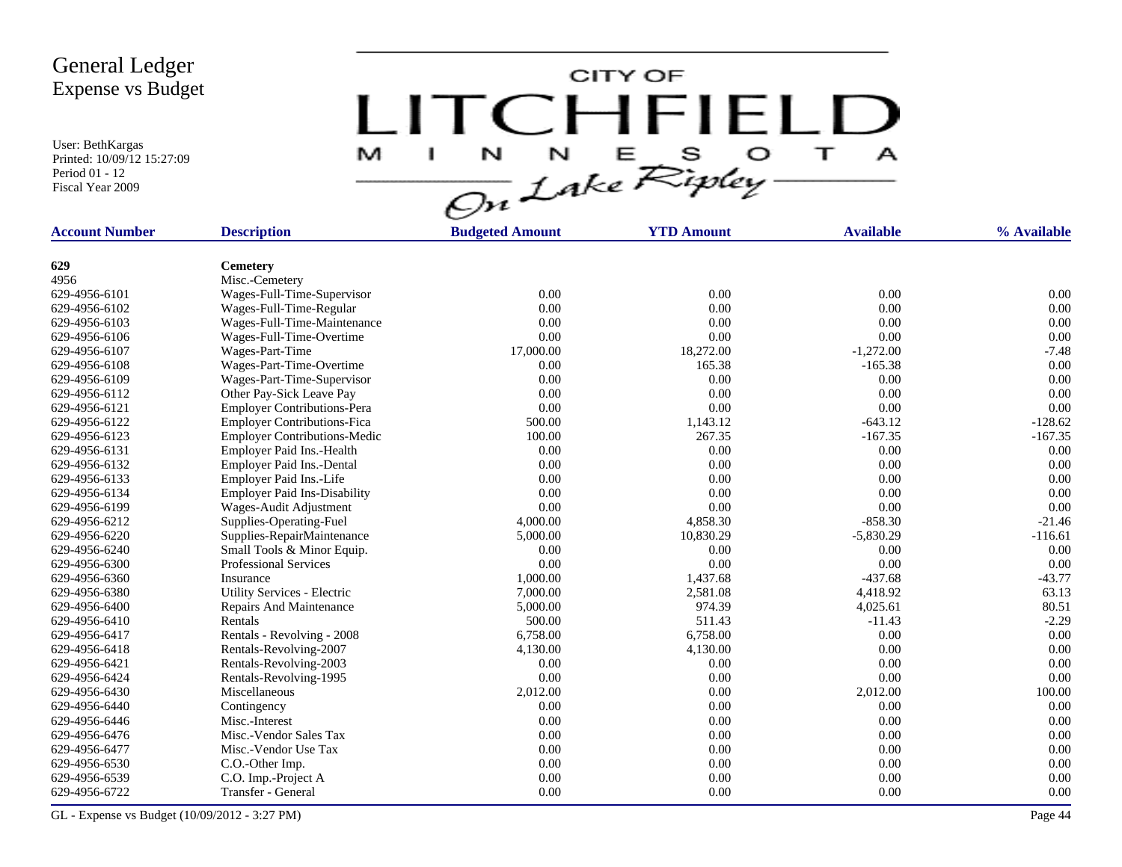User: BethKargas Printed: 10/09/12 15:27:09 Period 01 - 12 Fiscal Year 2009

LITCHFIELD

| <b>Account Number</b> | <b>Description</b>                  | <b>Budgeted Amount</b> | <b>YTD Amount</b> | <b>Available</b> | % Available |
|-----------------------|-------------------------------------|------------------------|-------------------|------------------|-------------|
| 629                   | <b>Cemetery</b>                     |                        |                   |                  |             |
| 4956                  | Misc.-Cemetery                      |                        |                   |                  |             |
| 629-4956-6101         | Wages-Full-Time-Supervisor          | 0.00                   | 0.00              | 0.00             | 0.00        |
| 629-4956-6102         | Wages-Full-Time-Regular             | 0.00                   | 0.00              | 0.00             | 0.00        |
| 629-4956-6103         | Wages-Full-Time-Maintenance         | 0.00                   | 0.00              | 0.00             | 0.00        |
| 629-4956-6106         | Wages-Full-Time-Overtime            | 0.00                   | 0.00              | 0.00             | 0.00        |
| 629-4956-6107         | Wages-Part-Time                     | 17,000.00              | 18,272.00         | $-1,272.00$      | $-7.48$     |
| 629-4956-6108         | Wages-Part-Time-Overtime            | 0.00                   | 165.38            | $-165.38$        | 0.00        |
| 629-4956-6109         | Wages-Part-Time-Supervisor          | 0.00                   | 0.00              | 0.00             | 0.00        |
| 629-4956-6112         | Other Pay-Sick Leave Pay            | 0.00                   | 0.00              | 0.00             | 0.00        |
| 629-4956-6121         | <b>Employer Contributions-Pera</b>  | 0.00                   | 0.00              | 0.00             | 0.00        |
| 629-4956-6122         | <b>Employer Contributions-Fica</b>  | 500.00                 | 1,143.12          | $-643.12$        | $-128.62$   |
| 629-4956-6123         | <b>Employer Contributions-Medic</b> | 100.00                 | 267.35            | $-167.35$        | $-167.35$   |
| 629-4956-6131         | Employer Paid Ins.-Health           | 0.00                   | 0.00              | 0.00             | 0.00        |
| 629-4956-6132         | Employer Paid Ins.-Dental           | 0.00                   | 0.00              | 0.00             | 0.00        |
| 629-4956-6133         | Employer Paid Ins.-Life             | 0.00                   | 0.00              | 0.00             | 0.00        |
| 629-4956-6134         | <b>Employer Paid Ins-Disability</b> | 0.00                   | 0.00              | 0.00             | 0.00        |
| 629-4956-6199         | Wages-Audit Adjustment              | 0.00                   | 0.00              | 0.00             | 0.00        |
| 629-4956-6212         | Supplies-Operating-Fuel             | 4,000.00               | 4,858.30          | $-858.30$        | $-21.46$    |
| 629-4956-6220         | Supplies-RepairMaintenance          | 5,000.00               | 10,830.29         | $-5,830.29$      | $-116.61$   |
| 629-4956-6240         | Small Tools & Minor Equip.          | 0.00                   | 0.00              | 0.00             | 0.00        |
| 629-4956-6300         | <b>Professional Services</b>        | 0.00                   | 0.00              | 0.00             | 0.00        |
| 629-4956-6360         | Insurance                           | 1,000.00               | 1,437.68          | $-437.68$        | $-43.77$    |
| 629-4956-6380         | Utility Services - Electric         | 7,000.00               | 2,581.08          | 4,418.92         | 63.13       |
| 629-4956-6400         | Repairs And Maintenance             | 5,000.00               | 974.39            | 4,025.61         | 80.51       |
| 629-4956-6410         | Rentals                             | 500.00                 | 511.43            | $-11.43$         | $-2.29$     |
| 629-4956-6417         | Rentals - Revolving - 2008          | 6,758.00               | 6,758.00          | 0.00             | 0.00        |
| 629-4956-6418         | Rentals-Revolving-2007              | 4,130.00               | 4,130.00          | 0.00             | 0.00        |
| 629-4956-6421         | Rentals-Revolving-2003              | 0.00                   | 0.00              | 0.00             | 0.00        |
| 629-4956-6424         | Rentals-Revolving-1995              | 0.00                   | 0.00              | 0.00             | 0.00        |
| 629-4956-6430         | Miscellaneous                       | 2,012.00               | 0.00              | 2,012.00         | 100.00      |
| 629-4956-6440         | Contingency                         | 0.00                   | 0.00              | 0.00             | 0.00        |
| 629-4956-6446         | Misc.-Interest                      | 0.00                   | 0.00              | 0.00             | 0.00        |
| 629-4956-6476         | Misc.-Vendor Sales Tax              | 0.00                   | 0.00              | 0.00             | 0.00        |
| 629-4956-6477         | Misc.-Vendor Use Tax                | 0.00                   | 0.00              | 0.00             | 0.00        |

629-4956-6530 C.O.-Other Imp. 0.00 0.00 0.00 0.00 629-4956-6539 C.O. Imp.-Project A 0.00 0.00 0.00 0.00 629-4956-6722 Transfer - General 0.00 0.00 0.00 0.00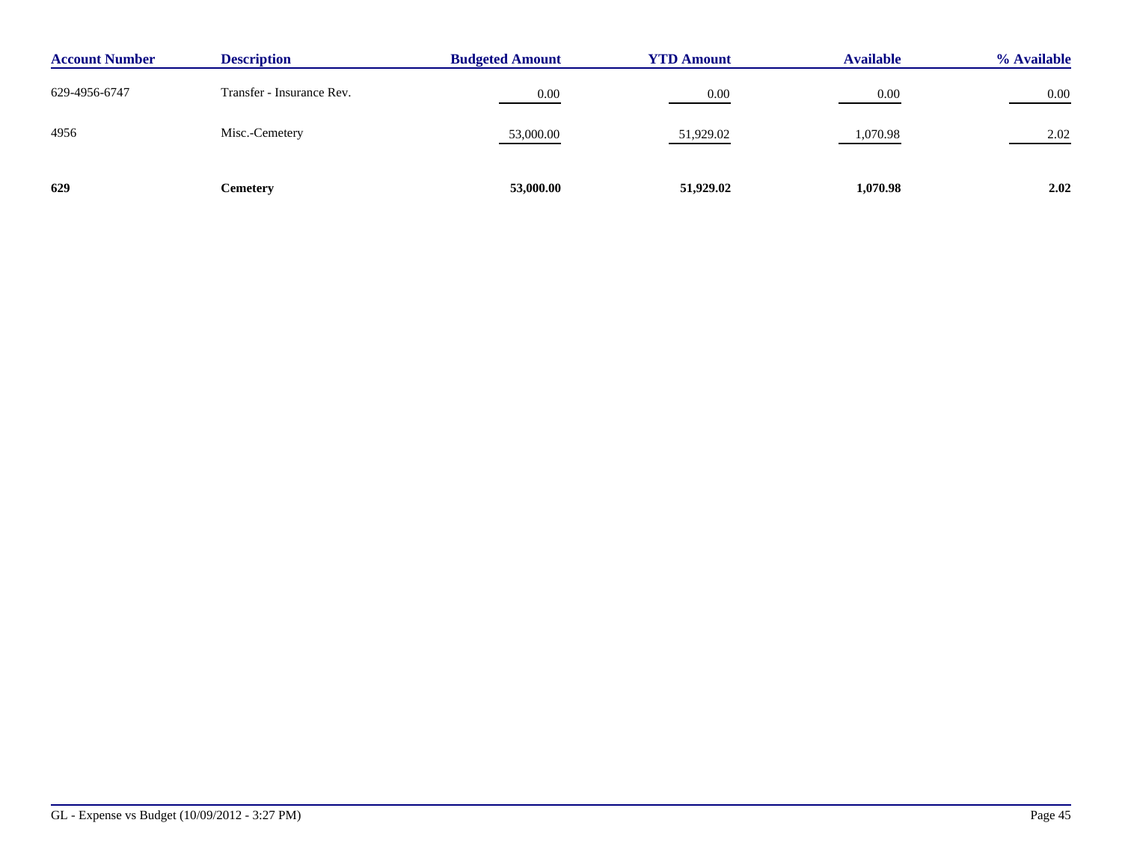| <b>Description</b><br><b>Account Number</b> |                           | <b>Budgeted Amount</b> | <b>YTD Amount</b> |          | % Available |
|---------------------------------------------|---------------------------|------------------------|-------------------|----------|-------------|
| 629-4956-6747                               | Transfer - Insurance Rev. | 0.00                   | 0.00              | 0.00     | 0.00        |
| 4956                                        | Misc.-Cemetery            | 53,000.00              | 51,929.02         | 1,070.98 | 2.02        |
| 629                                         | Cemetery                  | 53,000.00              | 51,929.02         | 1,070.98 | 2.02        |